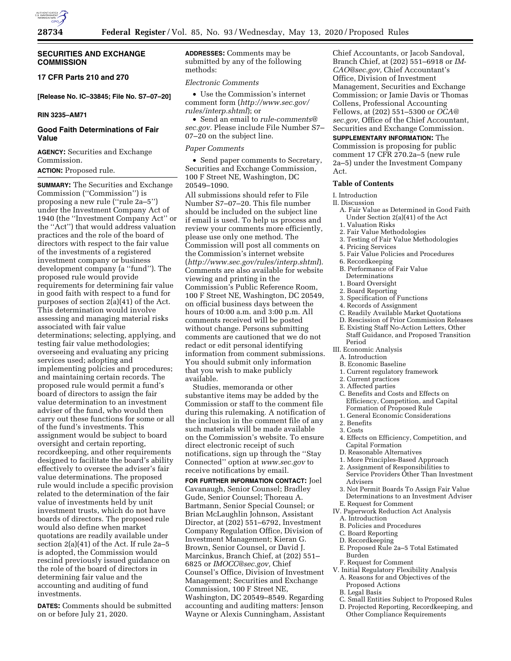

### **SECURITIES AND EXCHANGE COMMISSION**

# **17 CFR Parts 210 and 270**

**[Release No. IC–33845; File No. S7–07–20]** 

# **RIN 3235–AM71**

# **Good Faith Determinations of Fair Value**

**AGENCY:** Securities and Exchange Commission.

# **ACTION:** Proposed rule.

**SUMMARY:** The Securities and Exchange Commission (''Commission'') is proposing a new rule (''rule 2a–5'') under the Investment Company Act of 1940 (the ''Investment Company Act'' or the ''Act'') that would address valuation practices and the role of the board of directors with respect to the fair value of the investments of a registered investment company or business development company (a ''fund''). The proposed rule would provide requirements for determining fair value in good faith with respect to a fund for purposes of section  $2(a)(41)$  of the Act. This determination would involve assessing and managing material risks associated with fair value determinations; selecting, applying, and testing fair value methodologies; overseeing and evaluating any pricing services used; adopting and implementing policies and procedures; and maintaining certain records. The proposed rule would permit a fund's board of directors to assign the fair value determination to an investment adviser of the fund, who would then carry out these functions for some or all of the fund's investments. This assignment would be subject to board oversight and certain reporting, recordkeeping, and other requirements designed to facilitate the board's ability effectively to oversee the adviser's fair value determinations. The proposed rule would include a specific provision related to the determination of the fair value of investments held by unit investment trusts, which do not have boards of directors. The proposed rule would also define when market quotations are readily available under section 2(a)(41) of the Act. If rule 2a–5 is adopted, the Commission would rescind previously issued guidance on the role of the board of directors in determining fair value and the accounting and auditing of fund investments.

**DATES:** Comments should be submitted on or before July 21, 2020.

**ADDRESSES:** Comments may be submitted by any of the following methods:

# *Electronic Comments*

• Use the Commission's internet comment form (*[http://www.sec.gov/](http://www.sec.gov/rules/interp.shtml)  [rules/interp.shtml](http://www.sec.gov/rules/interp.shtml)*); or

• Send an email to *[rule-comments@](mailto:rule-comments@sec.gov) [sec.gov.](mailto:rule-comments@sec.gov)* Please include File Number S7– 07–20 on the subject line.

#### *Paper Comments*

• Send paper comments to Secretary, Securities and Exchange Commission, 100 F Street NE, Washington, DC 20549–1090.

All submissions should refer to File Number S7–07–20. This file number should be included on the subject line if email is used. To help us process and review your comments more efficiently, please use only one method. The Commission will post all comments on the Commission's internet website (*<http://www.sec.gov/rules/interp.shtml>*). Comments are also available for website viewing and printing in the Commission's Public Reference Room, 100 F Street NE, Washington, DC 20549, on official business days between the hours of 10:00 a.m. and 3:00 p.m. All comments received will be posted without change. Persons submitting comments are cautioned that we do not redact or edit personal identifying information from comment submissions. You should submit only information that you wish to make publicly available.

Studies, memoranda or other substantive items may be added by the Commission or staff to the comment file during this rulemaking. A notification of the inclusion in the comment file of any such materials will be made available on the Commission's website. To ensure direct electronic receipt of such notifications, sign up through the ''Stay Connected'' option at *[www.sec.gov](http://www.sec.gov)* to receive notifications by email.

**FOR FURTHER INFORMATION CONTACT:** Joel Cavanaugh, Senior Counsel; Bradley Gude, Senior Counsel; Thoreau A. Bartmann, Senior Special Counsel; or Brian McLaughlin Johnson, Assistant Director, at (202) 551–6792, Investment Company Regulation Office, Division of Investment Management; Kieran G. Brown, Senior Counsel, or David J. Marcinkus, Branch Chief, at (202) 551– 6825 or *[IMOCC@sec.gov,](mailto:IMOCC@sec.gov)* Chief Counsel's Office, Division of Investment Management; Securities and Exchange Commission, 100 F Street NE, Washington, DC 20549–8549. Regarding accounting and auditing matters: Jenson Wayne or Alexis Cunningham, Assistant

Chief Accountants, or Jacob Sandoval, Branch Chief, at (202) 551–6918 or *[IM-](mailto:IM-CAO@sec.gov)[CAO@sec.gov,](mailto:IM-CAO@sec.gov)* Chief Accountant's Office, Division of Investment Management, Securities and Exchange Commission; or Jamie Davis or Thomas Collens, Professional Accounting Fellows, at (202) 551–5300 or *[OCA@](mailto:OCA@sec.gov) [sec.gov,](mailto:OCA@sec.gov)* Office of the Chief Accountant, Securities and Exchange Commission.

### **SUPPLEMENTARY INFORMATION:** The

Commission is proposing for public comment 17 CFR 270.2a–5 (new rule 2a–5) under the Investment Company Act.

# **Table of Contents**

### I. Introduction

- II. Discussion
	- A. Fair Value as Determined in Good Faith Under Section 2(a)(41) of the Act
	- 1. Valuation Risks
	- 2. Fair Value Methodologies
	- 3. Testing of Fair Value Methodologies
	- 4. Pricing Services
	- 5. Fair Value Policies and Procedures
	- 6. Recordkeeping
	- B. Performance of Fair Value
	- Determinations
	- 1. Board Oversight
	- 2. Board Reporting
	- 3. Specification of Functions
	- 4. Records of Assignment
	- C. Readily Available Market Quotations
	- D. Rescission of Prior Commission Releases
	- E. Existing Staff No-Action Letters, Other Staff Guidance, and Proposed Transition Period
- III. Economic Analysis
	- A. Introduction
	- B. Economic Baseline 1. Current regulatory framework
	- 2. Current practices
	-
	- 3. Affected parties
	- C. Benefits and Costs and Effects on Efficiency, Competition, and Capital Formation of Proposed Rule
	- 1. General Economic Considerations
	- 2. Benefits
	- 3. Costs
	- 4. Effects on Efficiency, Competition, and Capital Formation
	- D. Reasonable Alternatives
	- 1. More Principles-Based Approach
	- 2. Assignment of Responsibilities to
	- Service Providers Other Than Investment Advisers
	- 3. Not Permit Boards To Assign Fair Value
- Determinations to an Investment Adviser
- E. Request for Comment
- IV. Paperwork Reduction Act Analysis
- A. Introduction
- B. Policies and Procedures
- C. Board Reporting
- D. Recordkeeping
- E. Proposed Rule 2a–5 Total Estimated Burden
- F. Request for Comment
- V. Initial Regulatory Flexibility Analysis
	- A. Reasons for and Objectives of the Proposed Actions
	- B. Legal Basis
	- C. Small Entities Subject to Proposed Rules
	- D. Projected Reporting, Recordkeeping, and Other Compliance Requirements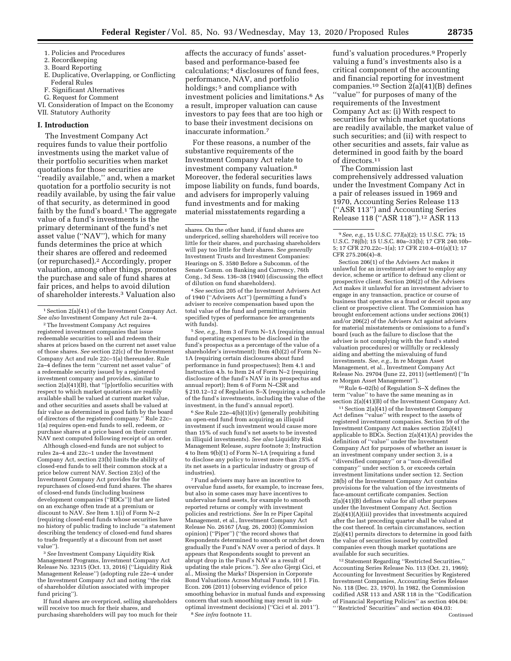- 1. Policies and Procedures
- 2. Recordkeeping
- 3. Board Reporting
- E. Duplicative, Overlapping, or Conflicting Federal Rules
- F. Significant Alternatives
- G. Request for Comment

VI. Consideration of Impact on the Economy VII. Statutory Authority

### **I. Introduction**

The Investment Company Act requires funds to value their portfolio investments using the market value of their portfolio securities when market quotations for those securities are ''readily available,'' and, when a market quotation for a portfolio security is not readily available, by using the fair value of that security, as determined in good faith by the fund's board. $1$  The aggregate value of a fund's investments is the primary determinant of the fund's net asset value (''NAV''), which for many funds determines the price at which their shares are offered and redeemed (or repurchased).2 Accordingly, proper valuation, among other things, promotes the purchase and sale of fund shares at fair prices, and helps to avoid dilution of shareholder interests.3 Valuation also

2The Investment Company Act requires registered investment companies that issue redeemable securities to sell and redeem their shares at prices based on the current net asset value of those shares. *See* section 22(c) of the Investment Company Act and rule 22c–1(a) thereunder. Rule 2a–4 defines the term ''current net asset value'' of a redeemable security issued by a registered investment company and provides, similar to section  $2(a)(41)(B)$ , that "[p]ortfolio securities with respect to which market quotations are readily available shall be valued at current market value, and other securities and assets shall be valued at fair value as determined in good faith by the board of directors of the registered company.'' Rule 22c– 1(a) requires open-end funds to sell, redeem, or purchase shares at a price based on their current NAV next computed following receipt of an order.

Although closed-end funds are not subject to rules 2a–4 and 22c–1 under the Investment Company Act, section 23(b) limits the ability of closed-end funds to sell their common stock at a price below current NAV. Section 23(c) of the Investment Company Act provides for the repurchases of closed-end fund shares. The shares of closed-end funds (including business development companies (''BDCs'')) that are listed on an exchange often trade at a premium or discount to NAV. *See* Item 1.1(i) of Form N–2 (requiring closed-end funds whose securities have no history of public trading to include ''a statement describing the tendency of closed-end fund shares to trade frequently at a discount from net asset value'').

3*See* Investment Company Liquidity Risk Management Programs, Investment Company Act Release No. 32315 (Oct. 13, 2016) (''Liquidity Risk Management Release'') (adopting rule 22e–4 under the Investment Company Act and noting ''the risk of shareholder dilution associated with improper fund pricing'').

If fund shares are overpriced, selling shareholders will receive too much for their shares, and purchasing shareholders will pay too much for their

affects the accuracy of funds' assetbased and performance-based fee calculations; 4 disclosures of fund fees, performance, NAV, and portfolio holdings; 5 and compliance with investment policies and limitations.6 As a result, improper valuation can cause investors to pay fees that are too high or to base their investment decisions on inaccurate information.7

For these reasons, a number of the substantive requirements of the Investment Company Act relate to investment company valuation.8 Moreover, the federal securities laws impose liability on funds, fund boards, and advisers for improperly valuing fund investments and for making material misstatements regarding a

4*See* section 205 of the Investment Advisers Act of 1940 (''Advisers Act'') (permitting a fund's adviser to receive compensation based upon the total value of the fund and permitting certain specified types of performance fee arrangements with funds).

5*See, e.g.,* Item 3 of Form N–1A (requiring annual fund operating expenses to be disclosed in the fund's prospectus as a percentage of the value of a shareholder's investment); Item 4(b)(2) of Form N– 1A (requiring certain disclosures about fund performance in fund prospectuses); Item 4.1 and Instruction 4.b. to Item 24 of Form N–2 (requiring disclosure of the fund's NAV in its prospectus and annual report); Item 6 of Form N–CSR and § 210.12–12 of Regulation S–X (requiring a schedule of the fund's investments, including the value of the investment, in the fund's annual report).

6*See* Rule 22e–4(b)(1)(iv) (generally prohibiting an open-end fund from acquiring an illiquid investment if such investment would cause more than 15% of such fund's net assets to be invested in illiquid investments). *See also* Liquidity Risk Management Release, *supra* footnote 3; Instruction 4 to Item 9(b)(1) of Form N–1A (requiring a fund to disclose any policy to invest more than 25% of its net assets in a particular industry or group of industries).

7Fund advisers may have an incentive to overvalue fund assets, for example, to increase fees, but also in some cases may have incentives to undervalue fund assets, for example to smooth reported returns or comply with investment policies and restrictions. *See* In re Piper Capital Management, et al., Investment Company Act Release No. 26167 (Aug. 26, 2003) (Commission opinion) (''Piper'') (''the record shows that Respondents determined to smooth or ratchet down gradually the Fund's NAV over a period of days. It appears that Respondents sought to prevent an abrupt drop in the Fund's NAV as a result of updating the stale prices.''). *See also* Gjergi Cici, et al., Missing the Marks? Dispersion in Corporate Bond Valuations Across Mutual Funds, 101 J. Fin. Econ. 206 (2011) (observing evidence of price smoothing behavior in mutual funds and expressing concern that such smoothing may result in suboptimal investment decisions) (''Cici et al. 2011''). 8*See infra* footnote 11.

fund's valuation procedures.9 Properly valuing a fund's investments also is a critical component of the accounting and financial reporting for investment companies.<sup>10</sup> Section  $2(a)(41)(B)$  defines ''value'' for purposes of many of the requirements of the Investment Company Act as: (i) With respect to securities for which market quotations are readily available, the market value of such securities; and (ii) with respect to other securities and assets, fair value as determined in good faith by the board of directors.11

The Commission last comprehensively addressed valuation under the Investment Company Act in a pair of releases issued in 1969 and 1970, Accounting Series Release 113 (''ASR 113'') and Accounting Series Release 118 (''ASR 118'').12 ASR 113

Section 206(1) of the Advisers Act makes it unlawful for an investment adviser to employ any device, scheme or artifice to defraud any client or prospective client. Section 206(2) of the Advisers Act makes it unlawful for an investment adviser to engage in any transaction, practice or course of business that operates as a fraud or deceit upon any client or prospective client. The Commission has brought enforcement actions under sections 206(1) and/or 206(2) of the Advisers Act against advisers for material misstatements or omissions to a fund's board (such as the failure to disclose that the adviser is not complying with the fund's stated valuation procedures) or willfully or recklessly aiding and abetting the misvaluing of fund investments. *See, e.g.,* In re Morgan Asset Management, et al., Investment Company Act Release No. 29704 (June 22, 2011) (settlement) (''In re Morgan Asset Management'').

10Rule 6–02(b) of Regulation S–X defines the term ''value'' to have the same meaning as in section 2(a)(41)(B) of the Investment Company Act.

11Section 2(a)(41) of the Investment Company Act defines ''value'' with respect to the assets of registered investment companies. Section 59 of the Investment Company Act makes section 2(a)(41) applicable to BDCs. Section 2(a)(41)(A) provides the definition of ''value'' under the Investment Company Act for purposes of whether an issuer is an investment company under section 3, is a ''diversified company'' or a ''non-diversified company'' under section 5, or exceeds certain investment limitations under section 12. Section 28(b) of the Investment Company Act contains provisions for the valuation of the investments of face-amount certificate companies. Section 2(a)(41)(B) defines value for all other purposes under the Investment Company Act. Section 2(a)(41)(A)(iii) provides that investments acquired after the last preceding quarter shall be valued at the cost thereof. In certain circumstances, section 2(a)(41) permits directors to determine in good faith the value of securities issued by controlled companies even though market quotations are available for such securities.

12Statement Regarding ''Restricted Securities,'' Accounting Series Release No. 113 (Oct. 21, 1969); Accounting for Investment Securities by Registered Investment Companies, Accounting Series Release No. 118 (Dec. 23, 1970). In 1982, the Commission codified ASR 113 and ASR 118 in the ''Codification of Financial Reporting Policies'' as section 404.04: '' 'Restricted' Securities'' and section 404.03:

Continued

<sup>1</sup>Section 2(a)(41) of the Investment Company Act. *See also* Investment Company Act rule 2a–4.

shares. On the other hand, if fund shares are underpriced, selling shareholders will receive too little for their shares, and purchasing shareholders will pay too little for their shares. *See generally*  Investment Trusts and Investment Companies: Hearings on S. 3580 Before a Subcomm. of the Senate Comm. on Banking and Currency, 76th Cong., 3d Sess. 136–38 (1940) (discussing the effect of dilution on fund shareholders).

<sup>9</sup>*See, e.g.,* 15 U.S.C. 77*l*(a)(2); 15 U.S.C. 77k; 15 U.S.C. 78j(b); 15 U.S.C. 80a–33(b); 17 CFR 240.10b– 5; 17 CFR 270.22c–1(a); 17 CFR 210.4–01(a)(1); 17 CFR 275.206(4)–8.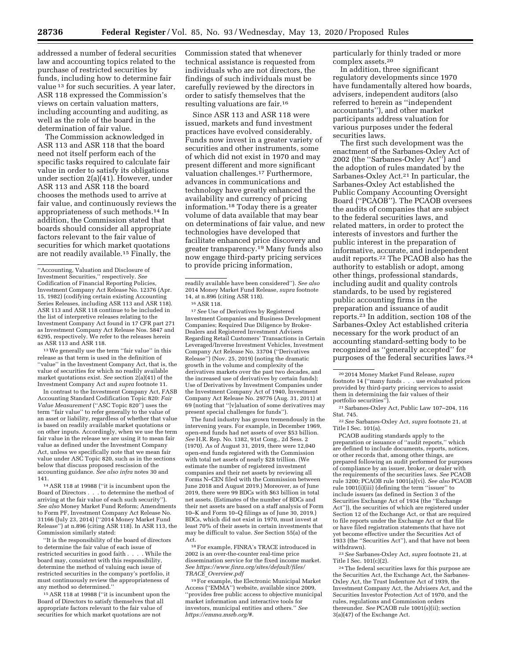addressed a number of federal securities law and accounting topics related to the purchase of restricted securities by funds, including how to determine fair value 13 for such securities. A year later, ASR 118 expressed the Commission's views on certain valuation matters, including accounting and auditing, as well as the role of the board in the determination of fair value.

The Commission acknowledged in ASR 113 and ASR 118 that the board need not itself perform each of the specific tasks required to calculate fair value in order to satisfy its obligations under section 2(a)(41). However, under ASR 113 and ASR 118 the board chooses the methods used to arrive at fair value, and continuously reviews the appropriateness of such methods.14 In addition, the Commission stated that boards should consider all appropriate factors relevant to the fair value of securities for which market quotations are not readily available.15 Finally, the

<sup>13</sup> We generally use the term "fair value" in this release as that term is used in the definition of ''value'' in the Investment Company Act, that is, the value of securities for which no readily available market quotations exist. *See* section 2(a)(41) of the Investment Company Act and *supra* footnote 11.

In contrast to the Investment Company Act, FASB Accounting Standard Codification Topic 820: *Fair Value Measurement* (''ASC Topic 820'') uses the term ''fair value'' to refer generally to the value of an asset or liability, regardless of whether that value is based on readily available market quotations or on other inputs. Accordingly, when we use the term fair value in the release we are using it to mean fair value as defined under the Investment Company Act, unless we specifically note that we mean fair value under ASC Topic 820, such as in the sections below that discuss proposed rescission of the accounting guidance. *See also infra* notes 30 and 141.

14ASR 118 at 19988 (''it is incumbent upon the Board of Directors . . . to determine the method of arriving at the fair value of each such security''). *See also* Money Market Fund Reform; Amendments to Form PF, Investment Company Act Release No. 31166 (July 23, 2014) (''2014 Money Market Fund Release'') at n.896 (citing ASR 118). In ASR 113, the Commission similarly stated:

''It is the responsibility of the board of directors to determine the fair value of each issue of restricted securities in good faith . . . . While the board may, consistent with this responsibility, determine the method of valuing each issue of restricted securities in the company's portfolio, it must continuously review the appropriateness of any method so determined.''

15ASR 118 at 19988 (''it is incumbent upon the Board of Directors to satisfy themselves that all appropriate factors relevant to the fair value of securities for which market quotations are not

Commission stated that whenever technical assistance is requested from individuals who are not directors, the findings of such individuals must be carefully reviewed by the directors in order to satisfy themselves that the resulting valuations are fair.16

Since ASR 113 and ASR 118 were issued, markets and fund investment practices have evolved considerably. Funds now invest in a greater variety of securities and other instruments, some of which did not exist in 1970 and may present different and more significant valuation challenges.17 Furthermore, advances in communications and technology have greatly enhanced the availability and currency of pricing information.18 Today there is a greater volume of data available that may bear on determinations of fair value, and new technologies have developed that facilitate enhanced price discovery and greater transparency.19 Many funds also now engage third-party pricing services to provide pricing information,

17*See* Use of Derivatives by Registered Investment Companies and Business Development Companies; Required Due Diligence by Broker-Dealers and Registered Investment Advisers Regarding Retail Customers' Transactions in Certain Leveraged/Inverse Investment Vehicles, Investment Company Act Release No. 33704 (''Derivatives Release'') (Nov. 25, 2019) (noting the dramatic growth in the volume and complexity of the derivatives markets over the past two decades, and the increased use of derivatives by certain funds); Use of Derivatives by Investment Companies under the Investment Company Act of 1940, Investment Company Act Release No. 29776 (Aug. 31, 2011) at 69 (noting that ''[v]aluation of some derivatives may present special challenges for funds'').

The fund industry has grown tremendously in the intervening years. For example, in December 1969, open-end funds had net assets of over \$53 billion. *See* H.R. Rep. No. 1382, 91st Cong., 2d Sess. 2 (1970). As of August 31, 2019, there were 12,040 open-end funds registered with the Commission with total net assets of nearly \$28 trillion. (We estimate the number of registered investment companies and their net assets by reviewing all Forms N–CEN filed with the Commission between June 2018 and August 2019.) Moreover, as of June 2019, there were 99 BDCs with \$63 billion in total net assets. (Estimates of the number of BDCs and their net assets are based on a staff analysis of Form 10–K and Form 10–Q filings as of June 30, 2019.) BDCs, which did not exist in 1970, must invest at least 70% of their assets in certain investments that may be difficult to value. *See* Section 55(a) of the Act.

18For example, FINRA's TRACE introduced in 2002 is an over-the-counter real-time price dissemination service for the fixed income market. *See [https://www.finra.org/sites/default/files/](https://www.finra.org/sites/default/files/TRACE_Overview.pdf)  TRACE*\_*[Overview.pdf](https://www.finra.org/sites/default/files/TRACE_Overview.pdf)* 

19For example, the Electronic Municipal Market Access (''EMMA'') website, available since 2009, ''provides free public access to objective municipal market information and interactive tools for investors, municipal entities and others.'' *See [https://emma.msrb.org/#.](https://emma.msrb.org/#)* 

particularly for thinly traded or more complex assets.20

In addition, three significant regulatory developments since 1970 have fundamentally altered how boards, advisers, independent auditors (also referred to herein as ''independent accountants''), and other market participants address valuation for various purposes under the federal securities laws.

The first such development was the enactment of the Sarbanes-Oxley Act of 2002 (the ''Sarbanes-Oxley Act'') and the adoption of rules mandated by the Sarbanes-Oxley Act.21 In particular, the Sarbanes-Oxley Act established the Public Company Accounting Oversight Board (''PCAOB''). The PCAOB oversees the audits of companies that are subject to the federal securities laws, and related matters, in order to protect the interests of investors and further the public interest in the preparation of informative, accurate, and independent audit reports.22 The PCAOB also has the authority to establish or adopt, among other things, professional standards, including audit and quality controls standards, to be used by registered public accounting firms in the preparation and issuance of audit reports.23 In addition, section 108 of the Sarbanes-Oxley Act established criteria necessary for the work product of an accounting standard-setting body to be recognized as ''generally accepted'' for purposes of the federal securities laws.24

<sup>21</sup> Sarbanes-Oxley Act, Public Law 107–204, 116<br>Stat. 745.

<sup>22</sup> See Sarbanes-Oxley Act, *supra* footnote 21, at Title I Sec. 101(a).

PCAOB auditing standards apply to the preparation or issuance of ''audit reports,'' which are defined to include documents, reports, notices, or other records that, among other things, are prepared following an audit performed for purposes of compliance by an issuer, broker, or dealer with the requirements of the securities laws. *See* PCAOB rule 3200; PCAOB rule 1001(a)(vi). *See also* PCAOB rule 1001(i)(iii) (defining the term ''issuer'' to include issuers (as defined in Section 3 of the Securities Exchange Act of 1934 (the ''Exchange Act'')), the securities of which are registered under Section 12 of the Exchange Act, or that are required to file reports under the Exchange Act or that file or have filed registration statements that have not yet become effective under the Securities Act of 1933 (the ''Securities Act''), and that have not been withdrawn).

23*See* Sarbanes-Oxley Act, *supra* footnote 21, at Title I Sec. 101(c)(2).

24The federal securities laws for this purpose are the Securities Act, the Exchange Act, the Sarbanes-Oxley Act, the Trust Indenture Act of 1939, the Investment Company Act, the Advisers Act, and the Securities Investor Protection Act of 1970, and the rules, regulations and Commission orders thereunder. *See* PCAOB rule 1001(s)(ii); section 3(a)(47) of the Exchange Act.

<sup>&#</sup>x27;'Accounting, Valuation and Disclosure of Investment Securities,'' respectively. *See*  Codification of Financial Reporting Policies, Investment Company Act Release No. 12376 (Apr. 15, 1982) (codifying certain existing Accounting Series Releases, including ASR 113 and ASR 118). ASR 113 and ASR 118 continue to be included in the list of interpretive releases relating to the Investment Company Act found in 17 CFR part 271 as Investment Company Act Release Nos. 5847 and 6295, respectively. We refer to the releases herein as ASR 113 and ASR 118.

readily available have been considered''). *See also*  2014 Money Market Fund Release, *supra* footnote 14, at n.896 (citing ASR 118).

<sup>16</sup>ASR 118.

<sup>20</sup> 2014 Money Market Fund Release, *supra*  footnote 14 (''many funds . . . use evaluated prices provided by third-party pricing services to assist them in determining the fair values of their<br>portfolio securities").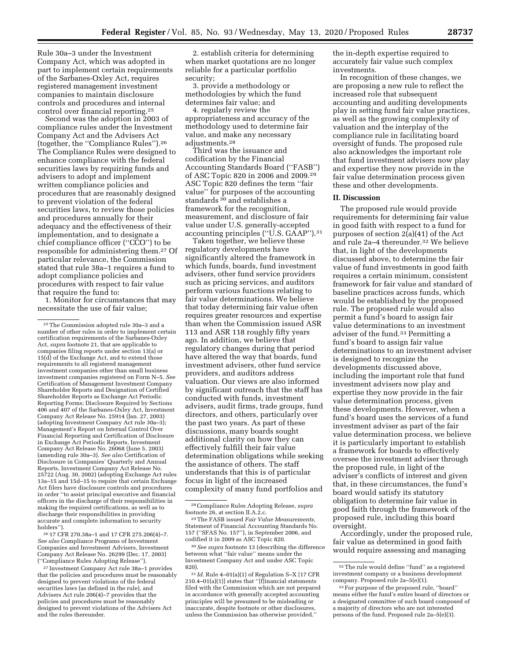Rule 30a–3 under the Investment Company Act, which was adopted in part to implement certain requirements of the Sarbanes-Oxley Act, requires registered management investment companies to maintain disclosure controls and procedures and internal control over financial reporting.25

Second was the adoption in 2003 of compliance rules under the Investment Company Act and the Advisers Act (together, the ''Compliance Rules'').26 The Compliance Rules were designed to enhance compliance with the federal securities laws by requiring funds and advisers to adopt and implement written compliance policies and procedures that are reasonably designed to prevent violation of the federal securities laws, to review those policies and procedures annually for their adequacy and the effectiveness of their implementation, and to designate a chief compliance officer (''CCO'') to be responsible for administering them.27 Of particular relevance, the Commission stated that rule 38a–1 requires a fund to adopt compliance policies and procedures with respect to fair value that require the fund to:

1. Monitor for circumstances that may necessitate the use of fair value;

26 17 CFR 270.38a–1 and 17 CFR 275.206(4)–7. *See also* Compliance Programs of Investment Companies and Investment Advisers, Investment Company Act Release No. 26299 (Dec. 17, 2003) (''Compliance Rules Adopting Release'').

27 Investment Company Act rule 38a–1 provides that the policies and procedures must be reasonably designed to prevent violations of the federal securities laws (as defined in the rule), and Advisers Act rule 206(4)–7 provides that the policies and procedures must be reasonably designed to prevent violations of the Advisers Act and the rules thereunder.

2. establish criteria for determining when market quotations are no longer reliable for a particular portfolio security;

3. provide a methodology or methodologies by which the fund determines fair value; and

4. regularly review the appropriateness and accuracy of the methodology used to determine fair value, and make any necessary adjustments.28

Third was the issuance and codification by the Financial Accounting Standards Board (''FASB'') of ASC Topic 820 in 2006 and 2009.29 ASC Topic 820 defines the term ''fair value'' for purposes of the accounting standards 30 and establishes a framework for the recognition, measurement, and disclosure of fair value under U.S. generally-accepted accounting principles (''U.S. GAAP'').31

Taken together, we believe these regulatory developments have significantly altered the framework in which funds, boards, fund investment advisers, other fund service providers such as pricing services, and auditors perform various functions relating to fair value determinations. We believe that today determining fair value often requires greater resources and expertise than when the Commission issued ASR 113 and ASR 118 roughly fifty years ago. In addition, we believe that regulatory changes during that period have altered the way that boards, fund investment advisers, other fund service providers, and auditors address valuation. Our views are also informed by significant outreach that the staff has conducted with funds, investment advisers, audit firms, trade groups, fund directors, and others, particularly over the past two years. As part of these discussions, many boards sought additional clarity on how they can effectively fulfill their fair value determination obligations while seeking the assistance of others. The staff understands that this is of particular focus in light of the increased complexity of many fund portfolios and the in-depth expertise required to accurately fair value such complex investments.

In recognition of these changes, we are proposing a new rule to reflect the increased role that subsequent accounting and auditing developments play in setting fund fair value practices, as well as the growing complexity of valuation and the interplay of the compliance rule in facilitating board oversight of funds. The proposed rule also acknowledges the important role that fund investment advisers now play and expertise they now provide in the fair value determination process given these and other developments.

### **II. Discussion**

The proposed rule would provide requirements for determining fair value in good faith with respect to a fund for purposes of section  $2(a)(41)$  of the Act and rule 2a–4 thereunder.32 We believe that, in light of the developments discussed above, to determine the fair value of fund investments in good faith requires a certain minimum, consistent framework for fair value and standard of baseline practices across funds, which would be established by the proposed rule. The proposed rule would also permit a fund's board to assign fair value determinations to an investment adviser of the fund.33 Permitting a fund's board to assign fair value determinations to an investment adviser is designed to recognize the developments discussed above, including the important role that fund investment advisers now play and expertise they now provide in the fair value determination process, given these developments. However, when a fund's board uses the services of a fund investment adviser as part of the fair value determination process, we believe it is particularly important to establish a framework for boards to effectively oversee the investment adviser through the proposed rule, in light of the adviser's conflicts of interest and given that, in these circumstances, the fund's board would satisfy its statutory obligation to determine fair value in good faith through the framework of the proposed rule, including this board oversight.

Accordingly, under the proposed rule, fair value as determined in good faith would require assessing and managing

<sup>25</sup>The Commission adopted rule 30a–3 and a number of other rules in order to implement certain certification requirements of the Sarbanes-Oxley Act, *supra* footnote 21, that are applicable to companies filing reports under section 13(a) or 15(d) of the Exchange Act, and to extend those requirements to all registered management investment companies other than small business investment companies registered on Form N–5. *See*  Certification of Management Investment Company Shareholder Reports and Designation of Certified Shareholder Reports as Exchange Act Periodic Reporting Forms; Disclosure Required by Sections 406 and 407 of the Sarbanes-Oxley Act, Investment Company Act Release No. 25914 (Jan. 27, 2003) (adopting Investment Company Act rule 30a–3); Management's Report on Internal Control Over Financial Reporting and Certification of Disclosure in Exchange Act Periodic Reports, Investment Company Act Release No. 26068 (June 5, 2003) (amending rule 30a–3). *See also* Certification of Disclosure in Companies' Quarterly and Annual Reports, Investment Company Act Release No. 25722 (Aug. 30, 2002) (adopting Exchange Act rules 13a–15 and 15d–15 to require that certain Exchange Act filers have disclosure controls and procedures in order ''to assist principal executive and financial officers in the discharge of their responsibilities in making the required certifications, as well as to discharge their responsibilities in providing accurate and complete information to security holders'').

<sup>28</sup>Compliance Rules Adopting Release, *supra*  footnote 26, at section II.A.2.c.

<sup>29</sup>The FASB issued *Fair Value Measurements,*  Statement of Financial Accounting Standards No. 157 (''SFAS No. 157''), in September 2006, and codified it in 2009 as ASC Topic 820.

<sup>30</sup>*See supra* footnote 13 (describing the difference between what ''fair value'' means under the Investment Company Act and under ASC Topic 820).

<sup>31</sup> *Id.* Rule 4–01(a)(1) of Regulation S–X [17 CFR 210.4–01(a)(1)] states that ''[f]inancial statements filed with the Commission which are not prepared in accordance with generally accepted accounting principles will be presumed to be misleading or inaccurate, despite footnote or other disclosures, unless the Commission has otherwise provided.''

<sup>32</sup>The rule would define ''fund'' as a registered investment company or a business development company. Proposed rule 2a–5(e)(1).

<sup>33</sup>For purpose of the proposed rule, ''board'' means either the fund's entire board of directors or a designated committee of such board composed of a majority of directors who are not interested persons of the fund. Proposed rule 2a–5(e)(3).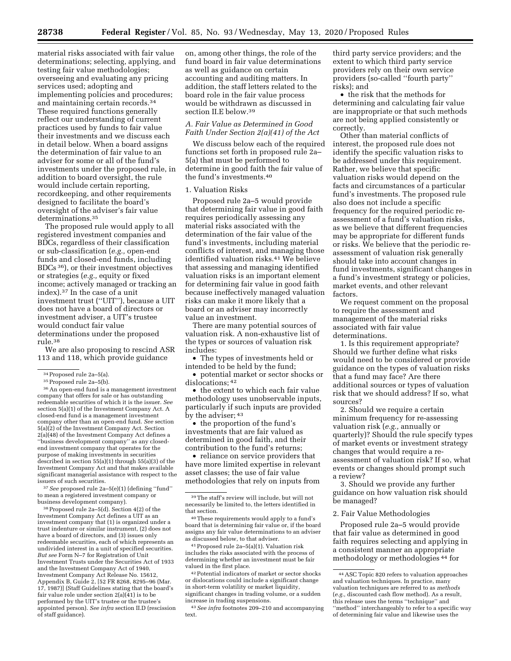material risks associated with fair value determinations; selecting, applying, and testing fair value methodologies; overseeing and evaluating any pricing services used; adopting and implementing policies and procedures; and maintaining certain records.34 These required functions generally reflect our understanding of current practices used by funds to fair value their investments and we discuss each in detail below. When a board assigns the determination of fair value to an adviser for some or all of the fund's investments under the proposed rule, in addition to board oversight, the rule would include certain reporting, recordkeeping, and other requirements designed to facilitate the board's oversight of the adviser's fair value determinations.35

The proposed rule would apply to all registered investment companies and BDCs, regardless of their classification or sub-classification (*e.g.,* open-end funds and closed-end funds, including BDCs 36), or their investment objectives or strategies (*e.g.,* equity or fixed income; actively managed or tracking an index).37 In the case of a unit investment trust (''UIT''), because a UIT does not have a board of directors or investment adviser, a UIT's trustee would conduct fair value determinations under the proposed rule.38

We are also proposing to rescind ASR 113 and 118, which provide guidance

34Proposed rule 2a–5(a). 35Proposed rule 2a–5(b). 36An open-end fund is a management investment company that offers for sale or has outstanding redeemable securities of which it is the issuer. *See*  section 5(a)(1) of the Investment Company Act. A closed-end fund is a management investment company other than an open-end fund. *See* section 5(a)(2) of the Investment Company Act. Section 2(a)(48) of the Investment Company Act defines a ''business development company'' as any closedend investment company that operates for the purpose of making investments in securities described in section 55(a)(1) through 55(a)(3) of the Investment Company Act and that makes available significant managerial assistance with respect to the issuers of such securities.

37*See* proposed rule 2a–5(e)(1) (defining ''fund'' to mean a registered investment company or business development company).

38Proposed rule 2a–5(d). Section 4(2) of the Investment Company Act defines a UIT as an investment company that (1) is organized under a trust indenture or similar instrument, (2) does not have a board of directors, and (3) issues only redeemable securities, each of which represents an undivided interest in a unit of specified securities. *But see* Form N–7 for Registration of Unit Investment Trusts under the Securities Act of 1933 and the Investment Company Act of 1940, Investment Company Act Release No. 15612, Appendix B, Guide 2, [52 FR 8268, 8295–96 (Mar. 17, 1987)] (Staff Guidelines stating that the board's fair value role under section  $2(a)(41)$  is to be performed by the UIT's trustee or the trustee's appointed person). *See infra* section II.D (rescission of staff guidance).

on, among other things, the role of the fund board in fair value determinations as well as guidance on certain accounting and auditing matters. In addition, the staff letters related to the board role in the fair value process would be withdrawn as discussed in section II.E below.39

### *A. Fair Value as Determined in Good Faith Under Section 2(a)(41) of the Act*

We discuss below each of the required functions set forth in proposed rule 2a– 5(a) that must be performed to determine in good faith the fair value of the fund's investments.40

#### 1. Valuation Risks

Proposed rule 2a–5 would provide that determining fair value in good faith requires periodically assessing any material risks associated with the determination of the fair value of the fund's investments, including material conflicts of interest, and managing those identified valuation risks.41 We believe that assessing and managing identified valuation risks is an important element for determining fair value in good faith because ineffectively managed valuation risks can make it more likely that a board or an adviser may incorrectly value an investment.

There are many potential sources of valuation risk. A non-exhaustive list of the types or sources of valuation risk includes:

• The types of investments held or intended to be held by the fund;

• potential market or sector shocks or dislocations; 42

• the extent to which each fair value methodology uses unobservable inputs, particularly if such inputs are provided by the adviser; 43

• the proportion of the fund's investments that are fair valued as determined in good faith, and their contribution to the fund's returns;

• reliance on service providers that have more limited expertise in relevant asset classes; the use of fair value methodologies that rely on inputs from

40These requirements would apply to a fund's board that is determining fair value or, if the board assigns any fair value determinations to an adviser as discussed below, to that adviser.

41Proposed rule 2a–5(a)(1). Valuation risk includes the risks associated with the process of determining whether an investment must be fair valued in the first place.

42Potential indicators of market or sector shocks or dislocations could include a significant change in short-term volatility or market liquidity, significant changes in trading volume, or a sudden increase in trading suspensions.

43*See infra* footnotes 209–210 and accompanying text.

third party service providers; and the extent to which third party service providers rely on their own service providers (so-called ''fourth party'' risks); and

• the risk that the methods for determining and calculating fair value are inappropriate or that such methods are not being applied consistently or correctly.

Other than material conflicts of interest, the proposed rule does not identify the specific valuation risks to be addressed under this requirement. Rather, we believe that specific valuation risks would depend on the facts and circumstances of a particular fund's investments. The proposed rule also does not include a specific frequency for the required periodic reassessment of a fund's valuation risks, as we believe that different frequencies may be appropriate for different funds or risks. We believe that the periodic reassessment of valuation risk generally should take into account changes in fund investments, significant changes in a fund's investment strategy or policies, market events, and other relevant factors.

We request comment on the proposal to require the assessment and management of the material risks associated with fair value determinations.

1. Is this requirement appropriate? Should we further define what risks would need to be considered or provide guidance on the types of valuation risks that a fund may face? Are there additional sources or types of valuation risk that we should address? If so, what sources?

2. Should we require a certain minimum frequency for re-assessing valuation risk (*e.g.,* annually or quarterly)? Should the rule specify types of market events or investment strategy changes that would require a reassessment of valuation risk? If so, what events or changes should prompt such a review?

3. Should we provide any further guidance on how valuation risk should be managed?

#### 2. Fair Value Methodologies

Proposed rule 2a–5 would provide that fair value as determined in good faith requires selecting and applying in a consistent manner an appropriate methodology or methodologies 44 for

<sup>39</sup>The staff's review will include, but will not necessarily be limited to, the letters identified in that section.

<sup>44</sup>ASC Topic 820 refers to valuation approaches and valuation techniques. In practice, many valuation techniques are referred to as *methods*  (*e.g.,* discounted cash flow method). As a result, this release uses the terms ''technique'' and ''method'' interchangeably to refer to a specific way of determining fair value and likewise uses the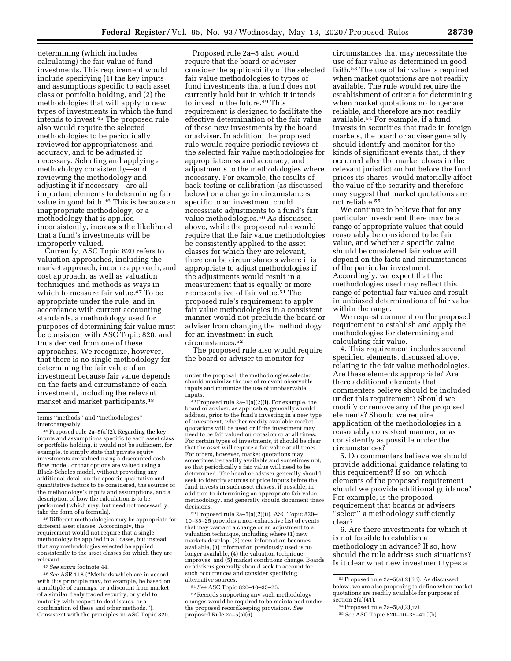determining (which includes calculating) the fair value of fund investments. This requirement would include specifying (1) the key inputs and assumptions specific to each asset class or portfolio holding, and (2) the methodologies that will apply to new types of investments in which the fund intends to invest.45 The proposed rule also would require the selected methodologies to be periodically reviewed for appropriateness and accuracy, and to be adjusted if necessary. Selecting and applying a methodology consistently—and reviewing the methodology and adjusting it if necessary—are all important elements to determining fair value in good faith.<sup>46</sup> This is because an inappropriate methodology, or a methodology that is applied inconsistently, increases the likelihood that a fund's investments will be improperly valued.

Currently, ASC Topic 820 refers to valuation approaches, including the market approach, income approach, and cost approach, as well as valuation techniques and methods as ways in which to measure fair value.47 To be appropriate under the rule, and in accordance with current accounting standards, a methodology used for purposes of determining fair value must be consistent with ASC Topic 820, and thus derived from one of these approaches. We recognize, however, that there is no single methodology for determining the fair value of an investment because fair value depends on the facts and circumstance of each investment, including the relevant market and market participants.48

45Proposed rule 2a–5(a)(2). Regarding the key inputs and assumptions specific to each asset class or portfolio holding, it would not be sufficient, for example, to simply state that private equity investments are valued using a discounted cash flow model, or that options are valued using a Black-Scholes model, without providing any additional detail on the specific qualitative and quantitative factors to be considered, the sources of the methodology's inputs and assumptions, and a description of how the calculation is to be performed (which may, but need not necessarily, take the form of a formula).

46 Different methodologies may be appropriate for different asset classes. Accordingly, this requirement would not require that a single methodology be applied in all cases, but instead that any methodologies selected be applied consistently to the asset classes for which they are relevant.

47*See supra* footnote 44.

48*See* ASR 118 (''Methods which are in accord with this principle may, for example, be based on a multiple of earnings, or a discount from market of a similar freely traded security, or yield to maturity with respect to debt issues, or a combination of these and other methods.''). Consistent with the principles in ASC Topic 820,

Proposed rule 2a–5 also would require that the board or adviser consider the applicability of the selected fair value methodologies to types of fund investments that a fund does not currently hold but in which it intends to invest in the future.49 This requirement is designed to facilitate the effective determination of the fair value of these new investments by the board or adviser. In addition, the proposed rule would require periodic reviews of the selected fair value methodologies for appropriateness and accuracy, and adjustments to the methodologies where necessary. For example, the results of back-testing or calibration (as discussed below) or a change in circumstances specific to an investment could necessitate adjustments to a fund's fair value methodologies.50 As discussed above, while the proposed rule would require that the fair value methodologies be consistently applied to the asset classes for which they are relevant, there can be circumstances where it is appropriate to adjust methodologies if the adjustments would result in a measurement that is equally or more representative of fair value.51 The proposed rule's requirement to apply fair value methodologies in a consistent manner would not preclude the board or adviser from changing the methodology for an investment in such circumstances.52

The proposed rule also would require the board or adviser to monitor for

inputs. 49Proposed rule 2a–5(a)(2)(i). For example, the board or adviser, as applicable, generally should address, prior to the fund's investing in a new type of investment, whether readily available market quotations will be used or if the investment may need to be fair valued on occasion or at all times. For certain types of investments, it should be clear that the asset will require a fair value at all times. For others, however, market quotations may sometimes be readily available and sometimes not, so that periodically a fair value will need to be determined. The board or adviser generally should seek to identify sources of price inputs before the fund invests in such asset classes, if possible, in addition to determining an appropriate fair value methodology, and generally should document these decisions.

50Proposed rule 2a–5(a)(2)(ii). ASC Topic 820– 10–35–25 provides a non-exhaustive list of events that may warrant a change or an adjustment to a valuation technique, including where (1) new markets develop, (2) new information becomes available, (3) information previously used is no longer available, (4) the valuation technique improves, and (5) market conditions change. Boards or advisers generally should seek to account for such occurrences and consider specifying alternative sources.

51*See* ASC Topic 820–10–35–25.

52Records supporting any such methodology changes would be required to be maintained under the proposed recordkeeping provisions. *See*  proposed Rule 2a–5(a)(6).

circumstances that may necessitate the use of fair value as determined in good faith.53 The use of fair value is required when market quotations are not readily available. The rule would require the establishment of criteria for determining when market quotations no longer are reliable, and therefore are not readily available.54 For example, if a fund invests in securities that trade in foreign markets, the board or adviser generally should identify and monitor for the kinds of significant events that, if they occurred after the market closes in the relevant jurisdiction but before the fund prices its shares, would materially affect the value of the security and therefore may suggest that market quotations are not reliable.55

We continue to believe that for any particular investment there may be a range of appropriate values that could reasonably be considered to be fair value, and whether a specific value should be considered fair value will depend on the facts and circumstances of the particular investment. Accordingly, we expect that the methodologies used may reflect this range of potential fair values and result in unbiased determinations of fair value within the range.

We request comment on the proposed requirement to establish and apply the methodologies for determining and calculating fair value.

4. This requirement includes several specified elements, discussed above, relating to the fair value methodologies. Are these elements appropriate? Are there additional elements that commenters believe should be included under this requirement? Should we modify or remove any of the proposed elements? Should we require application of the methodologies in a reasonably consistent manner, or as consistently as possible under the circumstances?

5. Do commenters believe we should provide additional guidance relating to this requirement? If so, on which elements of the proposed requirement should we provide additional guidance? For example, is the proposed requirement that boards or advisers ''select'' a methodology sufficiently clear?

6. Are there investments for which it is not feasible to establish a methodology in advance? If so, how should the rule address such situations? Is it clear what new investment types a

terms ''methods'' and ''methodologies'' interchangeably.

under the proposal, the methodologies selected should maximize the use of relevant observable inputs and minimize the use of unobservable

<sup>53</sup>Proposed rule 2a–5(a)(2)(iii). As discussed below, we are also proposing to define when market quotations are readily available for purposes of section 2(a)(41).

 $54$  Proposed rule 2a– $5(a)(2)(iv)$ .

<sup>55</sup>*See* ASC Topic 820–10–35–41C(b).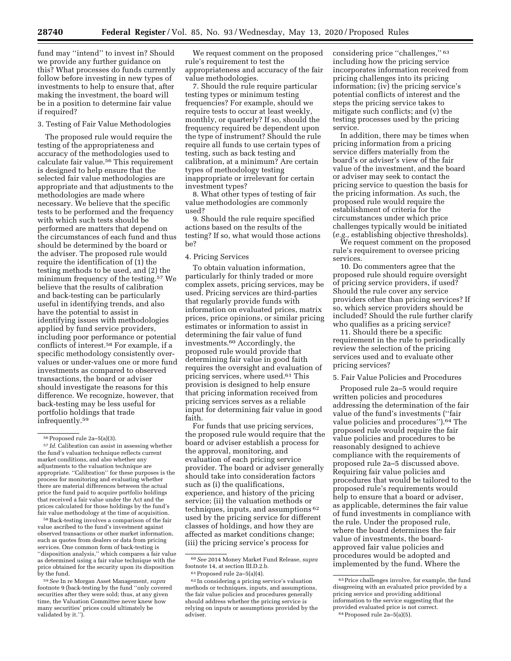fund may ''intend'' to invest in? Should we provide any further guidance on this? What processes do funds currently follow before investing in new types of investments to help to ensure that, after making the investment, the board will be in a position to determine fair value if required?

3. Testing of Fair Value Methodologies

The proposed rule would require the testing of the appropriateness and accuracy of the methodologies used to calculate fair value.56 This requirement is designed to help ensure that the selected fair value methodologies are appropriate and that adjustments to the methodologies are made where necessary. We believe that the specific tests to be performed and the frequency with which such tests should be performed are matters that depend on the circumstances of each fund and thus should be determined by the board or the adviser. The proposed rule would require the identification of (1) the testing methods to be used, and (2) the minimum frequency of the testing.57 We believe that the results of calibration and back-testing can be particularly useful in identifying trends, and also have the potential to assist in identifying issues with methodologies applied by fund service providers, including poor performance or potential conflicts of interest.58 For example, if a specific methodology consistently overvalues or under-values one or more fund investments as compared to observed transactions, the board or adviser should investigate the reasons for this difference. We recognize, however, that back-testing may be less useful for portfolio holdings that trade infrequently.59

58Back-testing involves a comparison of the fair value ascribed to the fund's investment against observed transactions or other market information, such as quotes from dealers or data from pricing services. One common form of back-testing is ''disposition analysis,'' which compares a fair value as determined using a fair value technique with the price obtained for the security upon its disposition by the fund.

We request comment on the proposed rule's requirement to test the appropriateness and accuracy of the fair value methodologies.

7. Should the rule require particular testing types or minimum testing frequencies? For example, should we require tests to occur at least weekly, monthly, or quarterly? If so, should the frequency required be dependent upon the type of instrument? Should the rule require all funds to use certain types of testing, such as back testing and calibration, at a minimum? Are certain types of methodology testing inappropriate or irrelevant for certain investment types?

8. What other types of testing of fair value methodologies are commonly used?

9. Should the rule require specified actions based on the results of the testing? If so, what would those actions be?

### 4. Pricing Services

To obtain valuation information, particularly for thinly traded or more complex assets, pricing services, may be used. Pricing services are third-parties that regularly provide funds with information on evaluated prices, matrix prices, price opinions, or similar pricing estimates or information to assist in determining the fair value of fund investments.60 Accordingly, the proposed rule would provide that determining fair value in good faith requires the oversight and evaluation of pricing services, where used.61 This provision is designed to help ensure that pricing information received from pricing services serves as a reliable input for determining fair value in good faith.

For funds that use pricing services, the proposed rule would require that the board or adviser establish a process for the approval, monitoring, and evaluation of each pricing service provider. The board or adviser generally should take into consideration factors such as (i) the qualifications, experience, and history of the pricing service; (ii) the valuation methods or techniques, inputs, and assumptions 62 used by the pricing service for different classes of holdings, and how they are affected as market conditions change; (iii) the pricing service's process for

considering price "challenges," 63 including how the pricing service incorporates information received from pricing challenges into its pricing information; (iv) the pricing service's potential conflicts of interest and the steps the pricing service takes to mitigate such conflicts; and (v) the testing processes used by the pricing service.

In addition, there may be times when pricing information from a pricing service differs materially from the board's or adviser's view of the fair value of the investment, and the board or adviser may seek to contact the pricing service to question the basis for the pricing information. As such, the proposed rule would require the establishment of criteria for the circumstances under which price challenges typically would be initiated (*e.g.,* establishing objective thresholds).

We request comment on the proposed rule's requirement to oversee pricing services.

10. Do commenters agree that the proposed rule should require oversight of pricing service providers, if used? Should the rule cover any service providers other than pricing services? If so, which service providers should be included? Should the rule further clarify who qualifies as a pricing service?

11. Should there be a specific requirement in the rule to periodically review the selection of the pricing services used and to evaluate other pricing services?

#### 5. Fair Value Policies and Procedures

Proposed rule 2a–5 would require written policies and procedures addressing the determination of the fair value of the fund's investments (''fair value policies and procedures'').64 The proposed rule would require the fair value policies and procedures to be reasonably designed to achieve compliance with the requirements of proposed rule 2a–5 discussed above. Requiring fair value policies and procedures that would be tailored to the proposed rule's requirements would help to ensure that a board or adviser, as applicable, determines the fair value of fund investments in compliance with the rule. Under the proposed rule, where the board determines the fair value of investments, the boardapproved fair value policies and procedures would be adopted and implemented by the fund. Where the

<sup>56</sup>Proposed rule 2a–5(a)(3).

<sup>57</sup> *Id.* Calibration can assist in assessing whether the fund's valuation technique reflects current market conditions, and also whether any adjustments to the valuation technique are appropriate. ''Calibration'' for these purposes is the process for monitoring and evaluating whether there are material differences between the actual price the fund paid to acquire portfolio holdings that received a fair value under the Act and the prices calculated for those holdings by the fund's fair value methodology at the time of acquisition.

<sup>59</sup>*See* In re Morgan Asset Management, *supra*  footnote 9 (back-testing by the fund ''only covered securities after they were sold; thus, at any given time, the Valuation Committee never knew how many securities' prices could ultimately be validated by it.'').

<sup>60</sup>*See* 2014 Money Market Fund Release, *supra*  footnote 14, at section III.D.2.b.  $61$  Proposed rule 2a-5(a)(4).

<sup>62</sup> In considering a pricing service's valuation methods or techniques, inputs, and assumptions, the fair value policies and procedures generally should address whether the pricing service is relying on inputs or assumptions provided by the adviser.

 $\rm ^{63}$  Price challenges involve, for example, the fund disagreeing with an evaluated price provided by a pricing service and providing additional information to the service suggesting that the provided evaluated price is not correct. 64Proposed rule 2a–5(a)(5).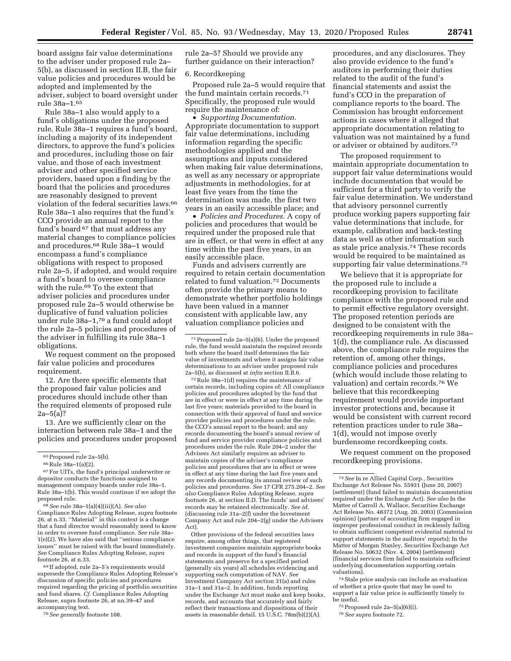board assigns fair value determinations to the adviser under proposed rule 2a– 5(b), as discussed in section II.B, the fair value policies and procedures would be adopted and implemented by the adviser, subject to board oversight under rule 38a–1.65

Rule 38a–1 also would apply to a fund's obligations under the proposed rule. Rule 38a–1 requires a fund's board, including a majority of its independent directors, to approve the fund's policies and procedures, including those on fair value, and those of each investment adviser and other specified service providers, based upon a finding by the board that the policies and procedures are reasonably designed to prevent violation of the federal securities laws.66 Rule 38a–1 also requires that the fund's CCO provide an annual report to the fund's board 67 that must address any material changes to compliance policies and procedures.68 Rule 38a–1 would encompass a fund's compliance obligations with respect to proposed rule 2a–5, if adopted, and would require a fund's board to oversee compliance with the rule.69 To the extent that adviser policies and procedures under proposed rule 2a–5 would otherwise be duplicative of fund valuation policies under rule 38a–1,70 a fund could adopt the rule 2a–5 policies and procedures of the adviser in fulfilling its rule 38a–1 obligations.

We request comment on the proposed fair value policies and procedures requirement.

12. Are there specific elements that the proposed fair value policies and procedures should include other than the required elements of proposed rule  $2a-5(a)$ ?

13. Are we sufficiently clear on the interaction between rule 38a–1 and the policies and procedures under proposed

67For UITs, the fund's principal underwriter or depositor conducts the functions assigned to management company boards under rule 38a–1. Rule 38a–1(b). This would continue if we adopt the proposed rule.

68*See* rule 38a–1(a)(4)(iii)(A). *See also*  Compliance Rules Adopting Release, *supra* footnote 26, at n.33. ''Material'' in this context is a change that a fund director would reasonably need to know in order to oversee fund compliance. *See* rule 38a– 1(e)(2). We have also said that ''serious compliance issues'' must be raised with the board immediately. *See* Compliance Rules Adopting Release, *supra*  footnote 26, at n.33.

69 If adopted, rule 2a–5's requirements would supersede the Compliance Rules Adopting Release's discussion of specific policies and procedures required regarding the pricing of portfolio securities and fund shares. *Cf.* Compliance Rules Adopting Release, supra footnote 26, at nn.39–47 and accompanying text.

70*See generally* footnote 108.

rule 2a–5? Should we provide any further guidance on their interaction?

## 6. Recordkeeping

Proposed rule 2a–5 would require that the fund maintain certain records.71 Specifically, the proposed rule would require the maintenance of:

• *Supporting Documentation.*  Appropriate documentation to support fair value determinations, including information regarding the specific methodologies applied and the assumptions and inputs considered when making fair value determinations, as well as any necessary or appropriate adjustments in methodologies, for at least five years from the time the determination was made, the first two years in an easily accessible place; and

• *Policies and Procedures.* A copy of policies and procedures that would be required under the proposed rule that are in effect, or that were in effect at any time within the past five years, in an easily accessible place.

Funds and advisers currently are required to retain certain documentation related to fund valuation.72 Documents often provide the primary means to demonstrate whether portfolio holdings have been valued in a manner consistent with applicable law, any valuation compliance policies and

 $^{72}\rm{Rule}$  38a–1(d) requires the maintenance of certain records, including copies of: All compliance policies and procedures adopted by the fund that are in effect or were in effect at any time during the last five years; materials provided to the board in connection with their approval of fund and service provider policies and procedures under the rule; the CCO's annual report to the board; and any records documenting the board's annual review of fund and service provider compliance policies and procedures under the rule. Rule 204–2 under the Advisers Act similarly requires an adviser to maintain copies of the adviser's compliance policies and procedures that are in effect or were in effect at any time during the last five years and any records documenting its annual review of such policies and procedures. *See* 17 CFR 275.204–2. *See also* Compliance Rules Adopting Release, *supra*  footnote 26, at section II.D. The funds' and advisers' records may be retained electronically. *See id.*  (discussing rule 31a–2(f) under the Investment Company Act and rule 204–2(g) under the Advisers Act).

Other provisions of the federal securities laws require, among other things, that registered investment companies maintain appropriate books and records in support of the fund's financial statements and preserve for a specified period (generally six years) all schedules evidencing and supporting each computation of NAV. *See*  Investment Company Act section 31(a) and rules 31a–1 and 31a–2. In addition, funds reporting under the Exchange Act must make and keep books, records, and accounts that accurately and fairly reflect their transactions and dispositions of their assets in reasonable detail. 15 U.S.C. 78m(b)(2)(A).

procedures, and any disclosures. They also provide evidence to the fund's auditors in performing their duties related to the audit of the fund's financial statements and assist the fund's CCO in the preparation of compliance reports to the board. The Commission has brought enforcement actions in cases where it alleged that appropriate documentation relating to valuation was not maintained by a fund or adviser or obtained by auditors.73

The proposed requirement to maintain appropriate documentation to support fair value determinations would include documentation that would be sufficient for a third party to verify the fair value determination. We understand that advisory personnel currently produce working papers supporting fair value determinations that include, for example, calibration and back-testing data as well as other information such as stale price analysis.74 These records would be required to be maintained as supporting fair value determinations.75

We believe that it is appropriate for the proposed rule to include a recordkeeping provision to facilitate compliance with the proposed rule and to permit effective regulatory oversight. The proposed retention periods are designed to be consistent with the recordkeeping requirements in rule 38a– 1(d), the compliance rule. As discussed above, the compliance rule requires the retention of, among other things, compliance policies and procedures (which would include those relating to valuation) and certain records.76 We believe that this recordkeeping requirement would provide important investor protections and, because it would be consistent with current record retention practices under to rule 38a– 1(d), would not impose overly burdensome recordkeeping costs.

We request comment on the proposed recordkeeping provisions.

74Stale price analysis can include an evaluation of whether a price quote that may be used to support a fair value price is sufficiently timely to be useful.

 $75$  Proposed rule 2a–5(a)(6)(i).

76*See supra* footnote 72.

<sup>65</sup>Proposed rule 2a–5(b).

<sup>66</sup>Rule 38a–1(a)(2).

<sup>71</sup>Proposed rule 2a–5(a)(6). Under the proposed rule, the fund would maintain the required records both where the board itself determines the fair value of investments and where it assigns fair value determinations to an adviser under proposed rule 2a–5(b), as discussed at *infra* section II.B.6.

<sup>73</sup>*See* In re Allied Capital Corp., Securities Exchange Act Release No. 55931 (June 20, 2007) (settlement) (fund failed to maintain documentation required under the Exchange Act). *See also* In the Matter of Carroll A. Wallace, Securities Exchange Act Release No. 48372 (Aug. 20, 2003) (Commission opinion) (partner of accounting firm engaged in improper professional conduct in recklessly failing to obtain sufficient competent evidential material to support statements in the auditors' reports); In the Matter of Morgan Stanley, Securities Exchange Act Release No. 50632 (Nov. 4, 2004) (settlement) (financial services firm failed to maintain sufficient underlying documentation supporting certain valuations).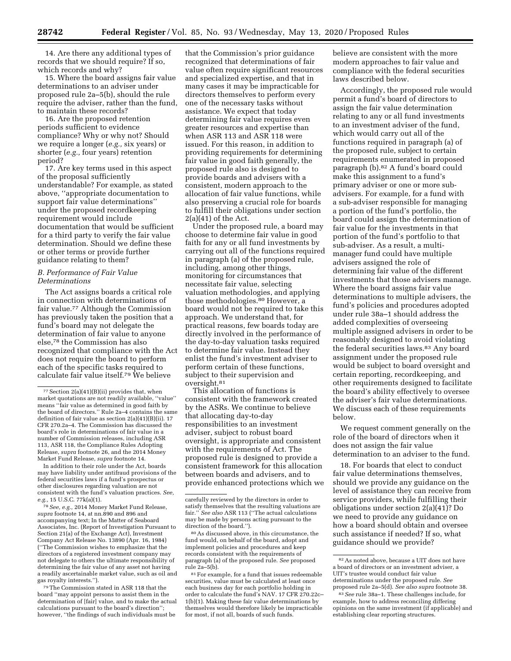14. Are there any additional types of records that we should require? If so, which records and why?

15. Where the board assigns fair value determinations to an adviser under proposed rule 2a–5(b), should the rule require the adviser, rather than the fund, to maintain these records?

16. Are the proposed retention periods sufficient to evidence compliance? Why or why not? Should we require a longer (*e.g.,* six years) or shorter (*e.g.,* four years) retention period?

17. Are key terms used in this aspect of the proposal sufficiently understandable? For example, as stated above, ''appropriate documentation to support fair value determinations'' under the proposed recordkeeping requirement would include documentation that would be sufficient for a third party to verify the fair value determination. Should we define these or other terms or provide further guidance relating to them?

## *B. Performance of Fair Value Determinations*

The Act assigns boards a critical role in connection with determinations of fair value.77 Although the Commission has previously taken the position that a fund's board may not delegate the determination of fair value to anyone else,78 the Commission has also recognized that compliance with the Act does not require the board to perform each of the specific tasks required to calculate fair value itself.79 We believe

In addition to their role under the Act, boards may have liability under antifraud provisions of the federal securities laws if a fund's prospectus or other disclosures regarding valuation are not consistent with the fund's valuation practices. *See, e.g.,* 15 U.S.C. 77k(a)(1).

78*See, e.g.,* 2014 Money Market Fund Release, *supra* footnote 14, at nn.890 and 896 and accompanying text; In the Matter of Seaboard Associates, Inc. (Report of Investigation Pursuant to Section 21(a) of the Exchange Act), Investment Company Act Release No. 13890 (Apr. 16, 1984) (''The Commission wishes to emphasize that the directors of a registered investment company may not delegate to others the ultimate responsibility of determining the fair value of any asset not having a readily ascertainable market value, such as oil and gas royalty interests.'').

79The Commission stated in ASR 118 that the board ''may appoint persons to assist them in the determination of [fair] value, and to make the actual calculations pursuant to the board's direction''; however, ''the findings of such individuals must be

that the Commission's prior guidance recognized that determinations of fair value often require significant resources and specialized expertise, and that in many cases it may be impracticable for directors themselves to perform every one of the necessary tasks without assistance. We expect that today determining fair value requires even greater resources and expertise than when ASR 113 and ASR 118 were issued. For this reason, in addition to providing requirements for determining fair value in good faith generally, the proposed rule also is designed to provide boards and advisers with a consistent, modern approach to the allocation of fair value functions, while also preserving a crucial role for boards to fulfill their obligations under section  $2(a)(41)$  of the Act.

Under the proposed rule, a board may choose to determine fair value in good faith for any or all fund investments by carrying out all of the functions required in paragraph (a) of the proposed rule, including, among other things, monitoring for circumstances that necessitate fair value, selecting valuation methodologies, and applying those methodologies.80 However, a board would not be required to take this approach. We understand that, for practical reasons, few boards today are directly involved in the performance of the day-to-day valuation tasks required to determine fair value. Instead they enlist the fund's investment adviser to perform certain of these functions, subject to their supervision and oversight.81

This allocation of functions is consistent with the framework created by the ASRs. We continue to believe that allocating day-to-day responsibilities to an investment adviser, subject to robust board oversight, is appropriate and consistent with the requirements of Act. The proposed rule is designed to provide a consistent framework for this allocation between boards and advisers, and to provide enhanced protections which we

80As discussed above, in this circumstance, the fund would, on behalf of the board, adopt and implement policies and procedures and keep records consistent with the requirements of paragraph (a) of the proposed rule. *See* proposed rule 2a–5(b).

81For example, for a fund that issues redeemable securities, value must be calculated at least once each business day for each portfolio holding in order to calculate the fund's NAV. 17 CFR 270.22c– 1(b)(1). Making these fair value determinations by themselves would therefore likely be impracticable for most, if not all, boards of such funds.

believe are consistent with the more modern approaches to fair value and compliance with the federal securities laws described below.

Accordingly, the proposed rule would permit a fund's board of directors to assign the fair value determination relating to any or all fund investments to an investment adviser of the fund, which would carry out all of the functions required in paragraph (a) of the proposed rule, subject to certain requirements enumerated in proposed paragraph (b).82 A fund's board could make this assignment to a fund's primary adviser or one or more subadvisers. For example, for a fund with a sub-adviser responsible for managing a portion of the fund's portfolio, the board could assign the determination of fair value for the investments in that portion of the fund's portfolio to that sub-adviser. As a result, a multimanager fund could have multiple advisers assigned the role of determining fair value of the different investments that those advisers manage. Where the board assigns fair value determinations to multiple advisers, the fund's policies and procedures adopted under rule 38a–1 should address the added complexities of overseeing multiple assigned advisers in order to be reasonably designed to avoid violating the federal securities laws.83 Any board assignment under the proposed rule would be subject to board oversight and certain reporting, recordkeeping, and other requirements designed to facilitate the board's ability effectively to oversee the adviser's fair value determinations. We discuss each of these requirements below.

We request comment generally on the role of the board of directors when it does not assign the fair value determination to an adviser to the fund.

18. For boards that elect to conduct fair value determinations themselves, should we provide any guidance on the level of assistance they can receive from service providers, while fulfilling their obligations under section 2(a)(41)? Do we need to provide any guidance on how a board should obtain and oversee such assistance if needed? If so, what guidance should we provide?

 $77$  Section  $2(a)(41)(B)(ii)$  provides that, when market quotations are not readily available, ''value'' means ''fair value as determined in good faith by the board of directors.'' Rule 2a–4 contains the same definition of fair value as section 2(a)(41)(B)(ii). 17 CFR 270.2a–4. The Commission has discussed the board's role in determinations of fair value in a number of Commission releases, including ASR 113, ASR 118, the Compliance Rules Adopting Release, *supra* footnote 26, and the 2014 Money Market Fund Release, *supra* footnote 14.

carefully reviewed by the directors in order to satisfy themselves that the resulting valuations are fair.'' *See also* ASR 113 (''The actual calculations may be made by persons acting pursuant to the direction of the board.'').

<sup>82</sup>As noted above, because a UIT does not have a board of directors or an investment adviser, a UIT's trustee would conduct fair value determinations under the proposed rule. *See*  proposed rule 2a–5(d). *See also supra* footnote 38.

<sup>83</sup>*See* rule 38a–1. These challenges include, for example, how to address reconciling differing opinions on the same investment (if applicable) and establishing clear reporting structures.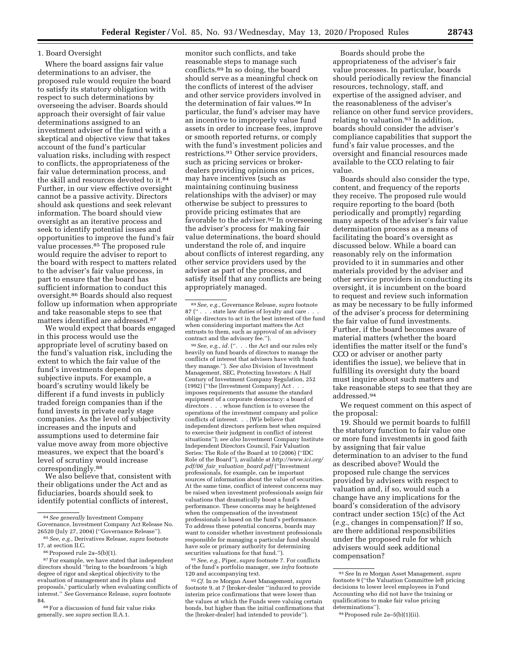### 1. Board Oversight

Where the board assigns fair value determinations to an adviser, the proposed rule would require the board to satisfy its statutory obligation with respect to such determinations by overseeing the adviser. Boards should approach their oversight of fair value determinations assigned to an investment adviser of the fund with a skeptical and objective view that takes account of the fund's particular valuation risks, including with respect to conflicts, the appropriateness of the fair value determination process, and the skill and resources devoted to it.84 Further, in our view effective oversight cannot be a passive activity. Directors should ask questions and seek relevant information. The board should view oversight as an iterative process and seek to identify potential issues and opportunities to improve the fund's fair value processes.85 The proposed rule would require the adviser to report to the board with respect to matters related to the adviser's fair value process, in part to ensure that the board has sufficient information to conduct this oversight.86 Boards should also request follow up information when appropriate and take reasonable steps to see that matters identified are addressed.87

We would expect that boards engaged in this process would use the appropriate level of scrutiny based on the fund's valuation risk, including the extent to which the fair value of the fund's investments depend on subjective inputs. For example, a board's scrutiny would likely be different if a fund invests in publicly traded foreign companies than if the fund invests in private early stage companies. As the level of subjectivity increases and the inputs and assumptions used to determine fair value move away from more objective measures, we expect that the board's level of scrutiny would increase correspondingly.88

We also believe that, consistent with their obligations under the Act and as fiduciaries, boards should seek to identify potential conflicts of interest,

88For a discussion of fund fair value risks generally, see *supra* section II.A.1.

monitor such conflicts, and take reasonable steps to manage such conflicts.89 In so doing, the board should serve as a meaningful check on the conflicts of interest of the adviser and other service providers involved in the determination of fair values.<sup>90</sup> In particular, the fund's adviser may have an incentive to improperly value fund assets in order to increase fees, improve or smooth reported returns, or comply with the fund's investment policies and restrictions.91 Other service providers, such as pricing services or brokerdealers providing opinions on prices, may have incentives (such as maintaining continuing business relationships with the adviser) or may otherwise be subject to pressures to provide pricing estimates that are favorable to the adviser.92 In overseeing the adviser's process for making fair value determinations, the board should understand the role of, and inquire about conflicts of interest regarding, any other service providers used by the adviser as part of the process, and satisfy itself that any conflicts are being appropriately managed.

<sup>90</sup> See, e.g., id. (". . . the Act and our rules rely heavily on fund boards of directors to manage the conflicts of interest that advisers have with funds they manage.''). *See also* Division of Investment Management, SEC, Protecting Investors: A Half Century of Investment Company Regulation, 252 (1992) (''the [Investment Company] Act . . . imposes requirements that assume the standard equipment of a corporate democracy: a board of directors . . . whose function is to oversee the operations of the investment company and police conflicts of interest. . . [W]e believe that independent directors perform best when required to exercise their judgment in conflict of interest situations''); *see also* Investment Company Institute Independent Directors Council, Fair Valuation Series: The Role of the Board at 10 (2006) (''IDC Role of the Board''), available at *[http://www.ici.org/](http://www.ici.org/pdf/06_fair_valuation_board.pdf) pdf/06*\_*fair*\_*valuation*\_*[board.pdf](http://www.ici.org/pdf/06_fair_valuation_board.pdf)* (''Investment professionals, for example, can be important sources of information about the value of securities. At the same time, conflict of interest concerns may be raised when investment professionals assign fair valuations that dramatically boost a fund's performance. These concerns may be heightened when the compensation of the investment professionals is based on the fund's performance. To address these potential concerns, boards may want to consider whether investment professionals responsible for managing a particular fund should have sole or primary authority for determining securities valuations for that fund.'').

91*See, e.g.,* Piper, *supra* footnote 7. For conflicts of the fund's portfolio manager, see *infra* footnote 120 and accompanying text.

92*Cf.* In re Morgan Asset Management, *supra*  footnote 9, at 7 (broker-dealer ''induced to provide interim price confirmations that were lower than the values at which the Funds were valuing certain bonds, but higher than the initial confirmations that the [broker-dealer] had intended to provide'').

Boards should probe the appropriateness of the adviser's fair value processes. In particular, boards should periodically review the financial resources, technology, staff, and expertise of the assigned adviser, and the reasonableness of the adviser's reliance on other fund service providers, relating to valuation.<sup>93</sup> In addition, boards should consider the adviser's compliance capabilities that support the fund's fair value processes, and the oversight and financial resources made available to the CCO relating to fair value.

Boards should also consider the type, content, and frequency of the reports they receive. The proposed rule would require reporting to the board (both periodically and promptly) regarding many aspects of the adviser's fair value determination process as a means of facilitating the board's oversight as discussed below. While a board can reasonably rely on the information provided to it in summaries and other materials provided by the adviser and other service providers in conducting its oversight, it is incumbent on the board to request and review such information as may be necessary to be fully informed of the adviser's process for determining the fair value of fund investments. Further, if the board becomes aware of material matters (whether the board identifies the matter itself or the fund's CCO or adviser or another party identifies the issue), we believe that in fulfilling its oversight duty the board must inquire about such matters and take reasonable steps to see that they are addressed.94

We request comment on this aspect of the proposal:

19. Should we permit boards to fulfill the statutory function to fair value one or more fund investments in good faith by assigning that fair value determination to an adviser to the fund as described above? Would the proposed rule change the services provided by advisers with respect to valuation and, if so, would such a change have any implications for the board's consideration of the advisory contract under section 15(c) of the Act (*e.g.,* changes in compensation)? If so, are there additional responsibilities under the proposed rule for which advisers would seek additional compensation?

<sup>84</sup>*See generally* Investment Company Governance, Investment Company Act Release No. 26520 (July 27, 2004) (''Governance Release'').

<sup>85</sup>*See, e.g.,* Derivatives Release, *supra* footnote 17, at section II.C.

<sup>86</sup>Proposed rule 2a–5(b)(1).

<sup>&</sup>lt;sup>87</sup> For example, we have stated that independent directors should ''bring to the boardroom 'a high degree of rigor and skeptical objectivity to the evaluation of management and its plans and proposals,' particularly when evaluating conflicts of interest.'' *See* Governance Release, *supra* footnote 84.

<sup>89</sup>*See, e.g.,* Governance Release, *supra* footnote 87 (" . . . state law duties of loyalty and care oblige directors to act in the best interest of the fund when considering important matters the Act entrusts to them, such as approval of an advisory contract and the advisory fee.'').

<sup>93</sup>*See* In re Morgan Asset Management, *supra*  footnote 9 (''the Valuation Committee left pricing decisions to lower level employees in Fund Accounting who did not have the training or qualifications to make fair value pricing determinations'').

<sup>94</sup>Proposed rule 2a–5(b)(1)(ii).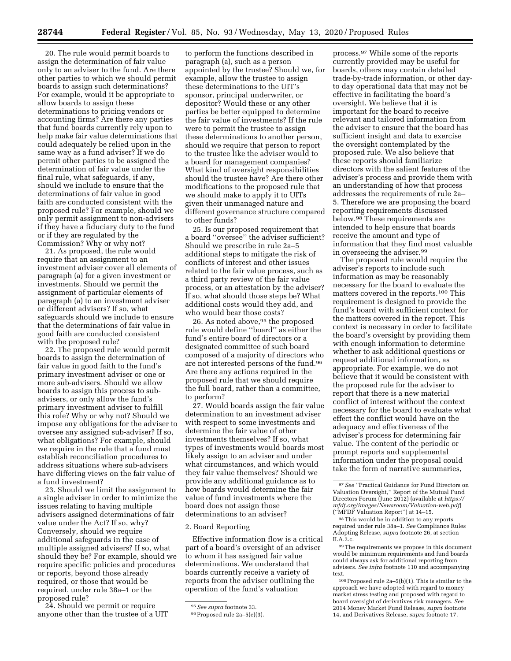20. The rule would permit boards to assign the determination of fair value only to an adviser to the fund. Are there other parties to which we should permit boards to assign such determinations? For example, would it be appropriate to allow boards to assign these determinations to pricing vendors or accounting firms? Are there any parties that fund boards currently rely upon to help make fair value determinations that could adequately be relied upon in the same way as a fund adviser? If we do permit other parties to be assigned the determination of fair value under the final rule, what safeguards, if any, should we include to ensure that the determinations of fair value in good faith are conducted consistent with the proposed rule? For example, should we only permit assignment to non-advisers if they have a fiduciary duty to the fund or if they are regulated by the Commission? Why or why not?

21. As proposed, the rule would require that an assignment to an investment adviser cover all elements of paragraph (a) for a given investment or investments. Should we permit the assignment of particular elements of paragraph (a) to an investment adviser or different advisers? If so, what safeguards should we include to ensure that the determinations of fair value in good faith are conducted consistent with the proposed rule?

22. The proposed rule would permit boards to assign the determination of fair value in good faith to the fund's primary investment adviser or one or more sub-advisers. Should we allow boards to assign this process to subadvisers, or only allow the fund's primary investment adviser to fulfill this role? Why or why not? Should we impose any obligations for the adviser to oversee any assigned sub-adviser? If so, what obligations? For example, should we require in the rule that a fund must establish reconciliation procedures to address situations where sub-advisers have differing views on the fair value of a fund investment?

23. Should we limit the assignment to a single adviser in order to minimize the issues relating to having multiple advisers assigned determinations of fair value under the Act? If so, why? Conversely, should we require additional safeguards in the case of multiple assigned advisers? If so, what should they be? For example, should we require specific policies and procedures or reports, beyond those already required, or those that would be required, under rule 38a–1 or the proposed rule?

24. Should we permit or require anyone other than the trustee of a UIT

to perform the functions described in paragraph (a), such as a person appointed by the trustee? Should we, for example, allow the trustee to assign these determinations to the UIT's sponsor, principal underwriter, or depositor? Would these or any other parties be better equipped to determine the fair value of investments? If the rule were to permit the trustee to assign these determinations to another person, should we require that person to report to the trustee like the adviser would to a board for management companies? What kind of oversight responsibilities should the trustee have? Are there other modifications to the proposed rule that we should make to apply it to UITs given their unmanaged nature and different governance structure compared to other funds?

25. Is our proposed requirement that a board ''oversee'' the adviser sufficient? Should we prescribe in rule 2a–5 additional steps to mitigate the risk of conflicts of interest and other issues related to the fair value process, such as a third party review of the fair value process, or an attestation by the adviser? If so, what should those steps be? What additional costs would they add, and who would bear those costs?

26. As noted above, <sup>95</sup> the proposed rule would define ''board'' as either the fund's entire board of directors or a designated committee of such board composed of a majority of directors who are not interested persons of the fund.96 Are there any actions required in the proposed rule that we should require the full board, rather than a committee, to perform?

27. Would boards assign the fair value determination to an investment adviser with respect to some investments and determine the fair value of other investments themselves? If so, what types of investments would boards most likely assign to an adviser and under what circumstances, and which would they fair value themselves? Should we provide any additional guidance as to how boards would determine the fair value of fund investments where the board does not assign those determinations to an adviser?

#### 2. Board Reporting

Effective information flow is a critical part of a board's oversight of an adviser to whom it has assigned fair value determinations. We understand that boards currently receive a variety of reports from the adviser outlining the operation of the fund's valuation

process.97 While some of the reports currently provided may be useful for boards, others may contain detailed trade-by-trade information, or other dayto day operational data that may not be effective in facilitating the board's oversight. We believe that it is important for the board to receive relevant and tailored information from the adviser to ensure that the board has sufficient insight and data to exercise the oversight contemplated by the proposed rule. We also believe that these reports should familiarize directors with the salient features of the adviser's process and provide them with an understanding of how that process addresses the requirements of rule 2a– 5. Therefore we are proposing the board reporting requirements discussed below.98 These requirements are intended to help ensure that boards receive the amount and type of information that they find most valuable in overseeing the adviser.99

The proposed rule would require the adviser's reports to include such information as may be reasonably necessary for the board to evaluate the matters covered in the reports.100 This requirement is designed to provide the fund's board with sufficient context for the matters covered in the report. This context is necessary in order to facilitate the board's oversight by providing them with enough information to determine whether to ask additional questions or request additional information, as appropriate. For example, we do not believe that it would be consistent with the proposed rule for the adviser to report that there is a new material conflict of interest without the context necessary for the board to evaluate what effect the conflict would have on the adequacy and effectiveness of the adviser's process for determining fair value. The content of the periodic or prompt reports and supplemental information under the proposal could take the form of narrative summaries,

99The requirements we propose in this document would be minimum requirements and fund boards could always ask for additional reporting from advisers. *See infra* footnote 110 and accompanying text.

<sup>95</sup>*See supra* footnote 33.

<sup>96</sup>Proposed rule 2a–5(e)(3).

<sup>97</sup>*See* ''Practical Guidance for Fund Directors on Valuation Oversight,'' Report of the Mutual Fund Directors Forum (June 2012) (available at *[https://](https://mfdf.org/images/Newsroom/Valuation-web.pdf) [mfdf.org/images/Newsroom/Valuation-web.pdf](https://mfdf.org/images/Newsroom/Valuation-web.pdf)*) (''MFDF Valuation Report'') at 14–15.

<sup>98</sup>This would be in addition to any reports required under rule 38a–1. *See* Compliance Rules Adopting Release, *supra* footnote 26, at section II.A.2.c.

 $100$  Proposed rule 2a–5(b)(1). This is similar to the approach we have adopted with regard to money market stress testing and proposed with regard to board oversight of derivatives risk managers. *See*  2014 Money Market Fund Release, *supra* footnote 14, and Derivatives Release, *supra* footnote 17.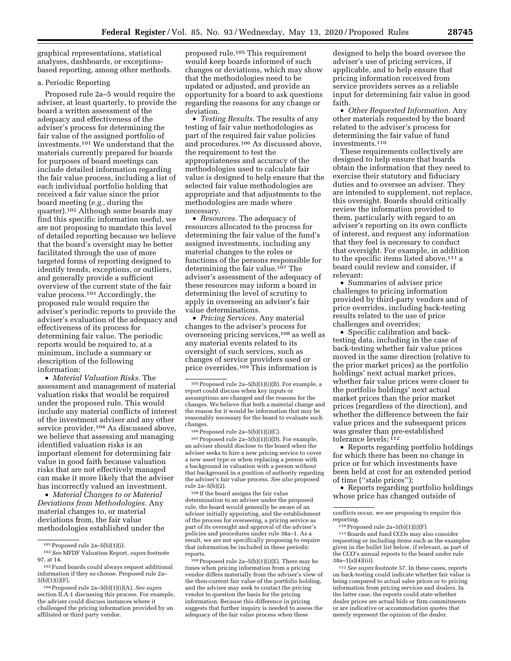graphical representations, statistical analyses, dashboards, or exceptionsbased reporting, among other methods.

### a. Periodic Reporting

Proposed rule 2a–5 would require the adviser, at least quarterly, to provide the board a written assessment of the adequacy and effectiveness of the adviser's process for determining the fair value of the assigned portfolio of investments.101 We understand that the materials currently prepared for boards for purposes of board meetings can include detailed information regarding the fair value process, including a list of each individual portfolio holding that received a fair value since the prior board meeting (*e.g.,* during the quarter).102 Although some boards may find this specific information useful, we are not proposing to mandate this level of detailed reporting because we believe that the board's oversight may be better facilitated through the use of more targeted forms of reporting designed to identify trends, exceptions, or outliers, and generally provide a sufficient overview of the current state of the fair value process.103 Accordingly, the proposed rule would require the adviser's periodic reports to provide the adviser's evaluation of the adequacy and effectiveness of its process for determining fair value. The periodic reports would be required to, at a minimum, include a summary or description of the following information:

• *Material Valuation Risks.* The assessment and management of material valuation risks that would be required under the proposed rule. This would include any material conflicts of interest of the investment adviser and any other service provider.104 As discussed above, we believe that assessing and managing identified valuation risks is an important element for determining fair value in good faith because valuation risks that are not effectively managed can make it more likely that the adviser has incorrectly valued an investment.

• *Material Changes to or Material Deviations from Methodologies.* Any material changes to, or material deviations from, the fair value methodologies established under the

proposed rule.105 This requirement would keep boards informed of such changes or deviations, which may show that the methodologies need to be updated or adjusted, and provide an opportunity for a board to ask questions regarding the reasons for any change or deviation.

• *Testing Results.* The results of any testing of fair value methodologies as part of the required fair value policies and procedures.106 As discussed above, the requirement to test the appropriateness and accuracy of the methodologies used to calculate fair value is designed to help ensure that the selected fair value methodologies are appropriate and that adjustments to the methodologies are made where necessary.

• *Resources*. The adequacy of resources allocated to the process for determining the fair value of the fund's assigned investments, including any material changes to the roles or functions of the persons responsible for determining the fair value.107 The adviser's assessment of the adequacy of these resources may inform a board in determining the level of scrutiny to apply in overseeing an adviser's fair value determinations.

• *Pricing Services.* Any material changes to the adviser's process for overseeing pricing services,108 as well as any material events related to its oversight of such services, such as changes of service providers used or price overrides.109 This information is

106Proposed rule 2a–5(b)(1)(i)(C).

107 Proposed rule 2a-5(b)(1)(i)(D). For example, an adviser should disclose to the board when the adviser seeks to hire a new pricing service to cover a new asset type or when replacing a person with a background in valuation with a person without that background in a position of authority regarding the adviser's fair value process. *See also* proposed rule 2a–5(b)(2).

108 If the board assigns the fair value determination to an adviser under the proposed rule, the board would generally be aware of an adviser initially appointing, and the establishment of the process for overseeing, a pricing service as part of its oversight and approval of the adviser's policies and procedures under rule 38a–1. As a result, we are not specifically proposing to require that information be included in these periodic reports.

109Proposed rule 2a–5(b)(1)(i)(E). There may be times when pricing information from a pricing vendor differs materially from the adviser's view of the then-current fair value of the portfolio holding, and the adviser may seek to contact the pricing vendor to question the basis for the pricing information. Because this difference in pricing suggests that further inquiry is needed to assess the adequacy of the fair value process when these

designed to help the board oversee the adviser's use of pricing services, if applicable, and to help ensure that pricing information received from service providers serves as a reliable input for determining fair value in good faith.

• *Other Requested Information.* Any other materials requested by the board related to the adviser's process for determining the fair value of fund investments.110

These requirements collectively are designed to help ensure that boards obtain the information that they need to exercise their statutory and fiduciary duties and to oversee an adviser. They are intended to supplement, not replace, this oversight. Boards should critically review the information provided to them, particularly with regard to an adviser's reporting on its own conflicts of interest, and request any information that they feel is necessary to conduct that oversight. For example, in addition to the specific items listed above,<sup>111</sup> a board could review and consider, if relevant:

• Summaries of adviser price challenges to pricing information provided by third-party vendors and of price overrides, including back-testing results related to the use of price challenges and overrides;

• Specific calibration and backtesting data, including in the case of back-testing whether fair value prices moved in the same direction (relative to the prior market prices) as the portfolio holdings' next actual market prices, whether fair value prices were closer to the portfolio holdings' next actual market prices than the prior market prices (regardless of the direction), and whether the difference between the fair value prices and the subsequent prices was greater than pre-established tolerance levels;  $112$ 

• Reports regarding portfolio holdings for which there has been no change in price or for which investments have been held at cost for an extended period of time (''stale prices'');

• Reports regarding portfolio holdings whose price has changed outside of

conflicts occur, we are proposing to require this reporting.

111Boards and fund CCOs may also consider requesting or including items such as the examples given in the bullet list below, if relevant, as part of the CCO's annual reports to the board under rule  $38a-1(a)(4)(iii)$ .

112*See supra* footnote 57. In these cases, reports on back-testing could indicate whether fair value is being compared to actual sales prices or to pricing information from pricing services and dealers. In the latter case, the reports could state whether dealer prices are actual bids or firm commitments or are indicative or accommodation quotes that merely represent the opinion of the dealer.

<sup>101</sup>Proposed rule 2a–5(b)(1)(i).

<sup>102</sup>*See* MFDF Valuation Report, *supra* footnote 97, at 14.

<sup>103</sup>Fund boards could always request additional information if they so choose. Proposed rule 2a– 5(b)(1)(i)(F).

<sup>104</sup>Proposed rule 2a–5(b)(1)(i)(A). *See supra*  section II.A.1 discussing this process. For example, the adviser could discuss instances where it challenged the pricing information provided by an affiliated or third party vendor.

<sup>105</sup>Proposed rule 2a–5(b)(1)(i)(B). For example, a report could discuss when key inputs or assumptions are changed and the reasons for the changes. We believe that both a material change and the reason for it would be information that may be reasonably necessary for the board to evaluate such changes.

 $110$  Proposed rule 2a–5(b)(1)(i)(F).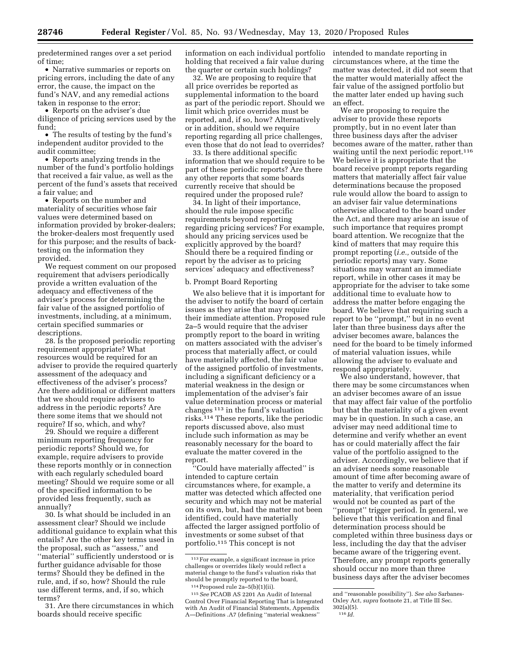predetermined ranges over a set period of time;

• Narrative summaries or reports on pricing errors, including the date of any error, the cause, the impact on the fund's NAV, and any remedial actions taken in response to the error;

• Reports on the adviser's due diligence of pricing services used by the fund;

• The results of testing by the fund's independent auditor provided to the audit committee;

• Reports analyzing trends in the number of the fund's portfolio holdings that received a fair value, as well as the percent of the fund's assets that received a fair value; and

• Reports on the number and materiality of securities whose fair values were determined based on information provided by broker-dealers; the broker-dealers most frequently used for this purpose; and the results of backtesting on the information they provided.

We request comment on our proposed requirement that advisers periodically provide a written evaluation of the adequacy and effectiveness of the adviser's process for determining the fair value of the assigned portfolio of investments, including, at a minimum, certain specified summaries or descriptions.

28. Is the proposed periodic reporting requirement appropriate? What resources would be required for an adviser to provide the required quarterly assessment of the adequacy and effectiveness of the adviser's process? Are there additional or different matters that we should require advisers to address in the periodic reports? Are there some items that we should not require? If so, which, and why?

29. Should we require a different minimum reporting frequency for periodic reports? Should we, for example, require advisers to provide these reports monthly or in connection with each regularly scheduled board meeting? Should we require some or all of the specified information to be provided less frequently, such as annually?

30. Is what should be included in an assessment clear? Should we include additional guidance to explain what this entails? Are the other key terms used in the proposal, such as ''assess,'' and ''material'' sufficiently understood or is further guidance advisable for those terms? Should they be defined in the rule, and, if so, how? Should the rule use different terms, and, if so, which terms?

31. Are there circumstances in which boards should receive specific

information on each individual portfolio holding that received a fair value during the quarter or certain such holdings?

32. We are proposing to require that all price overrides be reported as supplemental information to the board as part of the periodic report. Should we limit which price overrides must be reported, and, if so, how? Alternatively or in addition, should we require reporting regarding all price challenges, even those that do not lead to overrides?

33. Is there additional specific information that we should require to be part of these periodic reports? Are there any other reports that some boards currently receive that should be required under the proposed rule?

34. In light of their importance, should the rule impose specific requirements beyond reporting regarding pricing services? For example, should any pricing services used be explicitly approved by the board? Should there be a required finding or report by the adviser as to pricing services' adequacy and effectiveness?

### b. Prompt Board Reporting

We also believe that it is important for the adviser to notify the board of certain issues as they arise that may require their immediate attention. Proposed rule 2a–5 would require that the adviser promptly report to the board in writing on matters associated with the adviser's process that materially affect, or could have materially affected, the fair value of the assigned portfolio of investments, including a significant deficiency or a material weakness in the design or implementation of the adviser's fair value determination process or material changes 113 in the fund's valuation risks.114 These reports, like the periodic reports discussed above, also must include such information as may be reasonably necessary for the board to evaluate the matter covered in the report.

''Could have materially affected'' is intended to capture certain circumstances where, for example, a matter was detected which affected one security and which may not be material on its own, but, had the matter not been identified, could have materially affected the larger assigned portfolio of investments or some subset of that portfolio.115 This concept is not

intended to mandate reporting in circumstances where, at the time the matter was detected, it did not seem that the matter would materially affect the fair value of the assigned portfolio but the matter later ended up having such an effect.

We are proposing to require the adviser to provide these reports promptly, but in no event later than three business days after the adviser becomes aware of the matter, rather than waiting until the next periodic report.<sup>116</sup> We believe it is appropriate that the board receive prompt reports regarding matters that materially affect fair value determinations because the proposed rule would allow the board to assign to an adviser fair value determinations otherwise allocated to the board under the Act, and there may arise an issue of such importance that requires prompt board attention. We recognize that the kind of matters that may require this prompt reporting (*i.e.,* outside of the periodic reports) may vary. Some situations may warrant an immediate report, while in other cases it may be appropriate for the adviser to take some additional time to evaluate how to address the matter before engaging the board. We believe that requiring such a report to be ''prompt,'' but in no event later than three business days after the adviser becomes aware, balances the need for the board to be timely informed of material valuation issues, while allowing the adviser to evaluate and respond appropriately.

We also understand, however, that there may be some circumstances when an adviser becomes aware of an issue that may affect fair value of the portfolio but that the materiality of a given event may be in question. In such a case, an adviser may need additional time to determine and verify whether an event has or could materially affect the fair value of the portfolio assigned to the adviser. Accordingly, we believe that if an adviser needs some reasonable amount of time after becoming aware of the matter to verify and determine its materiality, that verification period would not be counted as part of the ''prompt'' trigger period. In general, we believe that this verification and final determination process should be completed within three business days or less, including the day that the adviser became aware of the triggering event. Therefore, any prompt reports generally should occur no more than three business days after the adviser becomes

<sup>113</sup>For example, a significant increase in price challenges or overrides likely would reflect a material change to the fund's valuation risks that should be promptly reported to the board, 114Proposed rule 2a–5(b)(1)(ii).

<sup>115</sup>*See* PCAOB AS 2201 An Audit of Internal Control Over Financial Reporting That is Integrated with An Audit of Financial Statements, Appendix A—Definitions .A7 (defining ''material weakness''

and ''reasonable possibility''). *See also* Sarbanes-Oxley Act, *supra* footnote 21, at Title III Sec. 302(a)(5).

<sup>116</sup> *Id.*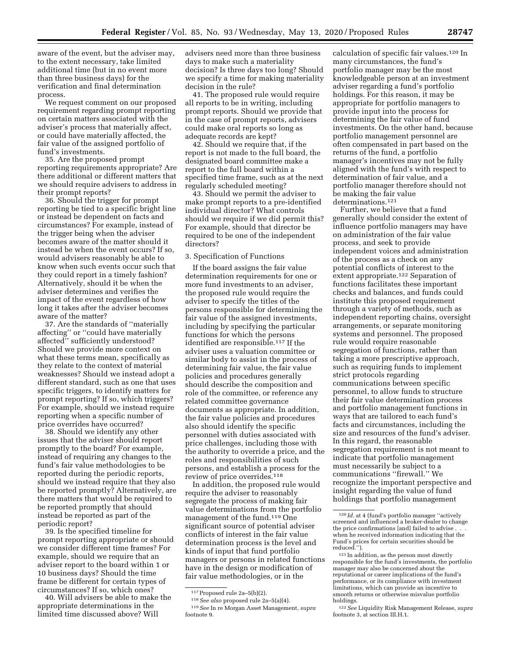aware of the event, but the adviser may, to the extent necessary, take limited additional time (but in no event more than three business days) for the verification and final determination process.

We request comment on our proposed requirement regarding prompt reporting on certain matters associated with the adviser's process that materially affect, or could have materially affected, the fair value of the assigned portfolio of fund's investments.

35. Are the proposed prompt reporting requirements appropriate? Are there additional or different matters that we should require advisers to address in their prompt reports?

36. Should the trigger for prompt reporting be tied to a specific bright line or instead be dependent on facts and circumstances? For example, instead of the trigger being when the adviser becomes aware of the matter should it instead be when the event occurs? If so, would advisers reasonably be able to know when such events occur such that they could report in a timely fashion? Alternatively, should it be when the adviser determines and verifies the impact of the event regardless of how long it takes after the adviser becomes aware of the matter?

37. Are the standards of ''materially affecting'' or ''could have materially affected" sufficiently understood? Should we provide more context on what these terms mean, specifically as they relate to the context of material weaknesses? Should we instead adopt a different standard, such as one that uses specific triggers, to identify matters for prompt reporting? If so, which triggers? For example, should we instead require reporting when a specific number of price overrides have occurred?

38. Should we identify any other issues that the adviser should report promptly to the board? For example, instead of requiring any changes to the fund's fair value methodologies to be reported during the periodic reports, should we instead require that they also be reported promptly? Alternatively, are there matters that would be required to be reported promptly that should instead be reported as part of the periodic report?

39. Is the specified timeline for prompt reporting appropriate or should we consider different time frames? For example, should we require that an adviser report to the board within 1 or 10 business days? Should the time frame be different for certain types of circumstances? If so, which ones?

40. Will advisers be able to make the appropriate determinations in the limited time discussed above? Will

advisers need more than three business days to make such a materiality decision? Is three days too long? Should we specify a time for making materiality decision in the rule?

41. The proposed rule would require all reports to be in writing, including prompt reports. Should we provide that in the case of prompt reports, advisers could make oral reports so long as adequate records are kept?

42. Should we require that, if the report is not made to the full board, the designated board committee make a report to the full board within a specified time frame, such as at the next regularly scheduled meeting?

43. Should we permit the adviser to make prompt reports to a pre-identified individual director? What controls should we require if we did permit this? For example, should that director be required to be one of the independent directors?

#### 3. Specification of Functions

If the board assigns the fair value determination requirements for one or more fund investments to an adviser, the proposed rule would require the adviser to specify the titles of the persons responsible for determining the fair value of the assigned investments, including by specifying the particular functions for which the persons identified are responsible.117 If the adviser uses a valuation committee or similar body to assist in the process of determining fair value, the fair value policies and procedures generally should describe the composition and role of the committee, or reference any related committee governance documents as appropriate. In addition, the fair value policies and procedures also should identify the specific personnel with duties associated with price challenges, including those with the authority to override a price, and the roles and responsibilities of such persons, and establish a process for the review of price overrides.118

In addition, the proposed rule would require the adviser to reasonably segregate the process of making fair value determinations from the portfolio management of the fund.119 One significant source of potential adviser conflicts of interest in the fair value determination process is the level and kinds of input that fund portfolio managers or persons in related functions have in the design or modification of fair value methodologies, or in the

calculation of specific fair values.120 In many circumstances, the fund's portfolio manager may be the most knowledgeable person at an investment adviser regarding a fund's portfolio holdings. For this reason, it may be appropriate for portfolio managers to provide input into the process for determining the fair value of fund investments. On the other hand, because portfolio management personnel are often compensated in part based on the returns of the fund, a portfolio manager's incentives may not be fully aligned with the fund's with respect to determination of fair value, and a portfolio manager therefore should not be making the fair value determinations.121

Further, we believe that a fund generally should consider the extent of influence portfolio managers may have on administration of the fair value process, and seek to provide independent voices and administration of the process as a check on any potential conflicts of interest to the extent appropriate.122 Separation of functions facilitates these important checks and balances, and funds could institute this proposed requirement through a variety of methods, such as independent reporting chains, oversight arrangements, or separate monitoring systems and personnel. The proposed rule would require reasonable segregation of functions, rather than taking a more prescriptive approach, such as requiring funds to implement strict protocols regarding communications between specific personnel, to allow funds to structure their fair value determination process and portfolio management functions in ways that are tailored to each fund's facts and circumstances, including the size and resources of the fund's adviser. In this regard, the reasonable segregation requirement is not meant to indicate that portfolio management must necessarily be subject to a communications ''firewall.'' We recognize the important perspective and insight regarding the value of fund holdings that portfolio management

<sup>117</sup>Proposed rule 2a–5(b)(2).

<sup>118</sup>*See also* proposed rule 2a–5(a)(4). 119*See* In re Morgan Asset Management, *supra*  footnote 9.

<sup>120</sup> *Id.* at 4 (fund's portfolio manager ''actively screened and influenced a broker-dealer to change the price confirmations [and] failed to advise . when he received information indicating that the Fund's prices for certain securities should be reduced.").

 $121$  In addition, as the person most directly responsible for the fund's investments, the portfolio manager may also be concerned about the reputational or career implications of the fund's performance, or its compliance with investment limitations, which can provide an incentive to smooth returns or otherwise misvalue portfolio

<sup>&</sup>lt;sup>122</sup> See Liquidity Risk Management Release, *supra* footnote 3, at section III.H.1.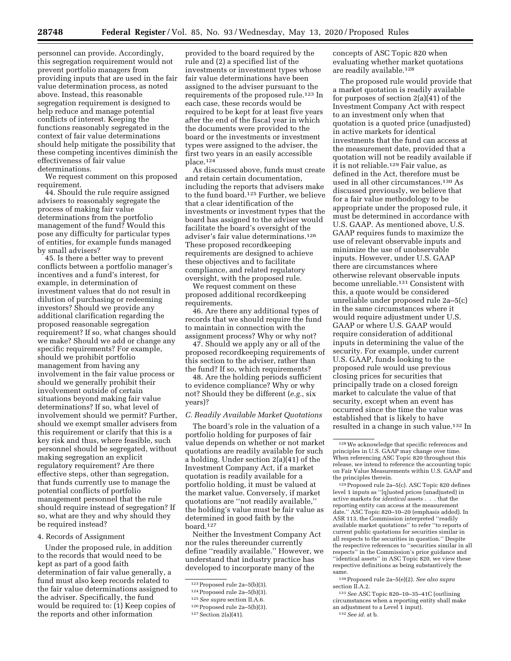personnel can provide. Accordingly, this segregation requirement would not prevent portfolio managers from providing inputs that are used in the fair value determination process, as noted above. Instead, this reasonable segregation requirement is designed to help reduce and manage potential conflicts of interest. Keeping the functions reasonably segregated in the context of fair value determinations should help mitigate the possibility that these competing incentives diminish the effectiveness of fair value determinations.

We request comment on this proposed requirement.

44. Should the rule require assigned advisers to reasonably segregate the process of making fair value determinations from the portfolio management of the fund? Would this pose any difficulty for particular types of entities, for example funds managed by small advisers?

45. Is there a better way to prevent conflicts between a portfolio manager's incentives and a fund's interest, for example, in determination of investment values that do not result in dilution of purchasing or redeeming investors? Should we provide any additional clarification regarding the proposed reasonable segregation requirement? If so, what changes should we make? Should we add or change any specific requirements? For example, should we prohibit portfolio management from having any involvement in the fair value process or should we generally prohibit their involvement outside of certain situations beyond making fair value determinations? If so, what level of involvement should we permit? Further, should we exempt smaller advisers from this requirement or clarify that this is a key risk and thus, where feasible, such personnel should be segregated, without making segregation an explicit regulatory requirement? Are there effective steps, other than segregation, that funds currently use to manage the potential conflicts of portfolio management personnel that the rule should require instead of segregation? If so, what are they and why should they be required instead?

#### 4. Records of Assignment

Under the proposed rule, in addition to the records that would need to be kept as part of a good faith determination of fair value generally, a fund must also keep records related to the fair value determinations assigned to the adviser. Specifically, the fund would be required to: (1) Keep copies of the reports and other information

provided to the board required by the rule and (2) a specified list of the investments or investment types whose fair value determinations have been assigned to the adviser pursuant to the requirements of the proposed rule.123 In each case, these records would be required to be kept for at least five years after the end of the fiscal year in which the documents were provided to the board or the investments or investment types were assigned to the adviser, the first two years in an easily accessible place.<sup>124</sup>

As discussed above, funds must create and retain certain documentation, including the reports that advisers make to the fund board.125 Further, we believe that a clear identification of the investments or investment types that the board has assigned to the adviser would facilitate the board's oversight of the adviser's fair value determinations.126 These proposed recordkeeping requirements are designed to achieve these objectives and to facilitate compliance, and related regulatory oversight, with the proposed rule.

We request comment on these proposed additional recordkeeping requirements.

46. Are there any additional types of records that we should require the fund to maintain in connection with the assignment process? Why or why not?

47. Should we apply any or all of the proposed recordkeeping requirements of this section to the adviser, rather than the fund? If so, which requirements?

48. Are the holding periods sufficient to evidence compliance? Why or why not? Should they be different (*e.g.,* six years)?

#### *C. Readily Available Market Quotations*

The board's role in the valuation of a portfolio holding for purposes of fair value depends on whether or not market quotations are readily available for such a holding. Under section 2(a)(41) of the Investment Company Act, if a market quotation is readily available for a portfolio holding, it must be valued at the market value. Conversely, if market quotations are ''not readily available,'' the holding's value must be fair value as determined in good faith by the board.127

Neither the Investment Company Act nor the rules thereunder currently define ''readily available.'' However, we understand that industry practice has developed to incorporate many of the

concepts of ASC Topic 820 when evaluating whether market quotations are readily available.128

The proposed rule would provide that a market quotation is readily available for purposes of section 2(a)(41) of the Investment Company Act with respect to an investment only when that quotation is a quoted price (unadjusted) in active markets for identical investments that the fund can access at the measurement date, provided that a quotation will not be readily available if it is not reliable.129 Fair value, as defined in the Act, therefore must be used in all other circumstances.130 As discussed previously, we believe that for a fair value methodology to be appropriate under the proposed rule, it must be determined in accordance with U.S. GAAP. As mentioned above, U.S. GAAP requires funds to maximize the use of relevant observable inputs and minimize the use of unobservable inputs. However, under U.S. GAAP there are circumstances where otherwise relevant observable inputs become unreliable.131 Consistent with this, a quote would be considered unreliable under proposed rule 2a–5(c) in the same circumstances where it would require adjustment under U.S. GAAP or where U.S. GAAP would require consideration of additional inputs in determining the value of the security. For example, under current U.S. GAAP, funds looking to the proposed rule would use previous closing prices for securities that principally trade on a closed foreign market to calculate the value of that security, except when an event has occurred since the time the value was established that is likely to have resulted in a change in such value.<sup>132</sup> In

129Proposed rule 2a–5(c). ASC Topic 820 defines level 1 inputs as ''[q]uoted prices (unadjusted) in active markets for *identical* assets . . . that the reporting entity can access at the measurement date.'' ASC Topic 820–10–20 (emphasis added). In ASR 113, the Commission interpreted ''readily available market quotations'' to refer ''to reports of current public quotations for securities similar in all respects to the securities in question.'' Despite the respective references to ''securities similar in all respects'' in the Commission's prior guidance and ''identical assets'' in ASC Topic 820, we view these respective definitions as being substantively the same.

130Proposed rule 2a–5(e)(2). *See also supra*  section II.A.2.

131*See* ASC Topic 820–10–35–41C (outlining circumstances when a reporting entity shall make an adjustment to a Level 1 input).

132*See id.* at b.

<sup>123</sup>Proposed rule 2a–5(b)(3).

<sup>124</sup>Proposed rule 2a–5(b)(3).

<sup>125</sup>*See supra* section II.A.6.

<sup>126</sup>Proposed rule 2a–5(b)(3).

<sup>127</sup>Section 2(a)(41).

<sup>128</sup>We acknowledge that specific references and principles in U.S. GAAP may change over time. When referencing ASC Topic 820 throughout this release, we intend to reference the accounting topic on Fair Value Measurements within U.S. GAAP and the principles therein.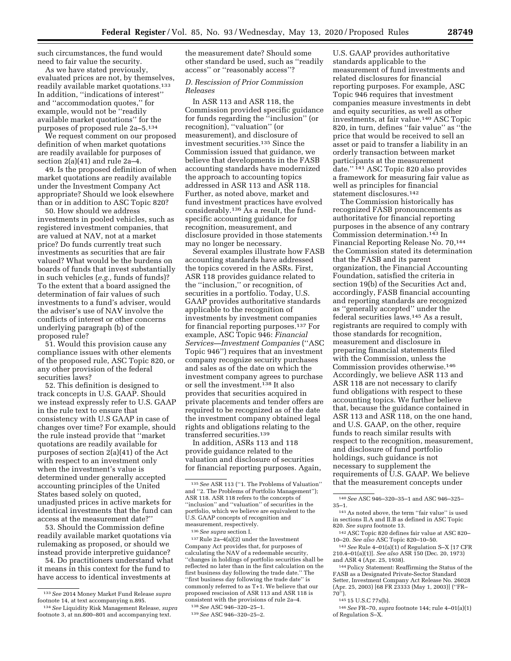such circumstances, the fund would need to fair value the security.

As we have stated previously, evaluated prices are not, by themselves, readily available market quotations.133 In addition, ''indications of interest'' and ''accommodation quotes,'' for example, would not be ''readily available market quotations'' for the purposes of proposed rule 2a–5.134

We request comment on our proposed definition of when market quotations are readily available for purposes of section 2(a)(41) and rule 2a–4.

49. Is the proposed definition of when market quotations are readily available under the Investment Company Act appropriate? Should we look elsewhere than or in addition to ASC Topic 820?

50. How should we address investments in pooled vehicles, such as registered investment companies, that are valued at NAV, not at a market price? Do funds currently treat such investments as securities that are fair valued? What would be the burdens on boards of funds that invest substantially in such vehicles (*e.g.,* funds of funds)? To the extent that a board assigned the determination of fair values of such investments to a fund's adviser, would the adviser's use of NAV involve the conflicts of interest or other concerns underlying paragraph (b) of the proposed rule?

51. Would this provision cause any compliance issues with other elements of the proposed rule, ASC Topic 820, or any other provision of the federal securities laws?

52. This definition is designed to track concepts in U.S. GAAP. Should we instead expressly refer to U.S. GAAP in the rule text to ensure that consistency with U.S GAAP in case of changes over time? For example, should the rule instead provide that ''market quotations are readily available for purposes of section 2(a)(41) of the Act with respect to an investment only when the investment's value is determined under generally accepted accounting principles of the United States based solely on quoted, unadjusted prices in active markets for identical investments that the fund can access at the measurement date?''

53. Should the Commission define readily available market quotations via rulemaking as proposed, or should we instead provide interpretive guidance?

54. Do practitioners understand what it means in this context for the fund to have access to identical investments at

the measurement date? Should some other standard be used, such as ''readily access'' or ''reasonably access''?

## *D. Rescission of Prior Commission Releases*

In ASR 113 and ASR 118, the Commission provided specific guidance for funds regarding the ''inclusion'' (or recognition), ''valuation'' (or measurement), and disclosure of investment securities.135 Since the Commission issued that guidance, we believe that developments in the FASB accounting standards have modernized the approach to accounting topics addressed in ASR 113 and ASR 118. Further, as noted above, market and fund investment practices have evolved considerably.136 As a result, the fundspecific accounting guidance for recognition, measurement, and disclosure provided in those statements may no longer be necessary.

Several examples illustrate how FASB accounting standards have addressed the topics covered in the ASRs. First, ASR 118 provides guidance related to the ''inclusion,'' or recognition, of securities in a portfolio. Today, U.S. GAAP provides authoritative standards applicable to the recognition of investments by investment companies for financial reporting purposes.137 For example, ASC Topic 946: *Financial Services—Investment Companies* (''ASC Topic 946'') requires that an investment company recognize security purchases and sales as of the date on which the investment company agrees to purchase or sell the investment.138 It also provides that securities acquired in private placements and tender offers are required to be recognized as of the date the investment company obtained legal rights and obligations relating to the transferred securities.139

In addition, ASRs 113 and 118 provide guidance related to the valuation and disclosure of securities for financial reporting purposes. Again,

137Rule 2a–4(a)(2) under the Investment Company Act provides that, for purposes of calculating the NAV of a redeemable security, ''changes in holdings of portfolio securities shall be reflected no later than in the first calculation on the first business day following the trade date.'' The ''first business day following the trade date'' is commonly referred to as T+1. We believe that our proposed rescission of ASR 113 and ASR 118 is consistent with the provisions of rule 2a–4.

U.S. GAAP provides authoritative standards applicable to the measurement of fund investments and related disclosures for financial reporting purposes. For example, ASC Topic 946 requires that investment companies measure investments in debt and equity securities, as well as other investments, at fair value.140 ASC Topic 820, in turn, defines ''fair value'' as ''the price that would be received to sell an asset or paid to transfer a liability in an orderly transaction between market participants at the measurement date.'' 141 ASC Topic 820 also provides a framework for measuring fair value as well as principles for financial statement disclosures.142

The Commission historically has recognized FASB pronouncements as authoritative for financial reporting purposes in the absence of any contrary Commission determination.143 In Financial Reporting Release No. 70,144 the Commission stated its determination that the FASB and its parent organization, the Financial Accounting Foundation, satisfied the criteria in section 19(b) of the Securities Act and, accordingly, FASB financial accounting and reporting standards are recognized as ''generally accepted'' under the federal securities laws.145 As a result, registrants are required to comply with those standards for recognition, measurement and disclosure in preparing financial statements filed with the Commission, unless the Commission provides otherwise.146 Accordingly, we believe ASR 113 and ASR 118 are not necessary to clarify fund obligations with respect to these accounting topics. We further believe that, because the guidance contained in ASR 113 and ASR 118, on the one hand, and U.S. GAAP, on the other, require funds to reach similar results with respect to the recognition, measurement, and disclosure of fund portfolio holdings, such guidance is not necessary to supplement the requirements of U.S. GAAP. We believe that the measurement concepts under

 $143$  *See* Rule  $4-01(a)(1)$  of Regulation S–X [17 CFR 210.4–01(a)(1)]. *See also* ASR 150 (Dec. 20, 1973)

 $^{\rm 144}$  Policy Statement: Reaffirming the Status of the FASB as a Designated Private-Sector Standard Setter, Investment Company Act Release No. 26028 (Apr. 25, 2003) [68 FR 23333 (May 1, 2003)] (''FR–

<sup>133</sup>*See* 2014 Money Market Fund Release *supra*  footnote 14, at text accompanying n.895.

<sup>134</sup>*See* Liquidity Risk Management Release, *supra*  footnote 3, at nn.800–801 and accompanying text.

<sup>135</sup>*See* ASR 113 (''1. The Problems of Valuation'' and ''2. The Problems of Portfolio Management''); ASR 118. ASR 118 refers to the concepts of ''inclusion'' and ''valuation'' of securities in the portfolio, which we believe are equivalent to the U.S. GAAP concepts of recognition and measurement, respectively.

<sup>136</sup>*See supra* section I.

<sup>138</sup>*See* ASC 946–320–25–1. 139*See* ASC 946–320–25–2.

<sup>140</sup>*See* ASC 946–320–35–1 and ASC 946–325– 35–1.  $141\text{ As noted above, the term ''fair value'' is used}$ 

in sections II.A and II.B as defined in ASC Topic 820. See supra footnote 13.

<sup>&</sup>lt;sup>142</sup> ASC Topic 820 defines fair value at ASC 820–<br>10–20. *See also* ASC Topic 820–10–50.

<sup>70&#</sup>x27;'). 145 15 U.S.C 77s(b). 146*See* FR–70, *supra* footnote 144; rule 4–01(a)(1) of Regulation S–X.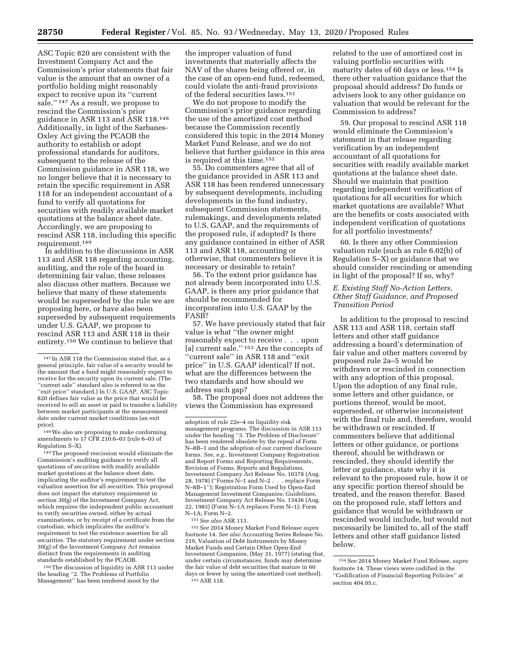ASC Topic 820 are consistent with the Investment Company Act and the Commission's prior statements that fair value is the amount that an owner of a portfolio holding might reasonably expect to receive upon its ''current sale.'' 147 As a result, we propose to rescind the Commission's prior guidance in ASR 113 and ASR 118.148 Additionally, in light of the Sarbanes-Oxley Act giving the PCAOB the authority to establish or adopt professional standards for auditors, subsequent to the release of the Commission guidance in ASR 118, we no longer believe that it is necessary to retain the specific requirement in ASR 118 for an independent accountant of a fund to verify all quotations for securities with readily available market quotations at the balance sheet date. Accordingly, we are proposing to rescind ASR 118, including this specific requirement.149

In addition to the discussions in ASR 113 and ASR 118 regarding accounting, auditing, and the role of the board in determining fair value, these releases also discuss other matters. Because we believe that many of these statements would be superseded by the rule we are proposing here, or have also been superseded by subsequent requirements under U.S. GAAP, we propose to rescind ASR 113 and ASR 118 in their entirety.150 We continue to believe that

148We also are proposing to make conforming amendments to 17 CFR 210.6–03 (rule 6–03 of Regulation S–X).

149The proposed rescission would eliminate the Commission's auditing guidance to verify all quotations of securities with readily available market quotations at the balance sheet date, implicating the auditor's requirement to test the valuation assertion for all securities. This proposal does not impact the statutory requirement in section 30(g) of the Investment Company Act, which requires the independent public accountant to verify securities owned, either by actual examinations, or by receipt of a certificate from the custodian, which implicates the auditor's requirement to test the existence assertion for all securities. The statutory requirement under section 30(g) of the Investment Company Act remains distinct from the requirements in auditing standards established by the PCAOB.

150The discussion of liquidity in ASR 113 under the heading ''2. The Problems of Portfolio Management'' has been rendered moot by the

the improper valuation of fund investments that materially affects the NAV of the shares being offered or, in the case of an open-end fund, redeemed, could violate the anti-fraud provisions of the federal securities laws.151

We do not propose to modify the Commission's prior guidance regarding the use of the amortized cost method because the Commission recently considered this topic in the 2014 Money Market Fund Release, and we do not believe that further guidance in this area is required at this time.152

55. Do commenters agree that all of the guidance provided in ASR 113 and ASR 118 has been rendered unnecessary by subsequent developments, including developments in the fund industry, subsequent Commission statements, rulemakings, and developments related to U.S. GAAP, and the requirements of the proposed rule, if adopted? Is there any guidance contained in either of ASR 113 and ASR 118, accounting or otherwise, that commenters believe it is necessary or desirable to retain?

56. To the extent prior guidance has not already been incorporated into U.S. GAAP, is there any prior guidance that should be recommended for incorporation into U.S. GAAP by the FASB?

57. We have previously stated that fair value is what ''the owner might reasonably expect to receive . . . upon [a] current sale."<sup>153</sup> Are the concepts of ''current sale'' in ASR 118 and ''exit price'' in U.S. GAAP identical? If not, what are the differences between the two standards and how should we address such gap?

58. The proposal does not address the views the Commission has expressed

<sup>151</sup>*See also* ASR 113. 152*See* 2014 Money Market Fund Release *supra*  footnote 14. *See also* Accounting Series Release No. 219, Valuation of Debt Instruments by Money Market Funds and Certain Other Open-End Investment Companies, (May 31, 1977) (stating that, under certain circumstances, funds may determine the fair value of debt securities that mature in 60 days or fewer by using the amortized cost method).<br><sup>153</sup> ASR 118.

related to the use of amortized cost in valuing portfolio securities with maturity dates of 60 days or less.154 Is there other valuation guidance that the proposal should address? Do funds or advisers look to any other guidance on valuation that would be relevant for the Commission to address?

59. Our proposal to rescind ASR 118 would eliminate the Commission's statement in that release regarding verification by an independent accountant of all quotations for securities with readily available market quotations at the balance sheet date. Should we maintain that position regarding independent verification of quotations for all securities for which market quotations are available? What are the benefits or costs associated with independent verification of quotations for all portfolio investments?

60. Is there any other Commission valuation rule (such as rule 6.02(b) of Regulation S–X) or guidance that we should consider rescinding or amending in light of the proposal? If so, why?

## *E. Existing Staff No-Action Letters, Other Staff Guidance, and Proposed Transition Period*

In addition to the proposal to rescind ASR 113 and ASR 118, certain staff letters and other staff guidance addressing a board's determination of fair value and other matters covered by proposed rule 2a–5 would be withdrawn or rescinded in connection with any adoption of this proposal. Upon the adoption of any final rule, some letters and other guidance, or portions thereof, would be moot, superseded, or otherwise inconsistent with the final rule and, therefore, would be withdrawn or rescinded. If commenters believe that additional letters or other guidance, or portions thereof, should be withdrawn or rescinded, they should identify the letter or guidance, state why it is relevant to the proposed rule, how it or any specific portion thereof should be treated, and the reason therefor. Based on the proposed rule, staff letters and guidance that would be withdrawn or rescinded would include, but would not necessarily be limited to, all of the staff letters and other staff guidance listed below.

<sup>147</sup> In ASR 118 the Commission stated that, as a general principle, fair value of a security would be the amount that a fund might reasonably expect to receive for the security upon its current sale. (The ''current sale'' standard also is referred to as the ''exit price'' standard.) In U.S. GAAP, ASC Topic 820 defines fair value as the price that would be received to sell an asset or paid to transfer a liability between market participants at the measurement date under current market conditions (an exit price).

adoption of rule 22e–4 on liquidity risk management programs. The discussion in ASR 113 under the heading ''3. The Problem of Disclosure'' has been rendered obsolete by the repeal of Form N–8B–1 and the adoption of our current disclosure forms. *See, e.g.,* Investment Company Registration and Report Forms and Reporting Requirements, Revision of Forms, Reports and Regulations, Investment Company Act Release No. 10378 (Aug. 28, 1978) (''Forms N–1 and N–2 . . . replace Form N-8B-1"); Registration Form Used by Open-End Management Investment Companies; Guidelines, Investment Company Act Release No. 13436 (Aug. 22, 1983) (Form N–1A replaces Form N–1); Form N–1A; Form N–2.

<sup>154</sup>*See* 2014 Money Market Fund Release, *supra*  footnote 14. These views were codified in the ''Codification of Financial Reporting Policies'' at section 404.05.c.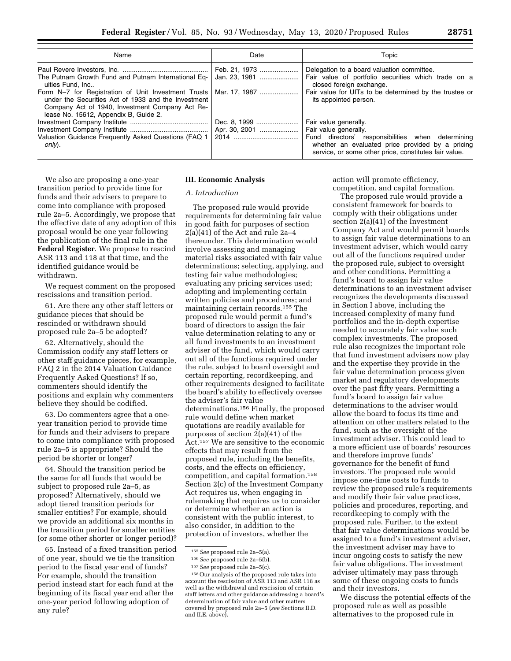| Name                                                                                                                                                                                                                   | Date                           | Topic                                                                                                                                                                                                            |  |  |
|------------------------------------------------------------------------------------------------------------------------------------------------------------------------------------------------------------------------|--------------------------------|------------------------------------------------------------------------------------------------------------------------------------------------------------------------------------------------------------------|--|--|
| The Putnam Growth Fund and Putnam International Eq-<br>uities Fund. Inc                                                                                                                                                | Feb. 21, 1973<br>Jan. 23, 1981 | Delegation to a board valuation committee.<br>Fair value of portfolio securities which trade on a<br>closed foreign exchange.                                                                                    |  |  |
| Form N-7 for Registration of Unit Investment Trusts   Mar. 17, 1987<br>under the Securities Act of 1933 and the Investment<br>Company Act of 1940, Investment Company Act Re-<br>lease No. 15612, Appendix B, Guide 2. |                                | Fair value for UITs to be determined by the trustee or<br>its appointed person.                                                                                                                                  |  |  |
| Valuation Guidance Frequently Asked Questions (FAQ 1<br>only).                                                                                                                                                         | Dec. 8, 1999<br>Apr. 30, 2001  | Fair value generally.<br>Fair value generally.<br>Fund directors' responsibilities when determining<br>whether an evaluated price provided by a pricing<br>service, or some other price, constitutes fair value. |  |  |

We also are proposing a one-year transition period to provide time for funds and their advisers to prepare to come into compliance with proposed rule 2a–5. Accordingly, we propose that the effective date of any adoption of this proposal would be one year following the publication of the final rule in the **Federal Register**. We propose to rescind ASR 113 and 118 at that time, and the identified guidance would be withdrawn.

We request comment on the proposed rescissions and transition period.

61. Are there any other staff letters or guidance pieces that should be rescinded or withdrawn should proposed rule 2a–5 be adopted?

62. Alternatively, should the Commission codify any staff letters or other staff guidance pieces, for example, FAQ 2 in the 2014 Valuation Guidance Frequently Asked Questions? If so, commenters should identify the positions and explain why commenters believe they should be codified.

63. Do commenters agree that a oneyear transition period to provide time for funds and their advisers to prepare to come into compliance with proposed rule 2a–5 is appropriate? Should the period be shorter or longer?

64. Should the transition period be the same for all funds that would be subject to proposed rule 2a–5, as proposed? Alternatively, should we adopt tiered transition periods for smaller entities? For example, should we provide an additional six months in the transition period for smaller entities (or some other shorter or longer period)?

65. Instead of a fixed transition period of one year, should we tie the transition period to the fiscal year end of funds? For example, should the transition period instead start for each fund at the beginning of its fiscal year end after the one-year period following adoption of any rule?

#### **III. Economic Analysis**

#### *A. Introduction*

The proposed rule would provide requirements for determining fair value in good faith for purposes of section 2(a)(41) of the Act and rule 2a–4 thereunder. This determination would involve assessing and managing material risks associated with fair value determinations; selecting, applying, and testing fair value methodologies; evaluating any pricing services used; adopting and implementing certain written policies and procedures; and maintaining certain records.155 The proposed rule would permit a fund's board of directors to assign the fair value determination relating to any or all fund investments to an investment adviser of the fund, which would carry out all of the functions required under the rule, subject to board oversight and certain reporting, recordkeeping, and other requirements designed to facilitate the board's ability to effectively oversee the adviser's fair value determinations.156 Finally, the proposed rule would define when market quotations are readily available for purposes of section 2(a)(41) of the Act.157 We are sensitive to the economic effects that may result from the proposed rule, including the benefits, costs, and the effects on efficiency, competition, and capital formation.158 Section 2(c) of the Investment Company Act requires us, when engaging in rulemaking that requires us to consider or determine whether an action is consistent with the public interest, to also consider, in addition to the protection of investors, whether the

action will promote efficiency, competition, and capital formation.

The proposed rule would provide a consistent framework for boards to comply with their obligations under section 2(a)(41) of the Investment Company Act and would permit boards to assign fair value determinations to an investment adviser, which would carry out all of the functions required under the proposed rule, subject to oversight and other conditions. Permitting a fund's board to assign fair value determinations to an investment adviser recognizes the developments discussed in Section I above, including the increased complexity of many fund portfolios and the in-depth expertise needed to accurately fair value such complex investments. The proposed rule also recognizes the important role that fund investment advisers now play and the expertise they provide in the fair value determination process given market and regulatory developments over the past fifty years. Permitting a fund's board to assign fair value determinations to the adviser would allow the board to focus its time and attention on other matters related to the fund, such as the oversight of the investment adviser. This could lead to a more efficient use of boards' resources and therefore improve funds' governance for the benefit of fund investors. The proposed rule would impose one-time costs to funds to review the proposed rule's requirements and modify their fair value practices, policies and procedures, reporting, and recordkeeping to comply with the proposed rule. Further, to the extent that fair value determinations would be assigned to a fund's investment adviser, the investment adviser may have to incur ongoing costs to satisfy the new fair value obligations. The investment adviser ultimately may pass through some of these ongoing costs to funds and their investors.

We discuss the potential effects of the proposed rule as well as possible alternatives to the proposed rule in

<sup>155</sup>*See* proposed rule 2a–5(a).

<sup>156</sup>*See* proposed rule 2a–5(b).

<sup>157</sup>*See* proposed rule 2a–5(c).

<sup>158</sup>Our analysis of the proposed rule takes into account the rescission of ASR 113 and ASR 118 as well as the withdrawal and rescission of certain staff letters and other guidance addressing a board's determination of fair value and other matters covered by proposed rule 2a–5 (*see* Sections II.D. and II.E. above).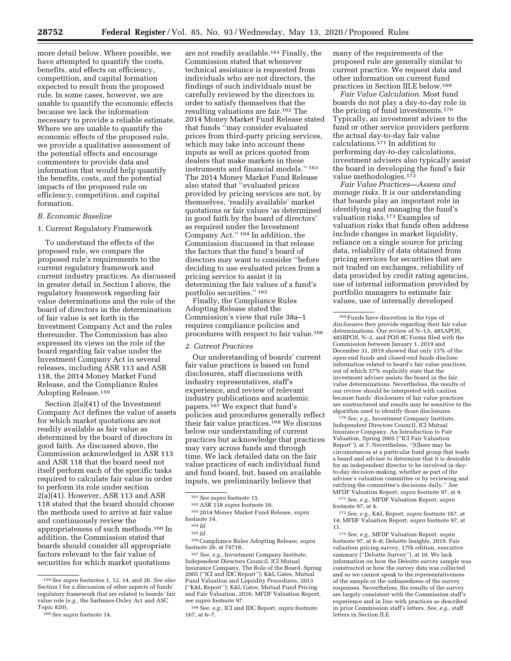more detail below. Where possible, we have attempted to quantify the costs, benefits, and effects on efficiency, competition, and capital formation expected to result from the proposed rule. In some cases, however, we are unable to quantify the economic effects because we lack the information necessary to provide a reliable estimate. Where we are unable to quantify the economic effects of the proposed rule, we provide a qualitative assessment of the potential effects and encourage commenters to provide data and information that would help quantify the benefits, costs, and the potential impacts of the proposed rule on efficiency, competition, and capital formation.

# *B. Economic Baseline*

1. Current Regulatory Framework

To understand the effects of the proposed rule, we compare the proposed rule's requirements to the current regulatory framework and current industry practices. As discussed in greater detail in Section I above, the regulatory framework regarding fair value determinations and the role of the board of directors in the determination of fair value is set forth in the Investment Company Act and the rules thereunder. The Commission has also expressed its views on the role of the board regarding fair value under the Investment Company Act in several releases, including ASR 113 and ASR 118, the 2014 Money Market Fund Release, and the Compliance Rules Adopting Release.159

Section 2(a)(41) of the Investment Company Act defines the value of assets for which market quotations are not readily available as fair value as determined by the board of directors in good faith. As discussed above, the Commission acknowledged in ASR 113 and ASR 118 that the board need not itself perform each of the specific tasks required to calculate fair value in order to perform its role under section 2(a)(41). However, ASR 113 and ASR 118 stated that the board should choose the methods used to arrive at fair value and continuously review the appropriateness of such methods.160 In addition, the Commission stated that boards should consider all appropriate factors relevant to the fair value of securities for which market quotations

are not readily available.161 Finally, the Commission stated that whenever technical assistance is requested from individuals who are not directors, the findings of such individuals must be carefully reviewed by the directors in order to satisfy themselves that the resulting valuations are fair.162 The 2014 Money Market Fund Release stated that funds ''may consider evaluated prices from third-party pricing services, which may take into account these inputs as well as prices quoted from dealers that make markets in these instruments and financial models.'' 163 The 2014 Money Market Fund Release also stated that ''evaluated prices provided by pricing services are not, by themselves, 'readily available' market quotations or fair values 'as determined in good faith by the board of directors' as required under the Investment Company Act.'' 164 In addition, the Commission discussed in that release the factors that the fund's board of directors may want to consider ''before deciding to use evaluated prices from a pricing service to assist it in determining the fair values of a fund's portfolio securities.'' 165

Finally, the Compliance Rules Adopting Release stated the Commission's view that rule 38a–1 requires compliance policies and procedures with respect to fair value.166

### *2. Current Practices*

Our understanding of boards' current fair value practices is based on fund disclosures, staff discussions with industry representatives, staff's experience, and review of relevant industry publications and academic papers.167 We expect that fund's policies and procedures generally reflect their fair value practices.168 We discuss below our understanding of current practices but acknowledge that practices may vary across funds and through time. We lack detailed data on the fair value practices of each individual fund and fund board, but, based on available inputs, we preliminarily believe that

<sup>161</sup>*See supra* footnote 15. 162ASR 118 *supra* footnote 16. 163 2014 Money Market Fund Release, *supra*  footnote 14. 164 *Id.* 

166Compliance Rules Adopting Release, *supra*  footnote 26, at 74718. 167*See, e.g.,* Investment Company Institute,

Independent Directors Council, ICI Mutual Insurance Company, The Role of the Board, Spring 2005 (''ICI and IDC Report''); K&L Gates, Mutual Fund Valuation and Liquidity Procedures, 2013 (''K&L Report''); K&L Gates, Mutual Fund Pricing and Fair Valuation, 2016; MFDF Valuation Report, *see supra* footnote 97.

many of the requirements of the proposed rule are generally similar to current practice. We request data and other information on current fund practices in Section III.E below.169

*Fair Value Calculation.* Most fund boards do not play a day-to-day role in the pricing of fund investments.170 Typically, an investment adviser to the fund or other service providers perform the actual day-to-day fair value calculations.<sup>171</sup> In addition to performing day-to-day calculations, investment advisers also typically assist the board in developing the fund's fair value methodologies.172

*Fair Value Practices—Assess and manage risks.* It is our understanding that boards play an important role in identifying and managing the fund's valuation risks.173 Examples of valuation risks that funds often address include changes in market liquidity, reliance on a single source for pricing data, reliability of data obtained from pricing services for securities that are not traded on exchanges, reliability of data provided by credit rating agencies, use of internal information provided by portfolio managers to estimate fair values, use of internally developed

170*See, e.g.,* Investment Company Institute, Independent Directors Council, ICI Mutual Insurance Company, An Introduction to Fair Valuation, Spring 2005 (''ICI Fair Valuation Report''), at 7. Nevertheless, ''[t]here may be circumstances at a particular fund group that leads a board and adviser to determine that it is desirable for an independent director to be involved in dayto-day decision-making, whether as part of the adviser's valuation committee or by reviewing and ratifying the committee's decisions daily.'' *See*  MFDF Valuation Report, *supra* footnote 97, at 9.

171*See, e.g.,* MFDF Valuation Report, *supra*  footnote 97, at 4.

173*See, e.g.,* MFDF Valuation Report, *supra*  footnote 97, at 6–8; Deloitte Insights, 2019. Fair valuation pricing survey, 17th edition, executive summary (''Deloitte Survey''), at 10. We lack information on how the Deloitte survey sample was constructed or how the survey data was collected and so we cannot speak to the representativeness of the sample or the unbiasedness of the survey responses. Nevertheless, the results of the survey are largely consistent with the Commission staff's experience and in line with practices as described in prior Commission staff's letters. *See, e.g.,* staff letters in Section II.E.

<sup>159</sup>*See supra* footnotes 1, 12, 14, and 26. *See also*  Section I for a discussion of other aspects of funds' regulatory framework that are related to boards' fair value role (*e.g.,* the Sarbanes-Oxley Act and ASC Topic 820).

<sup>160</sup>*See supra* footnote 14.

<sup>165</sup> *Id.* 

<sup>168</sup>*See, e.g.,* ICI and IDC Report, *supra* footnote 167, at 6–7.

<sup>169</sup>Funds have discretion in the type of disclosures they provide regarding their fair value determinations. Our review of N–1A, 485APOS, 485BPOS, N–2, and POS 8C Forms filed with the Commission between January 1, 2019 and December 31, 2019 showed that only 13% of the open-end funds and closed-end funds disclose information related to board's fair value practices, out of which 37% explicitly state that the investment adviser assists the board in the fair value determinations. Nevertheless, the results of our review should be interpreted with caution because funds' disclosures of fair value practices are unstructured and results may be sensitive to the algorithm used to identify those disclosures.

<sup>172</sup>*See, e.g.,* K&L Report, *supra* footnote 167, at 14; MFDF Valuation Report, *supra* footnote 97, at 11.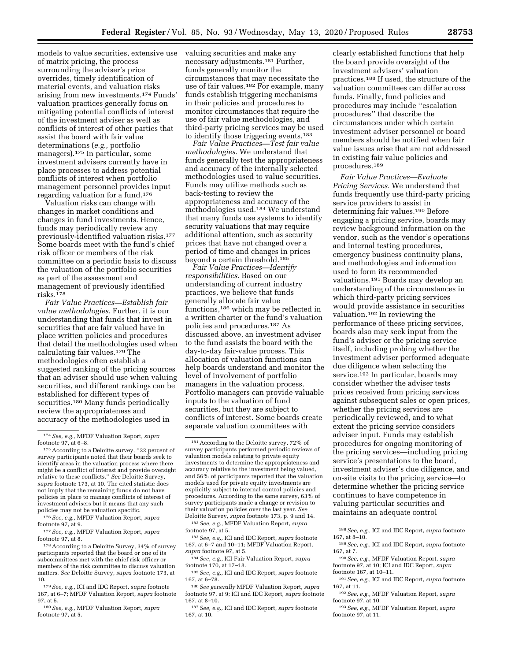models to value securities, extensive use of matrix pricing, the process surrounding the adviser's price overrides, timely identification of material events, and valuation risks arising from new investments.174 Funds' valuation practices generally focus on mitigating potential conflicts of interest of the investment adviser as well as conflicts of interest of other parties that assist the board with fair value determinations (*e.g.,* portfolio managers).175 In particular, some investment advisers currently have in place processes to address potential conflicts of interest when portfolio management personnel provides input regarding valuation for a fund.176

Valuation risks can change with changes in market conditions and changes in fund investments. Hence, funds may periodically review any previously-identified valuation risks.177 Some boards meet with the fund's chief risk officer or members of the risk committee on a periodic basis to discuss the valuation of the portfolio securities as part of the assessment and management of previously identified risks.178

*Fair Value Practices—Establish fair value methodologies.* Further, it is our understanding that funds that invest in securities that are fair valued have in place written policies and procedures that detail the methodologies used when calculating fair values.179 The methodologies often establish a suggested ranking of the pricing sources that an adviser should use when valuing securities, and different rankings can be established for different types of securities.<sup>180</sup> Many funds periodically review the appropriateness and accuracy of the methodologies used in

176*See, e.g.,* MFDF Valuation Report, *supra*  footnote 97, at 9.

177*See, e.g.,* MFDF Valuation Report, *supra*  footnote 97, at 8.

178According to a Deloitte Survey, 34% of survey participants reported that the board or one of its subcommittees met with the chief risk officer or members of the risk committee to discuss valuation matters. *See* Deloitte Survey, *supra* footnote 173, at 10.

179*See, e.g.,* ICI and IDC Report, *supra* footnote 167, at 6–7; MFDF Valuation Report, *supra* footnote 97, at 5.

180*See, e.g.,* MFDF Valuation Report, *supra*  footnote 97, at 5.

valuing securities and make any necessary adjustments.181 Further, funds generally monitor the circumstances that may necessitate the use of fair values.182 For example, many funds establish triggering mechanisms in their policies and procedures to monitor circumstances that require the use of fair value methodologies, and third-party pricing services may be used to identify those triggering events.183

*Fair Value Practices—Test fair value methodologies.* We understand that funds generally test the appropriateness and accuracy of the internally selected methodologies used to value securities. Funds may utilize methods such as back-testing to review the appropriateness and accuracy of the methodologies used.184 We understand that many funds use systems to identify security valuations that may require additional attention, such as security prices that have not changed over a period of time and changes in prices beyond a certain threshold.185

*Fair Value Practices—Identify responsibilities.* Based on our understanding of current industry practices, we believe that funds generally allocate fair value functions,186 which may be reflected in a written charter or the fund's valuation policies and procedures.187 As discussed above, an investment adviser to the fund assists the board with the day-to-day fair-value process. This allocation of valuation functions can help boards understand and monitor the level of involvement of portfolio managers in the valuation process. Portfolio managers can provide valuable inputs to the valuation of fund securities, but they are subject to conflicts of interest. Some boards create separate valuation committees with

182*See, e.g.,* MFDF Valuation Report, *supra*  footnote 97, at 5.

183*See, e.g.,* ICI and IDC Report, *supra* footnote 167, at 6–7 and 10–11; MFDF Valuation Report, *supra* footnote 97, at 5.

184*See, e.g.,* ICI Fair Valuation Report, *supra*  footnote 170, at 17–18.

clearly established functions that help the board provide oversight of the investment advisers' valuation practices.188 If used, the structure of the valuation committees can differ across funds. Finally, fund policies and procedures may include ''escalation procedures'' that describe the circumstances under which certain investment adviser personnel or board members should be notified when fair value issues arise that are not addressed in existing fair value policies and procedures.189

*Fair Value Practices—Evaluate Pricing Services.* We understand that funds frequently use third-party pricing service providers to assist in determining fair values.190 Before engaging a pricing service, boards may review background information on the vendor, such as the vendor's operations and internal testing procedures, emergency business continuity plans, and methodologies and information used to form its recommended valuations.191 Boards may develop an understanding of the circumstances in which third-party pricing services would provide assistance in securities valuation.192 In reviewing the performance of these pricing services, boards also may seek input from the fund's adviser or the pricing service itself, including probing whether the investment adviser performed adequate due diligence when selecting the service.193 In particular, boards may consider whether the adviser tests prices received from pricing services against subsequent sales or open prices, whether the pricing services are periodically reviewed, and to what extent the pricing service considers adviser input. Funds may establish procedures for ongoing monitoring of the pricing services—including pricing service's presentations to the board, investment adviser's due diligence, and on-site visits to the pricing service—to determine whether the pricing service continues to have competence in valuing particular securities and maintains an adequate control

190*See, e.g.,* MFDF Valuation Report, *supra*  footnote 97, at 10; ICI and IDC Report, *supra*  footnote 167, at 10–11.

<sup>174</sup>*See, e.g.,* MFDF Valuation Report, *supra*  footnote 97, at 6–8.

<sup>175</sup>According to a Deloitte survey, ''22 percent of survey participants noted that their boards seek to identify areas in the valuation process where there might be a conflict of interest and provide oversight relative to these conflicts.'' *See* Deloitte Survey, *supra* footnote 173, at 10. The cited statistic does not imply that the remaining funds do not have policies in place to manage conflicts of interest of investment advisers but it means that any such policies may not be valuation specific.

<sup>181</sup>According to the Deloitte survey, 72% of survey participants performed periodic reviews of valuation models relating to private equity investments to determine the appropriateness and accuracy relative to the investment being valued, and 56% of participants reported that the valuation models used for private equity investments are explicitly subject to internal control policies and procedures. According to the same survey, 63% of survey participants made a change or revision to their valuation policies over the last year. *See*  Deloitte Survey, *supra* footnote 173, p. 9 and 14.

<sup>185</sup>*See, e.g.,* ICI and IDC Report, *supra* footnote 167, at 6–78.

<sup>186</sup>*See generally* MFDF Valuation Report, *supra*  footnote 97, at 9; ICI and IDC Report, *supra* footnote 167, at 8–10.

<sup>187</sup>*See, e.g.,* ICI and IDC Report, *supra* footnote 167, at 10.

<sup>188</sup>*See, e.g.,* ICI and IDC Report, *supra* footnote 167, at 8–10.

<sup>189</sup>*See, e.g.,* ICI and IDC Report, *supra* footnote 167, at 7.

<sup>191</sup>*See, e.g.,* ICI and IDC Report, *supra* footnote 167, at 11.

<sup>192</sup>*See, e.g.,* MFDF Valuation Report, *supra*  footnote 97, at 10.

<sup>193</sup>*See, e.g.,* MFDF Valuation Report, *supra*  footnote 97, at 11.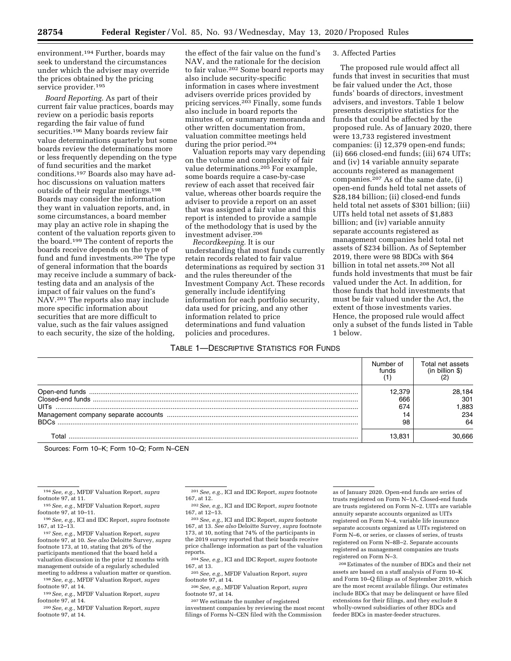environment.194 Further, boards may seek to understand the circumstances under which the adviser may override the prices obtained by the pricing service provider.<sup>195</sup>

*Board Reporting.* As part of their current fair value practices, boards may review on a periodic basis reports regarding the fair value of fund securities.<sup>196</sup> Many boards review fair value determinations quarterly but some boards review the determinations more or less frequently depending on the type of fund securities and the market conditions.197 Boards also may have adhoc discussions on valuation matters outside of their regular meetings.198 Boards may consider the information they want in valuation reports, and, in some circumstances, a board member may play an active role in shaping the content of the valuation reports given to the board.199 The content of reports the boards receive depends on the type of fund and fund investments.200 The type of general information that the boards may receive include a summary of backtesting data and an analysis of the impact of fair values on the fund's NAV.201 The reports also may include more specific information about securities that are more difficult to value, such as the fair values assigned to each security, the size of the holding,

the effect of the fair value on the fund's NAV, and the rationale for the decision to fair value.202 Some board reports may also include security-specific information in cases where investment advisers override prices provided by pricing services.203 Finally, some funds also include in board reports the minutes of, or summary memoranda and other written documentation from, valuation committee meetings held during the prior period.204

Valuation reports may vary depending on the volume and complexity of fair value determinations.205 For example, some boards require a case-by-case review of each asset that received fair value, whereas other boards require the adviser to provide a report on an asset that was assigned a fair value and this report is intended to provide a sample of the methodology that is used by the investment adviser.206

*Recordkeeping.* It is our understanding that most funds currently retain records related to fair value determinations as required by section 31 and the rules thereunder of the Investment Company Act. These records generally include identifying information for each portfolio security, data used for pricing, and any other information related to price determinations and fund valuation policies and procedures.

### 3. Affected Parties

The proposed rule would affect all funds that invest in securities that must be fair valued under the Act, those funds' boards of directors, investment advisers, and investors. Table 1 below presents descriptive statistics for the funds that could be affected by the proposed rule. As of January 2020, there were 13,733 registered investment companies: (i) 12,379 open-end funds; (ii) 666 closed-end funds; (iii) 674 UITs; and (iv) 14 variable annuity separate accounts registered as management companies.207 As of the same date, (i) open-end funds held total net assets of \$28,184 billion; (ii) closed-end funds held total net assets of \$301 billion; (iii) UITs held total net assets of \$1,883 billion; and (iv) variable annuity separate accounts registered as management companies held total net assets of \$234 billion. As of September 2019, there were 98 BDCs with \$64 billion in total net assets.208 Not all funds hold investments that must be fair valued under the Act. In addition, for those funds that hold investments that must be fair valued under the Act, the extent of those investments varies. Hence, the proposed rule would affect only a subset of the funds listed in Table 1 below.

# TABLE 1—DESCRIPTIVE STATISTICS FOR FUNDS

|                            | Number of<br>funds | Total net assets<br>(in billion $$$ ) |
|----------------------------|--------------------|---------------------------------------|
| <b>UITs</b><br><b>BDCs</b> | 666<br>674<br>98   | 28,184<br>301<br>.883<br>234<br>64    |
|                            | I3 831             | 666                                   |

Sources: Form 10–K; Form 10–Q; Form N–CEN

- reports. 204*See, e.g.,* ICI and IDC Report, *supra* footnote
- 167, at 13. 205*See, e.g.,* MFDF Valuation Report, *supra*  footnote 97, at 14.
- 206*See, e.g.,* MFDF Valuation Report, *supra*  footnote 97, at 14.

207We estimate the number of registered investment companies by reviewing the most recent filings of Forms N–CEN filed with the Commission

as of January 2020. Open-end funds are series of trusts registered on Form N–1A. Closed-end funds are trusts registered on Form N–2. UITs are variable annuity separate accounts organized as UITs registered on Form N–4, variable life insurance separate accounts organized as UITs registered on Form N–6, or series, or classes of series, of trusts registered on Form N–8B–2. Separate accounts registered as management companies are trusts registered on Form N–3.

208Estimates of the number of BDCs and their net assets are based on a staff analysis of Form 10–K and Form 10–Q filings as of September 2019, which are the most recent available filings. Our estimates include BDCs that may be delinquent or have filed extensions for their filings, and they exclude 8 wholly-owned subsidiaries of other BDCs and feeder BDCs in master-feeder structures.

<sup>194</sup>*See, e.g.,* MFDF Valuation Report, *supra* 

footnote 97, at 11. 195*See, e.g.,* MFDF Valuation Report, *supra* 

footnote 97, at 10–11. 196*See, e.g.,* ICI and IDC Report, *supra* footnote

<sup>167,</sup> at 12–13. 197*See, e.g.,* MFDF Valuation Report, *supra*  footnote 97, at 10. *See also* Deloitte Survey, *supra*  footnote 173, at 10, stating that 26% of the participants mentioned that the board held a

valuation discussion in the prior 12 months with

management outside of a regularly scheduled<br>meeting to address a valuation matter or question. <sup>198</sup> See, e.g., MFDF Valuation Report, *supra* 

footnote 97, at 14. 199*See, e.g.,* MFDF Valuation Report, *supra* 

footnote 97, at 14.

<sup>200</sup>*See, e.g.,* MFDF Valuation Report, *supra*  footnote 97, at 14.

<sup>201</sup>*See, e.g.,* ICI and IDC Report, *supra* footnote

<sup>167,</sup> at 12. 202*See, e.g.,* ICI and IDC Report, *supra* footnote

<sup>167,</sup> at 12–13. 203*See, e.g.,* ICI and IDC Report, *supra* footnote 167, at 13. *See also* Deloitte Survey, *supra* footnote 173, at 10, noting that 74% of the participants in the 2019 survey reported that their boards receive price challenge information as part of the valuation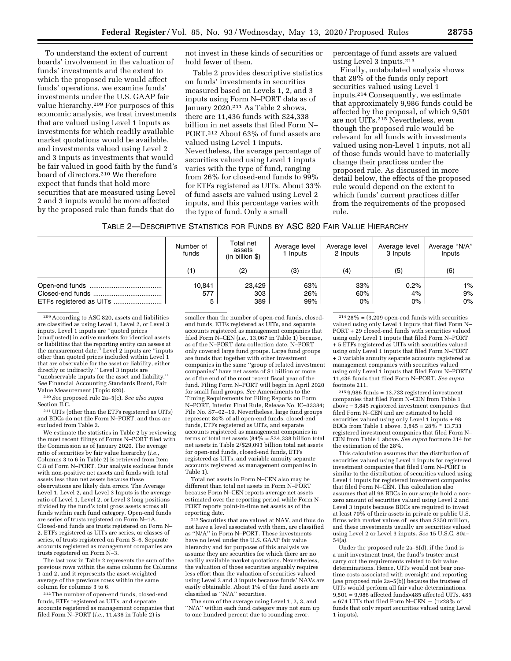To understand the extent of current boards' involvement in the valuation of funds' investments and the extent to which the proposed rule would affect funds' operations, we examine funds' investments under the U.S. GAAP fair value hierarchy.209 For purposes of this economic analysis, we treat investments that are valued using Level 1 inputs as investments for which readily available market quotations would be available, and investments valued using Level 2 and 3 inputs as investments that would be fair valued in good faith by the fund's board of directors.210 We therefore expect that funds that hold more securities that are measured using Level 2 and 3 inputs would be more affected by the proposed rule than funds that do

not invest in these kinds of securities or hold fewer of them.

Table 2 provides descriptive statistics on funds' investments in securities measured based on Levels 1, 2, and 3 inputs using Form N–PORT data as of January 2020.211 As Table 2 shows, there are 11,436 funds with \$24,338 billion in net assets that filed Form N– PORT.212 About 63% of fund assets are valued using Level 1 inputs. Nevertheless, the average percentage of securities valued using Level 1 inputs varies with the type of fund, ranging from 26% for closed-end funds to 99% for ETFs registered as UITs. About 33% of fund assets are valued using Level 2 inputs, and this percentage varies with the type of fund. Only a small

percentage of fund assets are valued using Level 3 inputs.213

Finally, untabulated analysis shows that 28% of the funds only report securities valued using Level 1 inputs.214 Consequently, we estimate that approximately 9,986 funds could be affected by the proposal, of which 9,501 are not UITs.215 Nevertheless, even though the proposed rule would be relevant for all funds with investments valued using non-Level 1 inputs, not all of those funds would have to materially change their practices under the proposed rule. As discussed in more detail below, the effects of the proposed rule would depend on the extent to which funds' current practices differ from the requirements of the proposed rule.

| Number of<br>funds | Total net<br>assets<br>(in billion \$) | Average level<br>1 Inputs | Average level<br>2 Inputs | Average level<br>3 Inputs | Average "N/A"<br>Inputs |  |
|--------------------|----------------------------------------|---------------------------|---------------------------|---------------------------|-------------------------|--|
| (1)                | (2)                                    | (3)                       | (4)                       | (5)                       | (6)                     |  |
| 10,841<br>577<br>5 | 23.429<br>303<br>389                   | 63%<br>26%<br>99%         | 33%<br>60%<br>$0\%$       | 0.2%<br>4%<br>$0\%$       | $1\%$<br>9%<br>$0\%$    |  |

209According to ASC 820, assets and liabilities are classified as using Level 1, Level 2, or Level 3 inputs. Level 1 inputs are ''quoted prices (unadjusted) in active markets for identical assets or liabilities that the reporting entity can assess at the measurement date.'' Level 2 inputs are ''inputs other than quoted prices included within Level 1 that are observable for the asset or liability, either directly or indirectly." Level 3 inputs are ''unobservable inputs for the asset and liability.'' *See* Financial Accounting Standards Board, Fair Value Measurement (Topic 820).

210*See* proposed rule 2a–5(c). *See also supra*  Section II.C.

211UITs (other than the ETFs registered as UITs) and BDCs do not file Form N–PORT, and thus are excluded from Table 2.

We estimate the statistics in Table 2 by reviewing the most recent filings of Forms N–PORT filed with the Commission as of January 2020. The average ratio of securities by fair value hierarchy (*i.e.,*  Columns 3 to 6 in Table 2) is retrieved from Item C.8 of Form N–PORT. Our analysis excludes funds with non-positive net assets and funds with total assets less than net assets because these observations are likely data errors. The Average Level 1, Level 2, and Level 3 Inputs is the average ratio of Level 1, Level 2, or Level 3 long positions divided by the fund's total gross assets across all funds within each fund category. Open-end funds are series of trusts registered on Form N–1A. Closed-end funds are trusts registered on Form N– 2. ETFs registered as UITs are series, or classes of series, of trusts registered on Form S–6. Separate accounts registered as management companies are trusts registered on Form N–3.

The last row in Table 2 represents the sum of the previous rows within the same column for Columns 1 and 2, and it represents the asset-weighted average of the previous rows within the same column for columns 3 to 6.

212The number of open-end funds, closed-end funds, ETFs registered as UITs, and separate accounts registered as management companies that filed Form N–PORT (*i.e.,* 11,436 in Table 2) is

smaller than the number of open-end funds, closedend funds, ETFs registered as UITs, and separate accounts registered as management companies that filed Form N–CEN (*i.e.,* 13,067 in Table 1) because, as of the N–PORT data collection date, N–PORT only covered large fund groups. Large fund groups are funds that together with other investment companies in the same ''group of related investment companies'' have net assets of \$1 billion or more as of the end of the most recent fiscal year of the fund. Filing Form N–PORT will begin in April 2020 for small fund groups. *See* Amendments to the Timing Requirements for Filing Reports on Form N–PORT, Interim Final Rule, Release No. IC–33384; File No. S7–02–19. Nevertheless, large fund groups represent 84% of all open-end funds, closed-end funds, ETFs registered as UITs, and separate accounts registered as management companies in terms of total net assets  $(84\% = $24,338$  billion total net assets in Table 2/\$29,093 billion total net assets for open-end funds, closed-end funds, ETFs registered as UITs, and variable annuity separate accounts registered as management companies in Table 1).

Total net assets in Form N–CEN also may be different than total net assets in Form N–PORT because Form N–CEN reports average net assets estimated over the reporting period while Form N– PORT reports point-in-time net assets as of the reporting date.

213Securities that are valued at NAV, and thus do not have a level associated with them, are classified as ''N/A'' in Form N–PORT. These investments have no level under the U.S. GAAP fair value hierarchy and for purposes of this analysis we assume they are securities for which there are no readily available market quotations. Nevertheless, the valuation of those securities arguably requires less effort than the valuation of securities valued using Level 2 and 3 inputs because funds' NAVs are easily obtainable. About 1% of the fund assets are classified as ''N/A'' securities.

The sum of the average using Level 1, 2, 3, and ''N/A'' within each fund category may not sum up to one hundred percent due to rounding error.

 $21428\% = (3,209$  open-end funds with securities valued using only Level 1 inputs that filed Form N– PORT + 29 closed-end funds with securities valued using only Level 1 inputs that filed Form N–PORT + 5 ETFs registered as UITs with securities valued using only Level 1 inputs that filed Form N–PORT + 3 variable annuity separate accounts registered as management companies with securities valued using only Level 1 inputs that filed Form N–PORT)/ 11,436 funds that filed Form N–PORT. *See supra*  footnote 211.

 $2159,986$  funds = 13,733 registered investment companies that filed Form N–CEN from Table 1  $above - 3.845$  registered investment companies that filed Form N–CEN and are estimated to hold securities valued using only Level 1 inputs + 98 BDCs from Table 1 above.  $3,845 = 28\%$ <sup>\*</sup> 13,733 registered investment companies that filed Form N– CEN from Table 1 above. *See supra* footnote 214 for the estimation of the 28%.

This calculation assumes that the distribution of securities valued using Level 1 inputs for registered investment companies that filed Form N–PORT is similar to the distribution of securities valued using Level 1 inputs for registered investment companies that filed Form N–CEN. This calculation also assumes that all 98 BDCs in our sample hold a nonzero amount of securities valued using Level 2 and Level 3 inputs because BDCs are required to invest at least 70% of their assets in private or public U.S. firms with market values of less than \$250 million, and these investments usually are securities valued using Level 2 or Level 3 inputs. *See* 15 U.S.C. 80a– 54(a).

Under the proposed rule 2a–5(d), if the fund is a unit investment trust, the fund's trustee must carry out the requirements related to fair value determinations. Hence, UITs would not bear onetime costs associated with oversight and reporting (*see* proposed rule 2a–5(b)) because the trustees of UITs would perform all fair value determinations. 9,501 = 9,986 affected funds×485 affected UITs. 485  $= 674$  UITs that filed Form N–CEN  $-$  (1×28% of funds that only report securities valued using Level 1 inputs).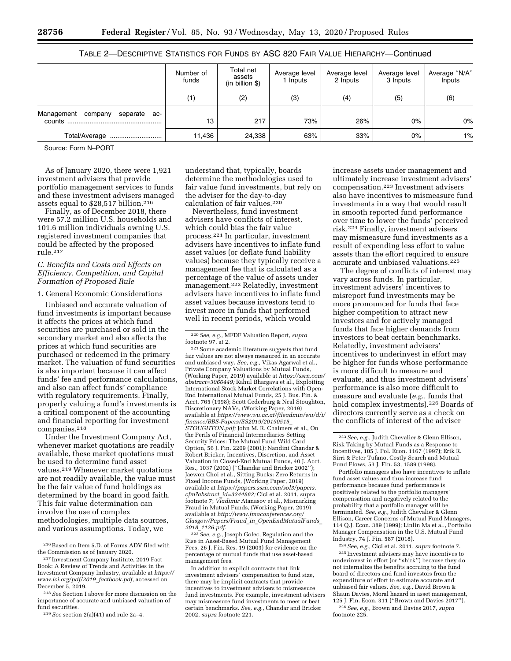# TABLE 2—DESCRIPTIVE STATISTICS FOR FUNDS BY ASC 820 FAIR VALUE HIERARCHY—Continued

|                                          | Number of<br>funds | Total net<br>assets<br>(in billion \$) | Average level<br>l Inputs | Average level<br>2 Inputs | Average level<br>3 Inputs | Average "N/A"<br>Inputs |
|------------------------------------------|--------------------|----------------------------------------|---------------------------|---------------------------|---------------------------|-------------------------|
|                                          | (1)                | (2)                                    | (3)                       | (4)                       | (5)                       | (6)                     |
| Management<br>company<br>separate<br>ac- | 13                 | 217                                    | 73%                       | 26%                       | $0\%$                     | $0\%$                   |
| Total/Average                            | 11,436             | 24,338                                 | 63%                       | 33%                       | $0\%$                     | $1\%$                   |

Source: Form N–PORT

As of January 2020, there were 1,921 investment advisers that provide portfolio management services to funds and these investment advisers managed assets equal to \$28,517 billion.216

Finally, as of December 2018, there were 57.2 million U.S. households and 101.6 million individuals owning U.S. registered investment companies that could be affected by the proposed rule.217

### *C. Benefits and Costs and Effects on Efficiency, Competition, and Capital Formation of Proposed Rule*

### 1. General Economic Considerations

Unbiased and accurate valuation of fund investments is important because it affects the prices at which fund securities are purchased or sold in the secondary market and also affects the prices at which fund securities are purchased or redeemed in the primary market. The valuation of fund securities is also important because it can affect funds' fee and performance calculations, and also can affect funds' compliance with regulatory requirements. Finally, properly valuing a fund's investments is a critical component of the accounting and financial reporting for investment companies.218

Under the Investment Company Act, whenever market quotations are readily available, these market quotations must be used to determine fund asset values.219 Whenever market quotations are not readily available, the value must be the fair value of fund holdings as determined by the board in good faith. This fair value determination can involve the use of complex methodologies, multiple data sources, and various assumptions. Today, we

understand that, typically, boards determine the methodologies used to fair value fund investments, but rely on the adviser for the day-to-day calculation of fair values.220

Nevertheless, fund investment advisers have conflicts of interest, which could bias the fair value process.221 In particular, investment advisers have incentives to inflate fund asset values (or deflate fund liability values) because they typically receive a management fee that is calculated as a percentage of the value of assets under management.<sup>222</sup> Relatedly, investment advisers have incentives to inflate fund asset values because investors tend to invest more in funds that performed well in recent periods, which would

220*See, e.g.,* MFDF Valuation Report, *supra* 

 $\,$  221 Some academic literature suggests that fund fair values are not always measured in an accurate and unbiased way. *See, e.g.,* Vikas Agarwal et al., Private Company Valuations by Mutual Funds, (Working Paper, 2019) available at *[https://ssrn.com/](https://ssrn.com/abstract=3066449)  [abstract=3066449;](https://ssrn.com/abstract=3066449)* Rahul Bhargava et al., Exploiting International Stock Market Correlations with Open-End International Mutual Funds, 25 J. Bus. Fin. & Acct. 765 (1998); Scott Cederburg & Neal Stoughton, Discretionary NAVs, (Working Paper, 2019) available at *[https://www.wu.ac.at/fileadmin/wu/d/i/](https://www.wu.ac.at/fileadmin/wu/d/i/finance/BBS-Papers/SS2019/20190515_STOUGHTON.pdf) [finance/BBS-Papers/SS2019/20190515](https://www.wu.ac.at/fileadmin/wu/d/i/finance/BBS-Papers/SS2019/20190515_STOUGHTON.pdf)*\_ *[STOUGHTON.pdf;](https://www.wu.ac.at/fileadmin/wu/d/i/finance/BBS-Papers/SS2019/20190515_STOUGHTON.pdf)* John M. R. Chalmers et al., On the Perils of Financial Intermediaries Setting Security Prices: The Mutual Fund Wild Card Option, 56 J. Fin. 2209 (2001); Nandini Chandar & Robert Bricker, Incentives, Discretion, and Asset Valuation in Closed-End Mutual Funds, 40 J. Acct. Res., 1037 (2002) (''Chandar and Bricker 2002''); Jaewon Choi et al., Sitting Bucks: Zero Returns in Fixed Income Funds, (Working Paper, 2019) available at *[https://papers.ssrn.com/sol3/papers.](https://papers.ssrn.com/sol3/papers.cfm?abstract_id=3244862) [cfm?abstract](https://papers.ssrn.com/sol3/papers.cfm?abstract_id=3244862)*\_*id=3244862;* Cici et al. 2011, supra footnote 7; *Vladimir* Atanasov et al., Mismarking Fraud in Mutual Funds, (Working Paper, 2019) available at *[http://www.fmaconferences.org/](http://www.fmaconferences.org/Glasgow/Papers/Fraud_in_OpenEndMutualFunds_2018_1126.pdf) Glasgow/Papers/Fraud*\_*in*\_*[OpenEndMutualFunds](http://www.fmaconferences.org/Glasgow/Papers/Fraud_in_OpenEndMutualFunds_2018_1126.pdf)*\_ *2018*\_*[1126.pdf.](http://www.fmaconferences.org/Glasgow/Papers/Fraud_in_OpenEndMutualFunds_2018_1126.pdf)* 

222*See, e.g.,* Joseph Golec, Regulation and the Rise in Asset-Based Mutual Fund Management Fees, 26 J. Fin. Res. 19 (2003) for evidence on the percentage of mutual funds that use asset-based management fees.

In addition to explicit contracts that link investment advisers' compensation to fund size, there may be implicit contracts that provide incentives to investment advisers to mismeasure fund investments. For example, investment advisers may mismeasure fund investments to meet or beat certain benchmarks. *See, e.g.,* Chandar and Bricker 2002, *supra* footnote 221.

increase assets under management and ultimately increase investment advisers' compensation.223 Investment advisers also have incentives to mismeasure fund investments in a way that would result in smooth reported fund performance over time to lower the funds' perceived risk.224 Finally, investment advisers may mismeasure fund investments as a result of expending less effort to value assets than the effort required to ensure accurate and unbiased valuations.225

The degree of conflicts of interest may vary across funds. In particular, investment advisers' incentives to misreport fund investments may be more pronounced for funds that face higher competition to attract new investors and for actively managed funds that face higher demands from investors to beat certain benchmarks. Relatedly, investment advisers' incentives to underinvest in effort may be higher for funds whose performance is more difficult to measure and evaluate, and thus investment advisers' performance is also more difficult to measure and evaluate (*e.g.,* funds that hold complex investments).226 Boards of directors currently serve as a check on the conflicts of interest of the adviser

Portfolio managers also have incentives to inflate fund asset values and thus increase fund performance because fund performance is positively related to the portfolio managers' compensation and negatively related to the probability that a portfolio manager will be terminated. *See, e.g.,* Judith Chevalier & Glenn Ellison, Career Concerns of Mutual Fund Managers, 114 Q.J. Econ. 389 (1999); Linlin Ma et al., Portfolio Manager Compensation in the U.S. Mutual Fund Industry, 74 J. Fin. 587 (2018).

224*See, e.g.,* Cici et al. 2011, *supra* footnote 7. 225 Investment advisers may have incentives to underinvest in effort (or ''shirk'') because they do not internalize the benefits accruing to the fund board of directors and fund investors from the expenditure of effort to estimate accurate and unbiased fair values. *See, e.g.,* David Brown & Shaun Davies, Moral hazard in asset management, 125 J. Fin. Econ. 311 (''Brown and Davies 2017'').

226*See, e.g.,* Brown and Davies 2017, *supra*  footnote 225.

 $^{\rm 216}\, {\rm Based}$  on Item 5.D. of Forms ADV filed with the Commission as of January 2020.

<sup>217</sup> Investment Company Institute, 2019 Fact Book: A Review of Trends and Activities in the Investment Company Industry, available at *[https://](https://www.ici.org/pdf/2019_factbook.pdf)  [www.ici.org/pdf/2019](https://www.ici.org/pdf/2019_factbook.pdf)*\_*factbook.pdf,* accessed on December 5, 2019.

<sup>218</sup>*See* Section I above for more discussion on the importance of accurate and unbiased valuation of fund securities.

<sup>219</sup>*See* section 2(a)(41) and rule 2a–4.

<sup>223</sup>*See, e.g.,* Judith Chevalier & Glenn Ellison, Risk Taking by Mutual Funds as a Response to Incentives, 105 J. Pol. Econ. 1167 (1997); Erik R. Sirri & Peter Tufano, Costly Search and Mutual Fund Flows, 53 J. Fin. 53, 1589 (1998).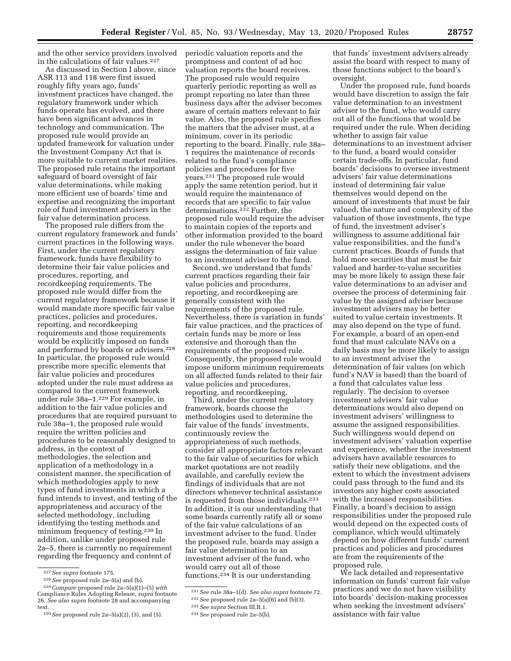and the other service providers involved in the calculations of fair values.<sup>227</sup>

As discussed in Section I above, since ASR 113 and 118 were first issued roughly fifty years ago, funds' investment practices have changed, the regulatory framework under which funds operate has evolved, and there have been significant advances in technology and communication. The proposed rule would provide an updated framework for valuation under the Investment Company Act that is more suitable to current market realities. The proposed rule retains the important safeguard of board oversight of fair value determinations, while making more efficient use of boards' time and expertise and recognizing the important role of fund investment advisers in the fair value determination process.

The proposed rule differs from the current regulatory framework and funds' current practices in the following ways. First, under the current regulatory framework, funds have flexibility to determine their fair value policies and procedures, reporting, and recordkeeping requirements. The proposed rule would differ from the current regulatory framework because it would mandate more specific fair value practices, policies and procedures, reporting, and recordkeeping requirements and those requirements would be explicitly imposed on funds and performed by boards or advisers.<sup>228</sup> In particular, the proposed rule would prescribe more specific elements that fair value policies and procedures adopted under the rule must address as compared to the current framework under rule 38a–1.229 For example, in addition to the fair value policies and procedures that are required pursuant to rule 38a–1, the proposed rule would require the written policies and procedures to be reasonably designed to address, in the context of methodologies, the selection and application of a methodology in a consistent manner, the specification of which methodologies apply to new types of fund investments in which a fund intends to invest, and testing of the appropriateness and accuracy of the selected methodology, including identifying the testing methods and minimum frequency of testing.230 In addition, unlike under proposed rule 2a–5, there is currently no requirement regarding the frequency and content of

periodic valuation reports and the promptness and content of ad hoc valuation reports the board receives. The proposed rule would require quarterly periodic reporting as well as prompt reporting no later than three business days after the adviser becomes aware of certain matters relevant to fair value. Also, the proposed rule specifies the matters that the adviser must, at a minimum, cover in its periodic reporting to the board. Finally, rule 38a– 1 requires the maintenance of records related to the fund's compliance policies and procedures for five years.231 The proposed rule would apply the same retention period, but it would require the maintenance of records that are specific to fair value determinations.232 Further, the proposed rule would require the adviser to maintain copies of the reports and other information provided to the board under the rule whenever the board assigns the determination of fair value to an investment adviser to the fund.

Second, we understand that funds' current practices regarding their fair value policies and procedures, reporting, and recordkeeping are generally consistent with the requirements of the proposed rule. Nevertheless, there is variation in funds' fair value practices, and the practices of certain funds may be more or less extensive and thorough than the requirements of the proposed rule. Consequently, the proposed rule would impose uniform minimum requirements on all affected funds related to their fair value policies and procedures, reporting, and recordkeeping.

Third, under the current regulatory framework, boards choose the methodologies used to determine the fair value of the funds' investments, continuously review the appropriateness of such methods, consider all appropriate factors relevant to the fair value of securities for which market quotations are not readily available, and carefully review the findings of individuals that are not directors whenever technical assistance is requested from those individuals.<sup>233</sup> In addition, it is our understanding that some boards currently ratify all or some of the fair value calculations of an investment adviser to the fund. Under the proposed rule, boards may assign a fair value determination to an investment adviser of the fund, who would carry out all of those functions.<sup>234</sup> It is our understanding

that funds' investment advisers already assist the board with respect to many of those functions subject to the board's oversight.

Under the proposed rule, fund boards would have discretion to assign the fair value determination to an investment adviser to the fund, who would carry out all of the functions that would be required under the rule. When deciding whether to assign fair value determinations to an investment adviser to the fund, a board would consider certain trade-offs. In particular, fund boards' decisions to oversee investment advisers' fair value determinations instead of determining fair value themselves would depend on the amount of investments that must be fair valued, the nature and complexity of the valuation of those investments, the type of fund, the investment adviser's willingness to assume additional fair value responsibilities, and the fund's current practices. Boards of funds that hold more securities that must be fair valued and harder-to-value securities may be more likely to assign these fair value determinations to an adviser and oversee the process of determining fair value by the assigned adviser because investment advisers may be better suited to value certain investments. It may also depend on the type of fund. For example, a board of an open-end fund that must calculate NAVs on a daily basis may be more likely to assign to an investment adviser the determination of fair values (on which fund's NAV is based) than the board of a fund that calculates value less regularly. The decision to oversee investment advisers' fair value determinations would also depend on investment advisers' willingness to assume the assigned responsibilities. Such willingness would depend on investment advisers' valuation expertise and experience, whether the investment advisers have available resources to satisfy their new obligations, and the extent to which the investment advisers could pass through to the fund and its investors any higher costs associated with the increased responsibilities. Finally, a board's decision to assign responsibilities under the proposed rule would depend on the expected costs of compliance, which would ultimately depend on how different funds' current practices and policies and procedures are from the requirements of the proposed rule.

We lack detailed and representative information on funds' current fair value practices and we do not have visibility into boards' decision-making processes when seeking the investment advisers' assistance with fair value

<sup>227</sup>*See supra* footnote 175. 228*See* proposed rule 2a–5(a) and (b). 229*Compare* proposed rule 2a–5(a)(1)–(5) *with*  Compliance Rules Adopting Release, *supra* footnote 26. *See also supra* footnote 28 and accompanying text.

<sup>230</sup>*See* proposed rule 2a–5(a)(2), (3), and (5).

<sup>231</sup>*See* rule 38a–1(d). *See also supra* footnote 72.

<sup>232</sup>*See* proposed rule 2a–5(a)(6) and (b)(3).

<sup>233</sup>*See supra* Section III.B.1.

<sup>234</sup>*See* proposed rule 2a–5(b).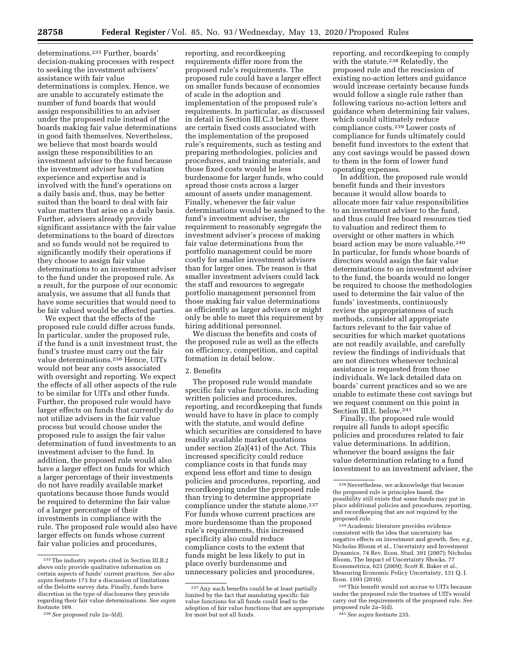determinations.235 Further, boards' decision-making processes with respect to seeking the investment advisers' assistance with fair value determinations is complex. Hence, we are unable to accurately estimate the number of fund boards that would assign responsibilities to an adviser under the proposed rule instead of the boards making fair value determinations in good faith themselves. Nevertheless, we believe that most boards would assign these responsibilities to an investment adviser to the fund because the investment adviser has valuation experience and expertise and is involved with the fund's operations on a daily basis and, thus, may be better suited than the board to deal with fair value matters that arise on a daily basis. Further, advisers already provide significant assistance with the fair value determinations to the board of directors and so funds would not be required to significantly modify their operations if they choose to assign fair value determinations to an investment adviser to the fund under the proposed rule. As a result, for the purpose of our economic analysis, we assume that all funds that have some securities that would need to be fair valued would be affected parties.

We expect that the effects of the proposed rule could differ across funds. In particular, under the proposed rule, if the fund is a unit investment trust, the fund's trustee must carry out the fair value determinations.<sup>236</sup> Hence, UITs would not bear any costs associated with oversight and reporting. We expect the effects of all other aspects of the rule to be similar for UITs and other funds. Further, the proposed rule would have larger effects on funds that currently do not utilize advisers in the fair value process but would choose under the proposed rule to assign the fair value determination of fund investments to an investment adviser to the fund. In addition, the proposed rule would also have a larger effect on funds for which a larger percentage of their investments do not have readily available market quotations because those funds would be required to determine the fair value of a larger percentage of their investments in compliance with the rule. The proposed rule would also have larger effects on funds whose current fair value policies and procedures,

reporting, and recordkeeping requirements differ more from the proposed rule's requirements. The proposed rule could have a larger effect on smaller funds because of economies of scale in the adoption and implementation of the proposed rule's requirements. In particular, as discussed in detail in Section III.C.3 below, there are certain fixed costs associated with the implementation of the proposed rule's requirements, such as testing and preparing methodologies, policies and procedures, and training materials, and those fixed costs would be less burdensome for larger funds, who could spread those costs across a larger amount of assets under management. Finally, whenever the fair value determinations would be assigned to the fund's investment adviser, the requirement to reasonably segregate the investment adviser's process of making fair value determinations from the portfolio management could be more costly for smaller investment advisers than for larger ones. The reason is that smaller investment advisers could lack the staff and resources to segregate portfolio management personnel from those making fair value determinations as efficiently as larger advisers or might only be able to meet this requirement by hiring additional personnel.

We discuss the benefits and costs of the proposed rule as well as the effects on efficiency, competition, and capital formation in detail below.

### 2. Benefits

The proposed rule would mandate specific fair value functions, including written policies and procedures, reporting, and recordkeeping that funds would have to have in place to comply with the statute, and would define which securities are considered to have readily available market quotations under section 2(a)(41) of the Act. This increased specificity could reduce compliance costs in that funds may expend less effort and time to design policies and procedures, reporting, and recordkeeping under the proposed rule than trying to determine appropriate compliance under the statute alone.<sup>237</sup> For funds whose current practices are more burdensome than the proposed rule's requirements, this increased specificity also could reduce compliance costs to the extent that funds might be less likely to put in place overly burdensome and unnecessary policies and procedures,

reporting, and recordkeeping to comply with the statute.<sup>238</sup> Relatedly, the proposed rule and the rescission of existing no-action letters and guidance would increase certainty because funds would follow a single rule rather than following various no-action letters and guidance when determining fair values, which could ultimately reduce compliance costs.239 Lower costs of compliance for funds ultimately could benefit fund investors to the extent that any cost savings would be passed down to them in the form of lower fund operating expenses.

In addition, the proposed rule would benefit funds and their investors because it would allow boards to allocate more fair value responsibilities to an investment adviser to the fund, and thus could free board resources tied to valuation and redirect them to oversight or other matters in which board action may be more valuable.240 In particular, for funds whose boards of directors would assign the fair value determinations to an investment adviser to the fund, the boards would no longer be required to choose the methodologies used to determine the fair value of the funds' investments, continuously review the appropriateness of such methods, consider all appropriate factors relevant to the fair value of securities for which market quotations are not readily available, and carefully review the findings of individuals that are not directors whenever technical assistance is requested from those individuals. We lack detailed data on boards' current practices and so we are unable to estimate these cost savings but we request comment on this point in Section III.E. below.241

Finally, the proposed rule would require all funds to adopt specific policies and procedures related to fair value determinations. In addition, whenever the board assigns the fair value determination relating to a fund investment to an investment adviser, the

241*See supra* footnote 235.

 $\rm ^{235}$  The industry reports cited in Section III.B.2 above only provide qualitative information on certain aspects of funds' current practices. *See also supra* footnote 173 for a discussion of limitations of the Deloitte survey data. Finally, funds have discretion in the type of disclosures they provide regarding their fair value determinations. *See supra*  footnote 169.

<sup>236</sup>*See* proposed rule 2a–5(d).

<sup>237</sup>Any such benefits could be at least partially limited by the fact that mandating specific fair value functions for all funds could lead to the adoption of fair value functions that are appropriate for most but not all funds.

<sup>238</sup>Nevertheless, we acknowledge that because the proposed rule is principles based, the possibility still exists that some funds may put in place additional policies and procedures, reporting, and recordkeeping that are not required by the proposed rule.

<sup>239</sup>Academic literature provides evidence consistent with the idea that uncertainty has negative effects on investment and growth. *See, e.g.,*  Nicholas Bloom et al., Uncertainty and Investment Dynamics, 74 Rev. Econ. Stud. 391 (2007); Nicholas Bloom, The Impact of Uncertainty Shocks, 77 Econometrica, 623 (2009); Scott R. Baker et al., Measuring Economic Policy Uncertainty, 131 Q. J. Econ. 1593 (2016).

<sup>240</sup>This benefit would not accrue to UITs because under the proposed rule the trustees of UITs would carry out the requirements of the proposed rule. *See*  proposed rule 2a–5(d).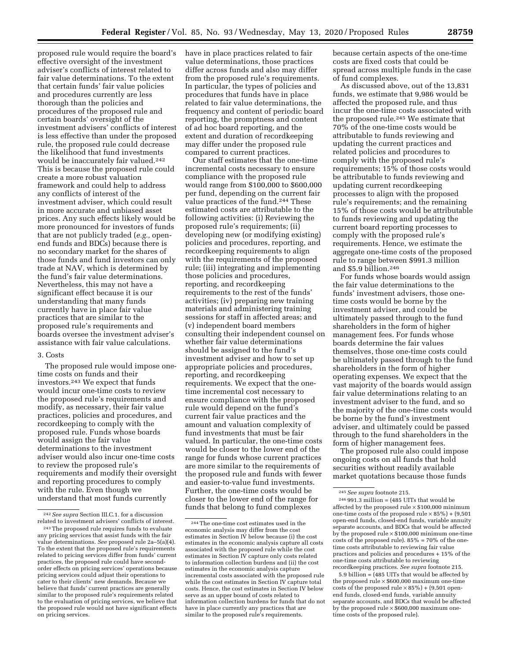proposed rule would require the board's effective oversight of the investment adviser's conflicts of interest related to fair value determinations. To the extent that certain funds' fair value policies and procedures currently are less thorough than the policies and procedures of the proposed rule and certain boards' oversight of the investment advisers' conflicts of interest is less effective than under the proposed rule, the proposed rule could decrease the likelihood that fund investments would be inaccurately fair valued.242 This is because the proposed rule could create a more robust valuation framework and could help to address any conflicts of interest of the investment adviser, which could result in more accurate and unbiased asset prices. Any such effects likely would be more pronounced for investors of funds that are not publicly traded (*e.g.,* openend funds and BDCs) because there is no secondary market for the shares of those funds and fund investors can only trade at NAV, which is determined by the fund's fair value determinations. Nevertheless, this may not have a significant effect because it is our understanding that many funds currently have in place fair value practices that are similar to the proposed rule's requirements and boards oversee the investment adviser's assistance with fair value calculations.

#### 3. Costs

The proposed rule would impose onetime costs on funds and their investors.243 We expect that funds would incur one-time costs to review the proposed rule's requirements and modify, as necessary, their fair value practices, policies and procedures, and recordkeeping to comply with the proposed rule. Funds whose boards would assign the fair value determinations to the investment adviser would also incur one-time costs to review the proposed rule's requirements and modify their oversight and reporting procedures to comply with the rule. Even though we understand that most funds currently

have in place practices related to fair value determinations, those practices differ across funds and also may differ from the proposed rule's requirements. In particular, the types of policies and procedures that funds have in place related to fair value determinations, the frequency and content of periodic board reporting, the promptness and content of ad hoc board reporting, and the extent and duration of recordkeeping may differ under the proposed rule compared to current practices.

Our staff estimates that the one-time incremental costs necessary to ensure compliance with the proposed rule would range from \$100,000 to \$600,000 per fund, depending on the current fair value practices of the fund.244 These estimated costs are attributable to the following activities: (i) Reviewing the proposed rule's requirements; (ii) developing new (or modifying existing) policies and procedures, reporting, and recordkeeping requirements to align with the requirements of the proposed rule; (iii) integrating and implementing those policies and procedures, reporting, and recordkeeping requirements to the rest of the funds' activities; (iv) preparing new training materials and administering training sessions for staff in affected areas; and (v) independent board members consulting their independent counsel on whether fair value determinations should be assigned to the fund's investment adviser and how to set up appropriate policies and procedures, reporting, and recordkeeping requirements. We expect that the onetime incremental cost necessary to ensure compliance with the proposed rule would depend on the fund's current fair value practices and the amount and valuation complexity of fund investments that must be fair valued. In particular, the one-time costs would be closer to the lower end of the range for funds whose current practices are more similar to the requirements of the proposed rule and funds with fewer and easier-to-value fund investments. Further, the one-time costs would be closer to the lower end of the range for funds that belong to fund complexes

because certain aspects of the one-time costs are fixed costs that could be spread across multiple funds in the case of fund complexes.

As discussed above, out of the 13,831 funds, we estimate that 9,986 would be affected the proposed rule, and thus incur the one-time costs associated with the proposed rule.245 We estimate that 70% of the one-time costs would be attributable to funds reviewing and updating the current practices and related policies and procedures to comply with the proposed rule's requirements; 15% of those costs would be attributable to funds reviewing and updating current recordkeeping processes to align with the proposed rule's requirements; and the remaining 15% of those costs would be attributable to funds reviewing and updating the current board reporting processes to comply with the proposed rule's requirements. Hence, we estimate the aggregate one-time costs of the proposed rule to range between \$991.3 million and \$5.9 billion.246

For funds whose boards would assign the fair value determinations to the funds' investment advisers, those onetime costs would be borne by the investment adviser, and could be ultimately passed through to the fund shareholders in the form of higher management fees. For funds whose boards determine the fair values themselves, those one-time costs could be ultimately passed through to the fund shareholders in the form of higher operating expenses. We expect that the vast majority of the boards would assign fair value determinations relating to an investment adviser to the fund, and so the majority of the one-time costs would be borne by the fund's investment adviser, and ultimately could be passed through to the fund shareholders in the form of higher management fees.

The proposed rule also could impose ongoing costs on all funds that hold securities without readily available market quotations because those funds

5.9 billion = (485 UITs that would be affected by the proposed rule  $\times$  \$600,000 maximum one-time costs of the proposed rule  $\times$  85%) + (9,501 openend funds, closed-end funds, variable annuity separate accounts, and BDCs that would be affected by the proposed rule  $\times$  \$600,000 maximum onetime costs of the proposed rule).

<sup>242</sup>*See supra* Section III.C.1. for a discussion related to investment advisers' conflicts of interest.

<sup>243</sup>The proposed rule requires funds to evaluate any pricing services that assist funds with the fair value determinations. *See* proposed rule 2a–5(a)(4). To the extent that the proposed rule's requirements related to pricing services differ from funds' current practices, the proposed rule could have secondorder effects on pricing services' operations because pricing services could adjust their operations to cater to their clients' new demands. Because we believe that funds' current practices are generally similar to the proposed rule's requirements related to the evaluation of pricing services, we believe that the proposed rule would not have significant effects on pricing services.

 $^{\rm 244}$  The one-time cost estimates used in the economic analysis may differ from the cost estimates in Section IV below because (i) the cost estimates in the economic analysis capture all costs associated with the proposed rule while the cost estimates in Section IV capture only costs related to information collection burdens and (ii) the cost estimates in the economic analysis capture incremental costs associated with the proposed rule while the cost estimates in Section IV capture total costs. Hence, the cost estimates in Section IV below serve as an upper bound of costs related to information collection burdens for funds that do not have in place currently any practices that are similar to the proposed rule's requirements.

<sup>245</sup>*See supra* footnote 215.

 $246991.3$  million = (485 UITs that would be affected by the proposed rule  $\times$  \$100,000 minimum one-time costs of the proposed rule  $\times\,85\%) + (9{,}501$ open-end funds, closed-end funds, variable annuity separate accounts, and BDCs that would be affected by the proposed rule  $\times$  \$100,000 minimum one-time costs of the proposed rule).  $85\% = 70\%$  of the onetime costs attributable to reviewing fair value practices and policies and procedures + 15% of the one-time costs attributable to reviewing recordkeeping practices. *See supra* footnote 215.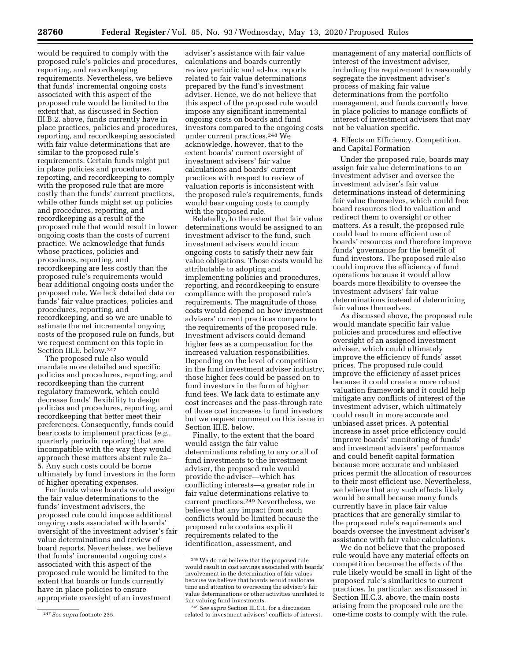would be required to comply with the proposed rule's policies and procedures, reporting, and recordkeeping requirements. Nevertheless, we believe that funds' incremental ongoing costs associated with this aspect of the proposed rule would be limited to the extent that, as discussed in Section III.B.2. above, funds currently have in place practices, policies and procedures, reporting, and recordkeeping associated with fair value determinations that are similar to the proposed rule's requirements. Certain funds might put in place policies and procedures, reporting, and recordkeeping to comply with the proposed rule that are more costly than the funds' current practices, while other funds might set up policies and procedures, reporting, and recordkeeping as a result of the proposed rule that would result in lower ongoing costs than the costs of current practice. We acknowledge that funds whose practices, policies and procedures, reporting, and recordkeeping are less costly than the proposed rule's requirements would bear additional ongoing costs under the proposed rule. We lack detailed data on funds' fair value practices, policies and procedures, reporting, and recordkeeping, and so we are unable to estimate the net incremental ongoing costs of the proposed rule on funds, but we request comment on this topic in Section III.E. below.247

The proposed rule also would mandate more detailed and specific policies and procedures, reporting, and recordkeeping than the current regulatory framework, which could decrease funds' flexibility to design policies and procedures, reporting, and recordkeeping that better meet their preferences. Consequently, funds could bear costs to implement practices (*e.g.,*  quarterly periodic reporting) that are incompatible with the way they would approach these matters absent rule 2a– 5. Any such costs could be borne ultimately by fund investors in the form of higher operating expenses.

For funds whose boards would assign the fair value determinations to the funds' investment advisers, the proposed rule could impose additional ongoing costs associated with boards' oversight of the investment adviser's fair value determinations and review of board reports. Nevertheless, we believe that funds' incremental ongoing costs associated with this aspect of the proposed rule would be limited to the extent that boards or funds currently have in place policies to ensure appropriate oversight of an investment

adviser's assistance with fair value calculations and boards currently review periodic and ad-hoc reports related to fair value determinations prepared by the fund's investment adviser. Hence, we do not believe that this aspect of the proposed rule would impose any significant incremental ongoing costs on boards and fund investors compared to the ongoing costs under current practices.248 We acknowledge, however, that to the extent boards' current oversight of investment advisers' fair value calculations and boards' current practices with respect to review of valuation reports is inconsistent with the proposed rule's requirements, funds would bear ongoing costs to comply with the proposed rule.

Relatedly, to the extent that fair value determinations would be assigned to an investment adviser to the fund, such investment advisers would incur ongoing costs to satisfy their new fair value obligations. Those costs would be attributable to adopting and implementing policies and procedures, reporting, and recordkeeping to ensure compliance with the proposed rule's requirements. The magnitude of those costs would depend on how investment advisers' current practices compare to the requirements of the proposed rule. Investment advisers could demand higher fees as a compensation for the increased valuation responsibilities. Depending on the level of competition in the fund investment adviser industry, those higher fees could be passed on to fund investors in the form of higher fund fees. We lack data to estimate any cost increases and the pass-through rate of those cost increases to fund investors but we request comment on this issue in Section III.E. below.

Finally, to the extent that the board would assign the fair value determinations relating to any or all of fund investments to the investment adviser, the proposed rule would provide the adviser—which has conflicting interests—a greater role in fair value determinations relative to current practices.249 Nevertheless, we believe that any impact from such conflicts would be limited because the proposed rule contains explicit requirements related to the identification, assessment, and

management of any material conflicts of interest of the investment adviser, including the requirement to reasonably segregate the investment adviser's process of making fair value determinations from the portfolio management, and funds currently have in place policies to manage conflicts of interest of investment advisers that may not be valuation specific.

4. Effects on Efficiency, Competition, and Capital Formation

Under the proposed rule, boards may assign fair value determinations to an investment adviser and oversee the investment adviser's fair value determinations instead of determining fair value themselves, which could free board resources tied to valuation and redirect them to oversight or other matters. As a result, the proposed rule could lead to more efficient use of boards' resources and therefore improve funds' governance for the benefit of fund investors. The proposed rule also could improve the efficiency of fund operations because it would allow boards more flexibility to oversee the investment advisers' fair value determinations instead of determining fair values themselves.

As discussed above, the proposed rule would mandate specific fair value policies and procedures and effective oversight of an assigned investment adviser, which could ultimately improve the efficiency of funds' asset prices. The proposed rule could improve the efficiency of asset prices because it could create a more robust valuation framework and it could help mitigate any conflicts of interest of the investment adviser, which ultimately could result in more accurate and unbiased asset prices. A potential increase in asset price efficiency could improve boards' monitoring of funds' and investment advisers' performance and could benefit capital formation because more accurate and unbiased prices permit the allocation of resources to their most efficient use. Nevertheless, we believe that any such effects likely would be small because many funds currently have in place fair value practices that are generally similar to the proposed rule's requirements and boards oversee the investment adviser's assistance with fair value calculations.

We do not believe that the proposed rule would have any material effects on competition because the effects of the rule likely would be small in light of the proposed rule's similarities to current practices. In particular, as discussed in Section III.C.3. above, the main costs arising from the proposed rule are the one-time costs to comply with the rule.

<sup>247</sup>*See supra* footnote 235.

<sup>248</sup>We do not believe that the proposed rule would result in cost savings associated with boards' involvement in the determination of fair values because we believe that boards would reallocate time and attention to overseeing the adviser's fair value determinations or other activities unrelated to fair valuing fund investments.

<sup>249</sup>*See supra* Section III.C.1. for a discussion related to investment advisers' conflicts of interest.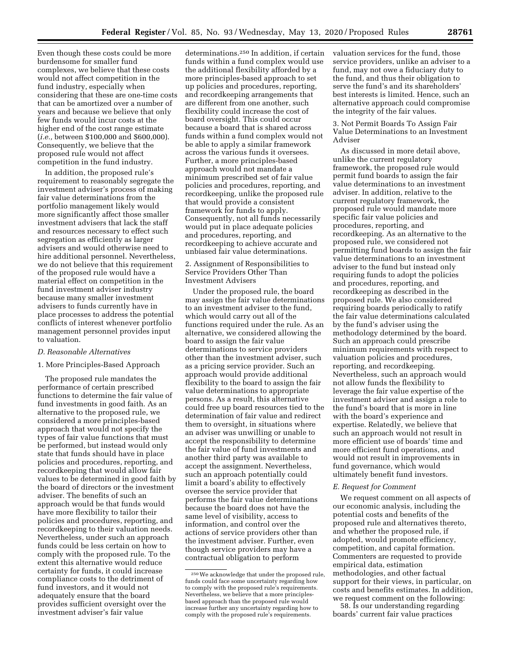Even though these costs could be more burdensome for smaller fund complexes, we believe that these costs would not affect competition in the fund industry, especially when considering that these are one-time costs that can be amortized over a number of years and because we believe that only few funds would incur costs at the higher end of the cost range estimate (*i.e.,* between \$100,000 and \$600,000). Consequently, we believe that the proposed rule would not affect competition in the fund industry.

In addition, the proposed rule's requirement to reasonably segregate the investment adviser's process of making fair value determinations from the portfolio management likely would more significantly affect those smaller investment advisers that lack the staff and resources necessary to effect such segregation as efficiently as larger advisers and would otherwise need to hire additional personnel. Nevertheless, we do not believe that this requirement of the proposed rule would have a material effect on competition in the fund investment adviser industry because many smaller investment advisers to funds currently have in place processes to address the potential conflicts of interest whenever portfolio management personnel provides input to valuation.

### *D. Reasonable Alternatives*

#### 1. More Principles-Based Approach

The proposed rule mandates the performance of certain prescribed functions to determine the fair value of fund investments in good faith. As an alternative to the proposed rule, we considered a more principles-based approach that would not specify the types of fair value functions that must be performed, but instead would only state that funds should have in place policies and procedures, reporting, and recordkeeping that would allow fair values to be determined in good faith by the board of directors or the investment adviser. The benefits of such an approach would be that funds would have more flexibility to tailor their policies and procedures, reporting, and recordkeeping to their valuation needs. Nevertheless, under such an approach funds could be less certain on how to comply with the proposed rule. To the extent this alternative would reduce certainty for funds, it could increase compliance costs to the detriment of fund investors, and it would not adequately ensure that the board provides sufficient oversight over the investment adviser's fair value

determinations.250 In addition, if certain funds within a fund complex would use the additional flexibility afforded by a more principles-based approach to set up policies and procedures, reporting, and recordkeeping arrangements that are different from one another, such flexibility could increase the cost of board oversight. This could occur because a board that is shared across funds within a fund complex would not be able to apply a similar framework across the various funds it oversees. Further, a more principles-based approach would not mandate a minimum prescribed set of fair value policies and procedures, reporting, and recordkeeping, unlike the proposed rule that would provide a consistent framework for funds to apply. Consequently, not all funds necessarily would put in place adequate policies and procedures, reporting, and recordkeeping to achieve accurate and unbiased fair value determinations.

2. Assignment of Responsibilities to Service Providers Other Than Investment Advisers

Under the proposed rule, the board may assign the fair value determinations to an investment adviser to the fund, which would carry out all of the functions required under the rule. As an alternative, we considered allowing the board to assign the fair value determinations to service providers other than the investment adviser, such as a pricing service provider. Such an approach would provide additional flexibility to the board to assign the fair value determinations to appropriate persons. As a result, this alternative could free up board resources tied to the determination of fair value and redirect them to oversight, in situations where an adviser was unwilling or unable to accept the responsibility to determine the fair value of fund investments and another third party was available to accept the assignment. Nevertheless, such an approach potentially could limit a board's ability to effectively oversee the service provider that performs the fair value determinations because the board does not have the same level of visibility, access to information, and control over the actions of service providers other than the investment adviser. Further, even though service providers may have a contractual obligation to perform

valuation services for the fund, those service providers, unlike an adviser to a fund, may not owe a fiduciary duty to the fund, and thus their obligation to serve the fund's and its shareholders' best interests is limited. Hence, such an alternative approach could compromise the integrity of the fair values.

3. Not Permit Boards To Assign Fair Value Determinations to an Investment Adviser

As discussed in more detail above, unlike the current regulatory framework, the proposed rule would permit fund boards to assign the fair value determinations to an investment adviser. In addition, relative to the current regulatory framework, the proposed rule would mandate more specific fair value policies and procedures, reporting, and recordkeeping. As an alternative to the proposed rule, we considered not permitting fund boards to assign the fair value determinations to an investment adviser to the fund but instead only requiring funds to adopt the policies and procedures, reporting, and recordkeeping as described in the proposed rule. We also considered requiring boards periodically to ratify the fair value determinations calculated by the fund's adviser using the methodology determined by the board. Such an approach could prescribe minimum requirements with respect to valuation policies and procedures, reporting, and recordkeeping. Nevertheless, such an approach would not allow funds the flexibility to leverage the fair value expertise of the investment adviser and assign a role to the fund's board that is more in line with the board's experience and expertise. Relatedly, we believe that such an approach would not result in more efficient use of boards' time and more efficient fund operations, and would not result in improvements in fund governance, which would ultimately benefit fund investors.

### *E. Request for Comment*

We request comment on all aspects of our economic analysis, including the potential costs and benefits of the proposed rule and alternatives thereto, and whether the proposed rule, if adopted, would promote efficiency, competition, and capital formation. Commenters are requested to provide empirical data, estimation methodologies, and other factual support for their views, in particular, on costs and benefits estimates. In addition, we request comment on the following:

58. Is our understanding regarding boards' current fair value practices

<sup>250</sup>We acknowledge that under the proposed rule, funds could face some uncertainty regarding how to comply with the proposed rule's requirements. Nevertheless, we believe that a more principlesbased approach than the proposed rule would increase further any uncertainty regarding how to comply with the proposed rule's requirements.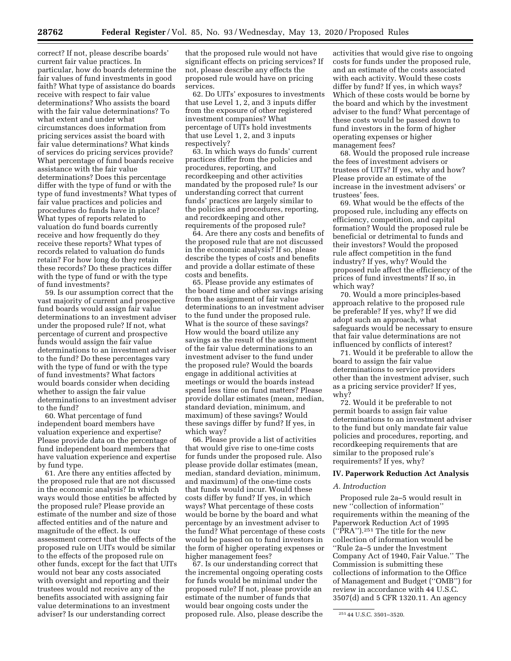correct? If not, please describe boards' current fair value practices. In particular, how do boards determine the fair values of fund investments in good faith? What type of assistance do boards receive with respect to fair value determinations? Who assists the board with the fair value determinations? To what extent and under what circumstances does information from pricing services assist the board with fair value determinations? What kinds of services do pricing services provide? What percentage of fund boards receive assistance with the fair value determinations? Does this percentage differ with the type of fund or with the type of fund investments? What types of fair value practices and policies and procedures do funds have in place? What types of reports related to valuation do fund boards currently receive and how frequently do they receive these reports? What types of records related to valuation do funds retain? For how long do they retain these records? Do these practices differ with the type of fund or with the type of fund investments?

59. Is our assumption correct that the vast majority of current and prospective fund boards would assign fair value determinations to an investment adviser under the proposed rule? If not, what percentage of current and prospective funds would assign the fair value determinations to an investment adviser to the fund? Do these percentages vary with the type of fund or with the type of fund investments? What factors would boards consider when deciding whether to assign the fair value determinations to an investment adviser to the fund?

60. What percentage of fund independent board members have valuation experience and expertise? Please provide data on the percentage of fund independent board members that have valuation experience and expertise by fund type.

61. Are there any entities affected by the proposed rule that are not discussed in the economic analysis? In which ways would those entities be affected by the proposed rule? Please provide an estimate of the number and size of those affected entities and of the nature and magnitude of the effect. Is our assessment correct that the effects of the proposed rule on UITs would be similar to the effects of the proposed rule on other funds, except for the fact that UITs would not bear any costs associated with oversight and reporting and their trustees would not receive any of the benefits associated with assigning fair value determinations to an investment adviser? Is our understanding correct

that the proposed rule would not have significant effects on pricing services? If not, please describe any effects the proposed rule would have on pricing services.

62. Do UITs' exposures to investments that use Level 1, 2, and 3 inputs differ from the exposure of other registered investment companies? What percentage of UITs hold investments that use Level 1, 2, and 3 inputs respectively?

63. In which ways do funds' current practices differ from the policies and procedures, reporting, and recordkeeping and other activities mandated by the proposed rule? Is our understanding correct that current funds' practices are largely similar to the policies and procedures, reporting, and recordkeeping and other requirements of the proposed rule?

64. Are there any costs and benefits of the proposed rule that are not discussed in the economic analysis? If so, please describe the types of costs and benefits and provide a dollar estimate of these costs and benefits.

65. Please provide any estimates of the board time and other savings arising from the assignment of fair value determinations to an investment adviser to the fund under the proposed rule. What is the source of these savings? How would the board utilize any savings as the result of the assignment of the fair value determinations to an investment adviser to the fund under the proposed rule? Would the boards engage in additional activities at meetings or would the boards instead spend less time on fund matters? Please provide dollar estimates (mean, median, standard deviation, minimum, and maximum) of these savings? Would these savings differ by fund? If yes, in which way?

66. Please provide a list of activities that would give rise to one-time costs for funds under the proposed rule. Also please provide dollar estimates (mean, median, standard deviation, minimum, and maximum) of the one-time costs that funds would incur. Would these costs differ by fund? If yes, in which ways? What percentage of these costs would be borne by the board and what percentage by an investment adviser to the fund? What percentage of these costs would be passed on to fund investors in the form of higher operating expenses or higher management fees?

67. Is our understanding correct that the incremental ongoing operating costs for funds would be minimal under the proposed rule? If not, please provide an estimate of the number of funds that would bear ongoing costs under the proposed rule. Also, please describe the activities that would give rise to ongoing costs for funds under the proposed rule, and an estimate of the costs associated with each activity. Would these costs differ by fund? If yes, in which ways? Which of these costs would be borne by the board and which by the investment adviser to the fund? What percentage of these costs would be passed down to fund investors in the form of higher operating expenses or higher management fees?

68. Would the proposed rule increase the fees of investment advisers or trustees of UITs? If yes, why and how? Please provide an estimate of the increase in the investment advisers' or trustees' fees.

69. What would be the effects of the proposed rule, including any effects on efficiency, competition, and capital formation? Would the proposed rule be beneficial or detrimental to funds and their investors? Would the proposed rule affect competition in the fund industry? If yes, why? Would the proposed rule affect the efficiency of the prices of fund investments? If so, in which way?

70. Would a more principles-based approach relative to the proposed rule be preferable? If yes, why? If we did adopt such an approach, what safeguards would be necessary to ensure that fair value determinations are not influenced by conflicts of interest?

71. Would it be preferable to allow the board to assign the fair value determinations to service providers other than the investment adviser, such as a pricing service provider? If yes, why?

72. Would it be preferable to not permit boards to assign fair value determinations to an investment adviser to the fund but only mandate fair value policies and procedures, reporting, and recordkeeping requirements that are similar to the proposed rule's requirements? If yes, why?

## **IV. Paperwork Reduction Act Analysis**

#### *A. Introduction*

Proposed rule 2a–5 would result in new ''collection of information'' requirements within the meaning of the Paperwork Reduction Act of 1995 (''PRA'').251 The title for the new collection of information would be ''Rule 2a–5 under the Investment Company Act of 1940, Fair Value.'' The Commission is submitting these collections of information to the Office of Management and Budget (''OMB'') for review in accordance with 44 U.S.C. 3507(d) and 5 CFR 1320.11. An agency

<sup>251</sup> 44 U.S.C. 3501–3520.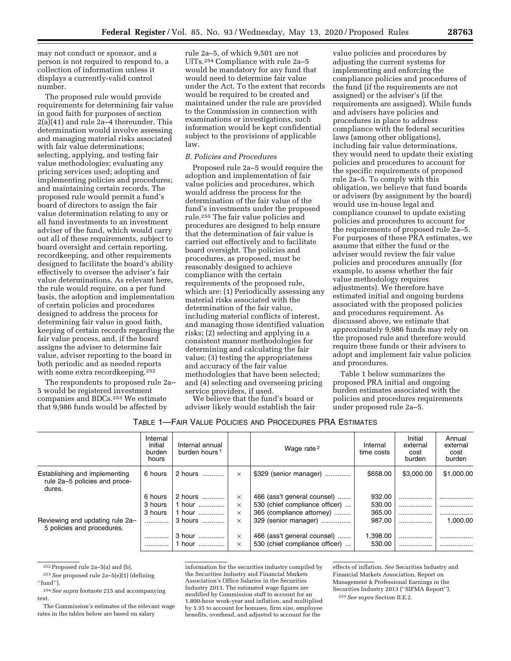may not conduct or sponsor, and a person is not required to respond to, a collection of information unless it displays a currently-valid control number.

The proposed rule would provide requirements for determining fair value in good faith for purposes of section 2(a)(41) and rule 2a–4 thereunder. This determination would involve assessing and managing material risks associated with fair value determinations; selecting, applying, and testing fair value methodologies; evaluating any pricing services used; adopting and implementing policies and procedures; and maintaining certain records. The proposed rule would permit a fund's board of directors to assign the fair value determination relating to any or all fund investments to an investment adviser of the fund, which would carry out all of these requirements, subject to board oversight and certain reporting, recordkeeping, and other requirements designed to facilitate the board's ability effectively to oversee the adviser's fair value determinations. As relevant here, the rule would require, on a per fund basis, the adoption and implementation of certain policies and procedures designed to address the process for determining fair value in good faith, keeping of certain records regarding the fair value process, and, if the board assigns the adviser to determine fair value, adviser reporting to the board in both periodic and as needed reports with some extra recordkeeping.252

The respondents to proposed rule 2a– 5 would be registered investment companies and BDCs.253 We estimate that 9,986 funds would be affected by

rule 2a–5, of which 9,501 are not UITs.254 Compliance with rule 2a–5 would be mandatory for any fund that would need to determine fair value under the Act. To the extent that records would be required to be created and maintained under the rule are provided to the Commission in connection with examinations or investigations, such information would be kept confidential subject to the provisions of applicable law.

#### *B. Policies and Procedures*

Proposed rule 2a–5 would require the adoption and implementation of fair value policies and procedures, which would address the process for the determination of the fair value of the fund's investments under the proposed rule.255 The fair value policies and procedures are designed to help ensure that the determination of fair value is carried out effectively and to facilitate board oversight. The policies and procedures, as proposed, must be reasonably designed to achieve compliance with the certain requirements of the proposed rule, which are: (1) Periodically assessing any material risks associated with the determination of the fair value, including material conflicts of interest, and managing those identified valuation risks; (2) selecting and applying in a consistent manner methodologies for determining and calculating the fair value; (3) testing the appropriateness and accuracy of the fair value methodologies that have been selected; and (4) selecting and overseeing pricing service providers, if used.

We believe that the fund's board or adviser likely would establish the fair

value policies and procedures by adjusting the current systems for implementing and enforcing the compliance policies and procedures of the fund (if the requirements are not assigned) or the adviser's (if the requirements are assigned). While funds and advisers have policies and procedures in place to address compliance with the federal securities laws (among other obligations), including fair value determinations, they would need to update their existing policies and procedures to account for the specific requirements of proposed rule 2a–5. To comply with this obligation, we believe that fund boards or advisers (by assignment by the board) would use in-house legal and compliance counsel to update existing policies and procedures to account for the requirements of proposed rule 2a–5. For purposes of these PRA estimates, we assume that either the fund or the adviser would review the fair value policies and procedures annually (for example, to assess whether the fair value methodology requires adjustments). We therefore have estimated initial and ongoing burdens associated with the proposed policies and procedures requirement. As discussed above, we estimate that approximately 9,986 funds may rely on the proposed rule and therefore would require these funds or their advisers to adopt and implement fair value policies and procedures.

Table 1 below summarizes the proposed PRA initial and ongoing burden estimates associated with the policies and procedures requirements under proposed rule 2a–5.

## TABLE 1—FAIR VALUE POLICIES AND PROCEDURES PRA ESTIMATES

|                                                                          | Internal<br>initial<br>burden<br>hours | Internal annual<br>burden hours <sup>1</sup> |          | Wage rate <sup>2</sup>         | Internal<br>time costs | Initial<br>external<br>cost<br>burden | Annual<br>external<br>cost<br>burden |
|--------------------------------------------------------------------------|----------------------------------------|----------------------------------------------|----------|--------------------------------|------------------------|---------------------------------------|--------------------------------------|
| Establishing and implementing<br>rule 2a-5 policies and proce-<br>dures. | 6 hours                                | 2 hours                                      | $\times$ | \$329 (senior manager)         | \$658.00               | \$3,000,00                            | \$1,000.00                           |
|                                                                          | 6 hours                                | 2 hours                                      | $\times$ | 466 (ass't general counsel)    | 932.00                 | .                                     |                                      |
|                                                                          | 3 hours                                | 1 hour                                       | $\times$ | 530 (chief compliance officer) | 530.00                 |                                       |                                      |
|                                                                          | 3 hours                                | 1 hour                                       | $\times$ | 365 (compliance attorney)      | 365.00                 |                                       |                                      |
| Reviewing and updating rule 2a-<br>5 policies and procedures.            |                                        | 3 hours                                      | $\times$ | 329 (senior manager)           | 987.00                 |                                       | 1.000.00                             |
|                                                                          |                                        | 3 hour                                       | $\times$ | 466 (ass't general counsel)    | 1,398.00               | .                                     |                                      |
|                                                                          |                                        | 1 hour                                       | $\times$ | 530 (chief compliance officer) | 530.00                 | .                                     |                                      |

252Proposed rule 2a–5(a) and (b).

253*See* proposed rule 2a–5(e)(1) (defining  $``final"$ 

254*See supra* footnote 215 and accompanying text.

The Commission's estimates of the relevant wage rates in the tables below are based on salary

information for the securities industry compiled by the Securities Industry and Financial Markets Association's Office Salaries in the Securities Industry 2013. The estimated wage figures are modified by Commission staff to account for an 1,800-hour work-year and inflation, and multiplied by 5.35 to account for bonuses, firm size, employee benefits, overhead, and adjusted to account for the

effects of inflation. *See* Securities Industry and Financial Markets Association, Report on Management & Professional Earnings in the Securities Industry 2013 (''SIFMA Report''). 255*See supra* Section II.E.2.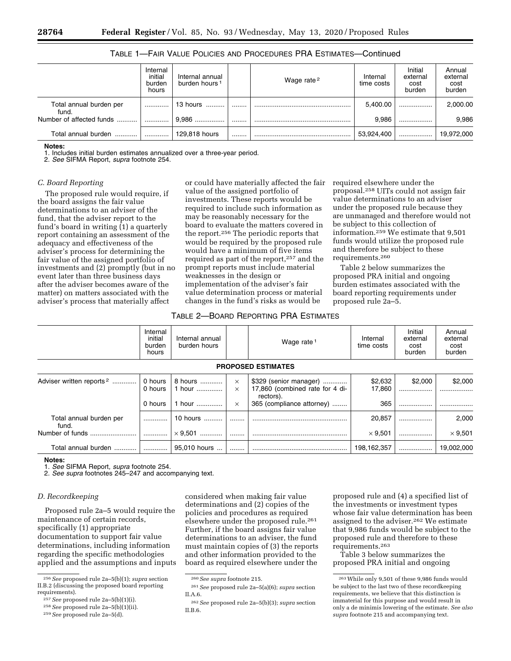|                                  | Internal<br>initial<br>burden<br>hours | Internal annual<br>burden hours <sup>1</sup> | Wage rate <sup>2</sup> | Internal<br>time costs | Initial<br>external<br>cost<br>burden | Annual<br>external<br>cost<br>burden |
|----------------------------------|----------------------------------------|----------------------------------------------|------------------------|------------------------|---------------------------------------|--------------------------------------|
| Total annual burden per<br>fund. |                                        | 13 hours                                     |                        | 5.400.00               |                                       | 2,000.00                             |
| Number of affected funds         |                                        | $9.986$                                      |                        | 9.986                  |                                       | 9,986                                |
| Total annual burden              |                                        | 129.818 hours                                |                        | 53,924,400             |                                       | 19.972.000                           |

## TABLE 1—FAIR VALUE POLICIES AND PROCEDURES PRA ESTIMATES—Continued

#### **Notes:**

1. Includes initial burden estimates annualized over a three-year period.

2. *See* SIFMA Report, *supra* footnote 254.

# *C. Board Reporting*

The proposed rule would require, if the board assigns the fair value determinations to an adviser of the fund, that the adviser report to the fund's board in writing (1) a quarterly report containing an assessment of the adequacy and effectiveness of the adviser's process for determining the fair value of the assigned portfolio of investments and (2) promptly (but in no event later than three business days after the adviser becomes aware of the matter) on matters associated with the adviser's process that materially affect

or could have materially affected the fair value of the assigned portfolio of investments. These reports would be required to include such information as may be reasonably necessary for the board to evaluate the matters covered in the report.256 The periodic reports that would be required by the proposed rule would have a minimum of five items required as part of the report,257 and the prompt reports must include material weaknesses in the design or implementation of the adviser's fair value determination process or material changes in the fund's risks as would be

required elsewhere under the proposal.258 UITs could not assign fair value determinations to an adviser under the proposed rule because they are unmanaged and therefore would not be subject to this collection of information.259 We estimate that 9,501 funds would utilize the proposed rule and therefore be subject to these requirements.260

Table 2 below summarizes the proposed PRA initial and ongoing burden estimates associated with the board reporting requirements under proposed rule 2a–5.

# TABLE 2—BOARD REPORTING PRA ESTIMATES

|                                      | Internal<br>initial<br>burden<br>hours | Internal annual<br>burden hours |                      | Wage rate <sup>1</sup>                                                 | Internal<br>time costs | Initial<br>external<br>cost<br>burden | Annual<br>external<br>cost<br>burden |
|--------------------------------------|----------------------------------------|---------------------------------|----------------------|------------------------------------------------------------------------|------------------------|---------------------------------------|--------------------------------------|
|                                      |                                        |                                 |                      | <b>PROPOSED ESTIMATES</b>                                              |                        |                                       |                                      |
| Adviser written reports <sup>2</sup> | 0 hours<br>0 hours                     | 8 hours   <br>1 hour            | $\times$<br>$\times$ | \$329 (senior manager)<br>17,860 (combined rate for 4 di-<br>rectors). | \$2,632<br>17,860      | \$2,000                               | \$2,000                              |
|                                      | 0 hours                                | 1 hour                          | $\times$             | 365 (compliance attorney)                                              | 365                    |                                       |                                      |
| Total annual burden per<br>fund.     |                                        | 10 hours                        |                      |                                                                        | 20.857                 |                                       | 2,000                                |
| Number of funds                      | .                                      | $\times$ 9.501                  |                      |                                                                        | $\times$ 9.501         |                                       | $\times$ 9.501                       |
| Total annual burden                  | .                                      | 95.010 hours                    |                      |                                                                        | 198,162,357            |                                       | 19,002,000                           |

#### **Notes:**

1. *See* SIFMA Report*, supra* footnote 254.

2. *See supra* footnotes 245–247 and accompanying text.

## *D. Recordkeeping*

Proposed rule 2a–5 would require the maintenance of certain records, specifically (1) appropriate documentation to support fair value determinations, including information regarding the specific methodologies applied and the assumptions and inputs

256*See* proposed rule 2a–5(b)(1); *supra* section II.B.2 (discussing the proposed board reporting requirements).

considered when making fair value determinations and (2) copies of the policies and procedures as required elsewhere under the proposed rule.261 Further, if the board assigns fair value determinations to an adviser, the fund must maintain copies of (3) the reports and other information provided to the board as required elsewhere under the

proposed rule and (4) a specified list of the investments or investment types whose fair value determination has been assigned to the adviser.262 We estimate that 9,986 funds would be subject to the proposed rule and therefore to these requirements.263

Table 3 below summarizes the proposed PRA initial and ongoing

<sup>257</sup>*See* proposed rule 2a–5(b)(1)(i).

<sup>258</sup>*See* proposed rule 2a–5(b)(1)(ii).

<sup>259</sup>*See* proposed rule 2a–5(d).

<sup>260</sup>*See supra* footnote 215.

<sup>261</sup>*See* proposed rule 2a–5(a)(6); *supra* section II.A.6.

<sup>262</sup>*See* proposed rule 2a–5(b)(3); *supra* section II.B.6.

<sup>263</sup>While only 9,501 of these 9,986 funds would be subject to the last two of these recordkeeping requirements, we believe that this distinction is immaterial for this purpose and would result in only a de minimis lowering of the estimate. *See also supra* footnote 215 and accompanying text.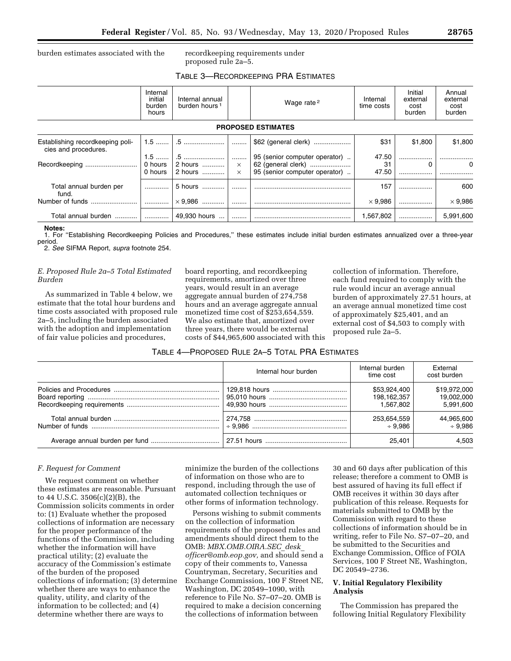burden estimates associated with the recordkeeping requirements under

proposed rule 2a–5.

# TABLE 3—RECORDKEEPING PRA ESTIMATES

|                                                          | Internal<br>initial<br>burden<br>hours | Internal annual<br>burden hours <sup>1</sup> |                           | Wage rate <sup>2</sup>                                                               | Internal<br>time costs | Initial<br>external<br>cost<br>burden | Annual<br>external<br>cost<br>burden |
|----------------------------------------------------------|----------------------------------------|----------------------------------------------|---------------------------|--------------------------------------------------------------------------------------|------------------------|---------------------------------------|--------------------------------------|
|                                                          |                                        |                                              |                           | <b>PROPOSED ESTIMATES</b>                                                            |                        |                                       |                                      |
| Establishing recordkeeping poli-<br>cies and procedures. |                                        |                                              |                           | \$62 (general clerk)                                                                 | \$31                   | \$1.800                               | \$1.800                              |
|                                                          | $1.5$<br>0 hours<br>0 hours            | .5<br>2 hours   <br>2 hours                  | .<br>$\times$<br>$\times$ | 95 (senior computer operator)<br>62 (general clerk)<br>95 (senior computer operator) | 47.50<br>31<br>47.50   | 0                                     | 0                                    |
| Total annual burden per<br>fund.                         |                                        | 5 hours                                      |                           |                                                                                      | 157                    |                                       | 600                                  |
|                                                          |                                        | $\times$ 9.986                               |                           |                                                                                      | $\times$ 9.986         |                                       | $\times$ 9.986                       |
| Total annual burden                                      |                                        | 49,930 hours                                 |                           |                                                                                      | 1,567,802              |                                       | 5,991,600                            |

#### **Notes:**

1. For ''Establishing Recordkeeping Policies and Procedures,'' these estimates include initial burden estimates annualized over a three-year period.

2. *See* SIFMA Report, *supra* footnote 254.

# *E. Proposed Rule 2a–5 Total Estimated Burden*

As summarized in Table 4 below, we estimate that the total hour burdens and time costs associated with proposed rule 2a–5, including the burden associated with the adoption and implementation of fair value policies and procedures,

board reporting, and recordkeeping requirements, amortized over three years, would result in an average aggregate annual burden of 274,758 hours and an average aggregate annual monetized time cost of \$253,654,559. We also estimate that, amortized over three years, there would be external costs of \$44,965,600 associated with this

collection of information. Therefore, each fund required to comply with the rule would incur an average annual burden of approximately 27.51 hours, at an average annual monetized time cost of approximately \$25,401, and an external cost of \$4,503 to comply with proposed rule 2a–5.

## TABLE 4—PROPOSED RULE 2A–5 TOTAL PRA ESTIMATES

| Internal hour burden | Internal burden<br>time cost | External<br>cost burden |
|----------------------|------------------------------|-------------------------|
|                      | \$53.924.400                 | \$19.972.000            |
|                      | 198,162,357                  | 19,002,000              |
|                      | 1.567.802                    | 5.991.600               |
|                      | 253,654,559                  | 44.965.600              |
|                      | $+9.986$                     | $+9.986$                |
|                      | 25.401                       |                         |

## *F. Request for Comment*

We request comment on whether these estimates are reasonable. Pursuant to 44 U.S.C. 3506(c)(2)(B), the Commission solicits comments in order to: (1) Evaluate whether the proposed collections of information are necessary for the proper performance of the functions of the Commission, including whether the information will have practical utility; (2) evaluate the accuracy of the Commission's estimate of the burden of the proposed collections of information; (3) determine whether there are ways to enhance the quality, utility, and clarity of the information to be collected; and (4) determine whether there are ways to

minimize the burden of the collections of information on those who are to respond, including through the use of automated collection techniques or other forms of information technology.

Persons wishing to submit comments on the collection of information requirements of the proposed rules and amendments should direct them to the OMB: *[MBX.OMB.OIRA.SEC](mailto:MBX.OMB.OIRA.SEC_desk_officer@omb.eop.gov)*\_*desk*\_ *[officer@omb.eop.gov,](mailto:MBX.OMB.OIRA.SEC_desk_officer@omb.eop.gov)* and should send a copy of their comments to, Vanessa Countryman, Secretary, Securities and Exchange Commission, 100 F Street NE, Washington, DC 20549–1090, with reference to File No. S7–07–20. OMB is required to make a decision concerning the collections of information between

30 and 60 days after publication of this release; therefore a comment to OMB is best assured of having its full effect if OMB receives it within 30 days after publication of this release. Requests for materials submitted to OMB by the Commission with regard to these collections of information should be in writing, refer to File No. S7–07–20, and be submitted to the Securities and Exchange Commission, Office of FOIA Services, 100 F Street NE, Washington, DC 20549–2736.

## **V. Initial Regulatory Flexibility Analysis**

The Commission has prepared the following Initial Regulatory Flexibility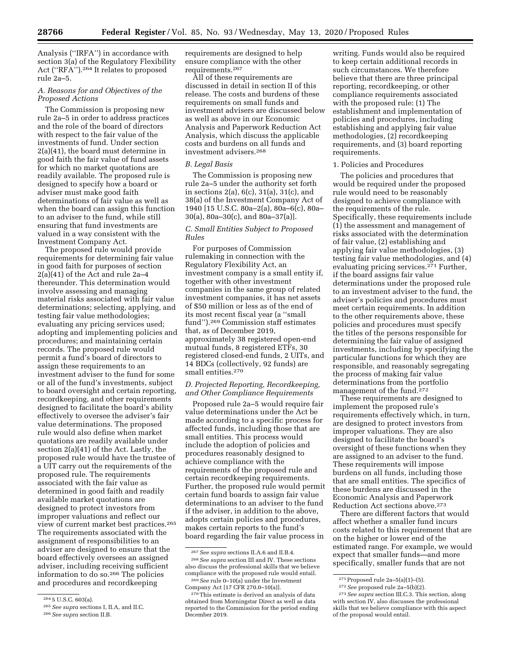Analysis (''IRFA'') in accordance with section 3(a) of the Regulatory Flexibility Act (''RFA'').264 It relates to proposed rule 2a–5.

# *A. Reasons for and Objectives of the Proposed Actions*

The Commission is proposing new rule 2a–5 in order to address practices and the role of the board of directors with respect to the fair value of the investments of fund. Under section 2(a)(41), the board must determine in good faith the fair value of fund assets for which no market quotations are readily available. The proposed rule is designed to specify how a board or adviser must make good faith determinations of fair value as well as when the board can assign this function to an adviser to the fund, while still ensuring that fund investments are valued in a way consistent with the Investment Company Act.

The proposed rule would provide requirements for determining fair value in good faith for purposes of section 2(a)(41) of the Act and rule 2a–4 thereunder. This determination would involve assessing and managing material risks associated with fair value determinations; selecting, applying, and testing fair value methodologies; evaluating any pricing services used; adopting and implementing policies and procedures; and maintaining certain records. The proposed rule would permit a fund's board of directors to assign these requirements to an investment adviser to the fund for some or all of the fund's investments, subject to board oversight and certain reporting, recordkeeping, and other requirements designed to facilitate the board's ability effectively to oversee the adviser's fair value determinations. The proposed rule would also define when market quotations are readily available under section 2(a)(41) of the Act. Lastly, the proposed rule would have the trustee of a UIT carry out the requirements of the proposed rule. The requirements associated with the fair value as determined in good faith and readily available market quotations are designed to protect investors from improper valuations and reflect our view of current market best practices.265 The requirements associated with the assignment of responsibilities to an adviser are designed to ensure that the board effectively oversees an assigned adviser, including receiving sufficient information to do so.266 The policies and procedures and recordkeeping

requirements are designed to help ensure compliance with the other requirements.267

All of these requirements are discussed in detail in section II of this release. The costs and burdens of these requirements on small funds and investment advisers are discussed below as well as above in our Economic Analysis and Paperwork Reduction Act Analysis, which discuss the applicable costs and burdens on all funds and investment advisers.268

#### *B. Legal Basis*

The Commission is proposing new rule 2a–5 under the authority set forth in sections 2(a), 6(c), 31(a), 31(c), and 38(a) of the Investment Company Act of 1940 [15 U.S.C. 80a–2(a), 80a–6(c), 80a– 30(a), 80a–30(c), and 80a–37(a)].

## *C. Small Entities Subject to Proposed Rules*

For purposes of Commission rulemaking in connection with the Regulatory Flexibility Act, an investment company is a small entity if, together with other investment companies in the same group of related investment companies, it has net assets of \$50 million or less as of the end of its most recent fiscal year (a ''small fund'').269 Commission staff estimates that, as of December 2019, approximately 38 registered open-end mutual funds, 8 registered ETFs, 30 registered closed-end funds, 2 UITs, and 14 BDCs (collectively, 92 funds) are small entities.270

## *D. Projected Reporting, Recordkeeping, and Other Compliance Requirements*

Proposed rule 2a–5 would require fair value determinations under the Act be made according to a specific process for affected funds, including those that are small entities. This process would include the adoption of policies and procedures reasonably designed to achieve compliance with the requirements of the proposed rule and certain recordkeeping requirements. Further, the proposed rule would permit certain fund boards to assign fair value determinations to an adviser to the fund if the adviser, in addition to the above, adopts certain policies and procedures, makes certain reports to the fund's board regarding the fair value process in

268*See supra* section III and IV. These sections also discuss the professional skills that we believe compliance with the proposed rule would entail. 269*See* rule 0–10(a) under the Investment

writing. Funds would also be required to keep certain additional records in such circumstances. We therefore believe that there are three principal reporting, recordkeeping, or other compliance requirements associated with the proposed rule: (1) The establishment and implementation of policies and procedures, including establishing and applying fair value methodologies, (2) recordkeeping requirements, and (3) board reporting requirements.

#### 1. Policies and Procedures

The policies and procedures that would be required under the proposed rule would need to be reasonably designed to achieve compliance with the requirements of the rule. Specifically, these requirements include (1) the assessment and management of risks associated with the determination of fair value, (2) establishing and applying fair value methodologies, (3) testing fair value methodologies, and (4) evaluating pricing services.<sup>271</sup> Further, if the board assigns fair value determinations under the proposed rule to an investment adviser to the fund, the adviser's policies and procedures must meet certain requirements. In addition to the other requirements above, these policies and procedures must specify the titles of the persons responsible for determining the fair value of assigned investments, including by specifying the particular functions for which they are responsible, and reasonably segregating the process of making fair value determinations from the portfolio management of the fund.<sup>272</sup>

These requirements are designed to implement the proposed rule's requirements effectively which, in turn, are designed to protect investors from improper valuations. They are also designed to facilitate the board's oversight of these functions when they are assigned to an adviser to the fund. These requirements will impose burdens on all funds, including those that are small entities. The specifics of these burdens are discussed in the Economic Analysis and Paperwork Reduction Act sections above.273

There are different factors that would affect whether a smaller fund incurs costs related to this requirement that are on the higher or lower end of the estimated range. For example, we would expect that smaller funds—and more specifically, smaller funds that are not

<sup>264</sup> 5 U.S.C. 603(a).

<sup>265</sup>*See supra* sections I, II.A, and II.C.

<sup>266</sup>*See supra* section II.B.

<sup>267</sup>*See supra* sections II.A.6 and II.B.4.

Company Act [17 CFR 270.0–10(a)].

<sup>270</sup>This estimate is derived an analysis of data obtained from Morningstar Direct as well as data reported to the Commission for the period ending December 2019.

<sup>271</sup>Proposed rule 2a–5(a)(1)–(5).

<sup>272</sup>*See* proposed rule 2a–5(b)(2).

<sup>273</sup>*See supra* section III.C.3. This section, along with section IV, also discusses the professional skills that we believe compliance with this aspect of the proposal would entail.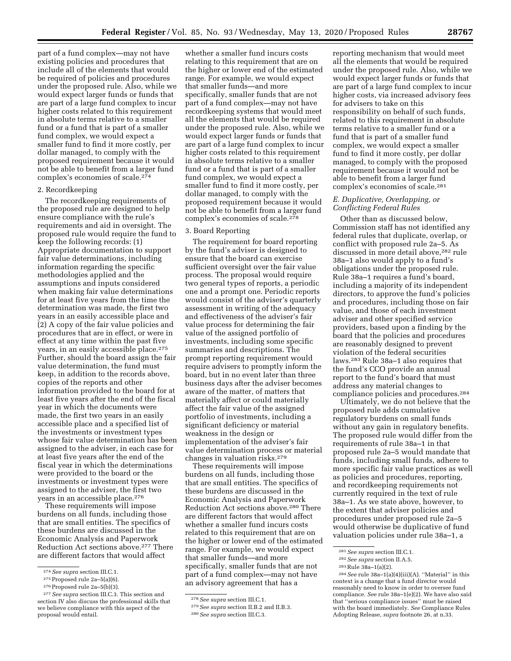part of a fund complex—may not have existing policies and procedures that include all of the elements that would be required of policies and procedures under the proposed rule. Also, while we would expect larger funds or funds that are part of a large fund complex to incur higher costs related to this requirement in absolute terms relative to a smaller fund or a fund that is part of a smaller fund complex, we would expect a smaller fund to find it more costly, per dollar managed, to comply with the proposed requirement because it would not be able to benefit from a larger fund complex's economies of scale.274

## 2. Recordkeeping

The recordkeeping requirements of the proposed rule are designed to help ensure compliance with the rule's requirements and aid in oversight. The proposed rule would require the fund to keep the following records: (1) Appropriate documentation to support fair value determinations, including information regarding the specific methodologies applied and the assumptions and inputs considered when making fair value determinations for at least five years from the time the determination was made, the first two years in an easily accessible place and (2) A copy of the fair value policies and procedures that are in effect, or were in effect at any time within the past five years, in an easily accessible place.275 Further, should the board assign the fair value determination, the fund must keep, in addition to the records above, copies of the reports and other information provided to the board for at least five years after the end of the fiscal year in which the documents were made, the first two years in an easily accessible place and a specified list of the investments or investment types whose fair value determination has been assigned to the adviser, in each case for at least five years after the end of the fiscal year in which the determinations were provided to the board or the investments or investment types were assigned to the adviser, the first two years in an accessible place.276

These requirements will impose burdens on all funds, including those that are small entities. The specifics of these burdens are discussed in the Economic Analysis and Paperwork Reduction Act sections above.277 There are different factors that would affect

whether a smaller fund incurs costs relating to this requirement that are on the higher or lower end of the estimated range. For example, we would expect that smaller funds—and more specifically, smaller funds that are not part of a fund complex—may not have recordkeeping systems that would meet all the elements that would be required under the proposed rule. Also, while we would expect larger funds or funds that are part of a large fund complex to incur higher costs related to this requirement in absolute terms relative to a smaller fund or a fund that is part of a smaller fund complex, we would expect a smaller fund to find it more costly, per dollar managed, to comply with the proposed requirement because it would not be able to benefit from a larger fund complex's economies of scale.278

## 3. Board Reporting

The requirement for board reporting by the fund's adviser is designed to ensure that the board can exercise sufficient oversight over the fair value process. The proposal would require two general types of reports, a periodic one and a prompt one. Periodic reports would consist of the adviser's quarterly assessment in writing of the adequacy and effectiveness of the adviser's fair value process for determining the fair value of the assigned portfolio of investments, including some specific summaries and descriptions. The prompt reporting requirement would require advisers to promptly inform the board, but in no event later than three business days after the adviser becomes aware of the matter, of matters that materially affect or could materially affect the fair value of the assigned portfolio of investments, including a significant deficiency or material weakness in the design or implementation of the adviser's fair value determination process or material changes in valuation risks.279

These requirements will impose burdens on all funds, including those that are small entities. The specifics of these burdens are discussed in the Economic Analysis and Paperwork Reduction Act sections above.280 There are different factors that would affect whether a smaller fund incurs costs related to this requirement that are on the higher or lower end of the estimated range. For example, we would expect that smaller funds—and more specifically, smaller funds that are not part of a fund complex—may not have an advisory agreement that has a

reporting mechanism that would meet all the elements that would be required under the proposed rule. Also, while we would expect larger funds or funds that are part of a large fund complex to incur higher costs, via increased advisory fees for advisers to take on this responsibility on behalf of such funds, related to this requirement in absolute terms relative to a smaller fund or a fund that is part of a smaller fund complex, we would expect a smaller fund to find it more costly, per dollar managed, to comply with the proposed requirement because it would not be able to benefit from a larger fund complex's economies of scale.281

## *E. Duplicative, Overlapping, or Conflicting Federal Rules*

Other than as discussed below, Commission staff has not identified any federal rules that duplicate, overlap, or conflict with proposed rule 2a–5. As discussed in more detail above,282 rule 38a–1 also would apply to a fund's obligations under the proposed rule. Rule 38a–1 requires a fund's board, including a majority of its independent directors, to approve the fund's policies and procedures, including those on fair value, and those of each investment adviser and other specified service providers, based upon a finding by the board that the policies and procedures are reasonably designed to prevent violation of the federal securities laws.283 Rule 38a–1 also requires that the fund's CCO provide an annual report to the fund's board that must address any material changes to compliance policies and procedures.284

Ultimately, we do not believe that the proposed rule adds cumulative regulatory burdens on small funds without any gain in regulatory benefits. The proposed rule would differ from the requirements of rule 38a–1 in that proposed rule 2a–5 would mandate that funds, including small funds, adhere to more specific fair value practices as well as policies and procedures, reporting, and recordkeeping requirements not currently required in the text of rule 38a–1. As we state above, however, to the extent that adviser policies and procedures under proposed rule 2a–5 would otherwise be duplicative of fund valuation policies under rule 38a–1, a

<sup>274</sup>*See supra* section III.C.1.

<sup>275</sup>Proposed rule 2a–5(a)(6).

 $276$  Proposed rule 2a-5(b)(3).

<sup>277</sup>*See supra* section III.C.3. This section and section IV also discuss the professional skills that we believe compliance with this aspect of the proposal would entail.

<sup>278</sup>*See supra* section III.C.1.

<sup>279</sup>*See supra* section II.B.2 and II.B.3.

<sup>280</sup>*See supra* section III.C.3.

<sup>281</sup>*See supra* section III.C.1.

<sup>282</sup>*See supra* section II.A.5.

<sup>283</sup>Rule 38a–1(a)(2).

<sup>284</sup>*See* rule 38a–1(a)(4)(iii)(A). ''Material'' in this context is a change that a fund director would reasonably need to know in order to oversee fund compliance. *See* rule 38a–1(e)(2). We have also said that ''serious compliance issues'' must be raised with the board immediately. *See* Compliance Rules Adopting Release, *supra* footnote 26, at n.33.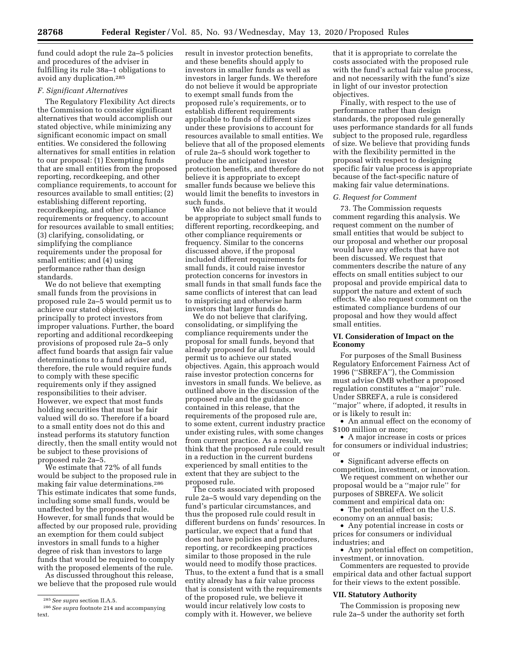fund could adopt the rule 2a–5 policies and procedures of the adviser in fulfilling its rule 38a–1 obligations to avoid any duplication.285

### *F. Significant Alternatives*

The Regulatory Flexibility Act directs the Commission to consider significant alternatives that would accomplish our stated objective, while minimizing any significant economic impact on small entities. We considered the following alternatives for small entities in relation to our proposal: (1) Exempting funds that are small entities from the proposed reporting, recordkeeping, and other compliance requirements, to account for resources available to small entities; (2) establishing different reporting, recordkeeping, and other compliance requirements or frequency, to account for resources available to small entities; (3) clarifying, consolidating, or simplifying the compliance requirements under the proposal for small entities; and (4) using performance rather than design standards.

We do not believe that exempting small funds from the provisions in proposed rule 2a–5 would permit us to achieve our stated objectives, principally to protect investors from improper valuations. Further, the board reporting and additional recordkeeping provisions of proposed rule 2a–5 only affect fund boards that assign fair value determinations to a fund adviser and, therefore, the rule would require funds to comply with these specific requirements only if they assigned responsibilities to their adviser. However, we expect that most funds holding securities that must be fair valued will do so. Therefore if a board to a small entity does not do this and instead performs its statutory function directly, then the small entity would not be subject to these provisions of proposed rule 2a–5.

We estimate that 72% of all funds would be subject to the proposed rule in making fair value determinations.286 This estimate indicates that some funds, including some small funds, would be unaffected by the proposed rule. However, for small funds that would be affected by our proposed rule, providing an exemption for them could subject investors in small funds to a higher degree of risk than investors to large funds that would be required to comply with the proposed elements of the rule.

As discussed throughout this release, we believe that the proposed rule would result in investor protection benefits, and these benefits should apply to investors in smaller funds as well as investors in larger funds. We therefore do not believe it would be appropriate to exempt small funds from the proposed rule's requirements, or to establish different requirements applicable to funds of different sizes under these provisions to account for resources available to small entities. We believe that all of the proposed elements of rule 2a–5 should work together to produce the anticipated investor protection benefits, and therefore do not believe it is appropriate to except smaller funds because we believe this would limit the benefits to investors in such funds.

We also do not believe that it would be appropriate to subject small funds to different reporting, recordkeeping, and other compliance requirements or frequency. Similar to the concerns discussed above, if the proposal included different requirements for small funds, it could raise investor protection concerns for investors in small funds in that small funds face the same conflicts of interest that can lead to mispricing and otherwise harm investors that larger funds do.

We do not believe that clarifying, consolidating, or simplifying the compliance requirements under the proposal for small funds, beyond that already proposed for all funds, would permit us to achieve our stated objectives. Again, this approach would raise investor protection concerns for investors in small funds. We believe, as outlined above in the discussion of the proposed rule and the guidance contained in this release, that the requirements of the proposed rule are, to some extent, current industry practice under existing rules, with some changes from current practice. As a result, we think that the proposed rule could result in a reduction in the current burdens experienced by small entities to the extent that they are subject to the proposed rule.

The costs associated with proposed rule 2a–5 would vary depending on the fund's particular circumstances, and thus the proposed rule could result in different burdens on funds' resources. In particular, we expect that a fund that does not have policies and procedures, reporting, or recordkeeping practices similar to those proposed in the rule would need to modify those practices. Thus, to the extent a fund that is a small entity already has a fair value process that is consistent with the requirements of the proposed rule, we believe it would incur relatively low costs to comply with it. However, we believe

that it is appropriate to correlate the costs associated with the proposed rule with the fund's actual fair value process, and not necessarily with the fund's size in light of our investor protection objectives.

Finally, with respect to the use of performance rather than design standards, the proposed rule generally uses performance standards for all funds subject to the proposed rule, regardless of size. We believe that providing funds with the flexibility permitted in the proposal with respect to designing specific fair value process is appropriate because of the fact-specific nature of making fair value determinations.

#### *G. Request for Comment*

73. The Commission requests comment regarding this analysis. We request comment on the number of small entities that would be subject to our proposal and whether our proposal would have any effects that have not been discussed. We request that commenters describe the nature of any effects on small entities subject to our proposal and provide empirical data to support the nature and extent of such effects. We also request comment on the estimated compliance burdens of our proposal and how they would affect small entities.

### **VI. Consideration of Impact on the Economy**

For purposes of the Small Business Regulatory Enforcement Fairness Act of 1996 (''SBREFA''), the Commission must advise OMB whether a proposed regulation constitutes a ''major'' rule. Under SBREFA, a rule is considered ''major'' where, if adopted, it results in or is likely to result in:

• An annual effect on the economy of \$100 million or more;

• A major increase in costs or prices for consumers or individual industries; or

• Significant adverse effects on competition, investment, or innovation.

We request comment on whether our proposal would be a ''major rule'' for purposes of SBREFA. We solicit comment and empirical data on:

• The potential effect on the U.S. economy on an annual basis;

• Any potential increase in costs or prices for consumers or individual industries; and

• Any potential effect on competition, investment, or innovation.

Commenters are requested to provide empirical data and other factual support for their views to the extent possible.

### **VII. Statutory Authority**

The Commission is proposing new rule 2a–5 under the authority set forth

<sup>285</sup>*See supra* section II.A.5.

<sup>286</sup>*See supra* footnote 214 and accompanying text.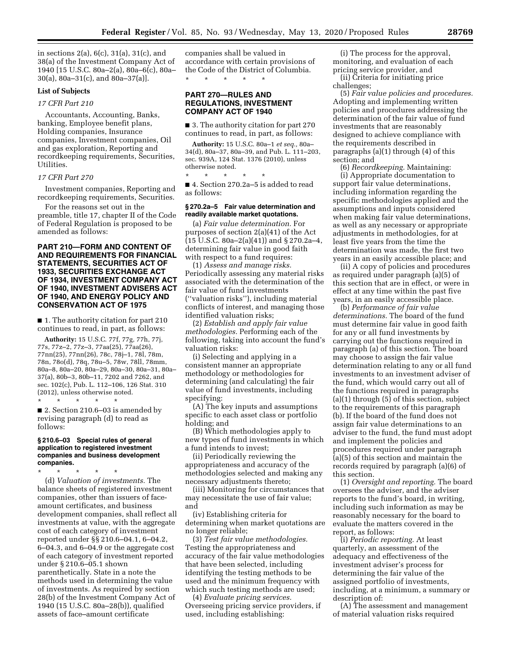in sections 2(a), 6(c), 31(a), 31(c), and 38(a) of the Investment Company Act of 1940 [15 U.S.C. 80a–2(a), 80a–6(c), 80a– 30(a), 80a–31(c), and 80a–37(a)].

### **List of Subjects**

## *17 CFR Part 210*

Accountants, Accounting, Banks, banking, Employee benefit plans, Holding companies, Insurance companies, Investment companies, Oil and gas exploration, Reporting and recordkeeping requirements, Securities, Utilities.

### *17 CFR Part 270*

Investment companies, Reporting and recordkeeping requirements, Securities.

For the reasons set out in the preamble, title 17, chapter II of the Code of Federal Regulation is proposed to be amended as follows:

## **PART 210—FORM AND CONTENT OF AND REQUIREMENTS FOR FINANCIAL STATEMENTS, SECURITIES ACT OF 1933, SECURITIES EXCHANGE ACT OF 1934, INVESTMENT COMPANY ACT OF 1940, INVESTMENT ADVISERS ACT OF 1940, AND ENERGY POLICY AND CONSERVATION ACT OF 1975**

■ 1. The authority citation for part 210 continues to read, in part, as follows:

**Authority:** 15 U.S.C. 77f, 77g, 77h, 77j, 77s, 77z–2, 77z–3, 77aa(25), 77aa(26), 77nn(25), 77nn(26), 78c, 78j–1, 78l, 78m, 78n, 78o(d), 78q, 78u–5, 78w, 78ll, 78mm, 80a–8, 80a–20, 80a–29, 80a–30, 80a–31, 80a– 37(a), 80b–3, 80b–11, 7202 and 7262, and sec. 102(c), Pub. L. 112–106, 126 Stat. 310 (2012), unless otherwise noted. \* \* \* \* \*

■ 2. Section 210.6–03 is amended by revising paragraph (d) to read as follows:

#### **§ 210.6–03 Special rules of general application to registered investment companies and business development companies.**

\* \* \* \* \*

(d) *Valuation of investments.* The balance sheets of registered investment companies, other than issuers of faceamount certificates, and business development companies, shall reflect all investments at value, with the aggregate cost of each category of investment reported under §§ 210.6–04.1, 6–04.2, 6–04.3, and 6–04.9 or the aggregate cost of each category of investment reported under § 210.6–05.1 shown parenthetically. State in a note the methods used in determining the value of investments. As required by section 28(b) of the Investment Company Act of 1940 (15 U.S.C. 80a–28(b)), qualified assets of face–amount certificate

companies shall be valued in accordance with certain provisions of the Code of the District of Columbia. \* \* \* \* \*

## **PART 270—RULES AND REGULATIONS, INVESTMENT COMPANY ACT OF 1940**

■ 3. The authority citation for part 270 continues to read, in part, as follows:

**Authority:** 15 U.S.C. 80a–1 *et seq.,* 80a– 34(d), 80a–37, 80a–39, and Pub. L. 111–203, sec. 939A, 124 Stat. 1376 (2010), unless otherwise noted.

\* \* \* \* \* ■ 4. Section 270.2a–5 is added to read as follows:

### **§ 270.2a–5 Fair value determination and readily available market quotations.**

(a) *Fair value determination.* For purposes of section 2(a)(41) of the Act  $(15 \text{ U.S.C. } 80a - 2(a)(41))$  and § 270.2a-4, determining fair value in good faith with respect to a fund requires:

(1) *Assess and manage risks.*  Periodically assessing any material risks associated with the determination of the fair value of fund investments (''valuation risks''), including material conflicts of interest, and managing those identified valuation risks;

(2) *Establish and apply fair value methodologies.* Performing each of the following, taking into account the fund's valuation risks:

(i) Selecting and applying in a consistent manner an appropriate methodology or methodologies for determining (and calculating) the fair value of fund investments, including specifying:

(A) The key inputs and assumptions specific to each asset class or portfolio holding; and

(B) Which methodologies apply to new types of fund investments in which a fund intends to invest;

(ii) Periodically reviewing the appropriateness and accuracy of the methodologies selected and making any necessary adjustments thereto;

(iii) Monitoring for circumstances that may necessitate the use of fair value; and

(iv) Establishing criteria for determining when market quotations are no longer reliable;

(3) *Test fair value methodologies.*  Testing the appropriateness and accuracy of the fair value methodologies that have been selected, including identifying the testing methods to be used and the minimum frequency with which such testing methods are used;

(4) *Evaluate pricing services.*  Overseeing pricing service providers, if used, including establishing:

(i) The process for the approval, monitoring, and evaluation of each pricing service provider, and

(ii) Criteria for initiating price challenges;

(5) *Fair value policies and procedures.*  Adopting and implementing written policies and procedures addressing the determination of the fair value of fund investments that are reasonably designed to achieve compliance with the requirements described in paragraphs (a)(1) through (4) of this section; and

(6) *Recordkeeping.* Maintaining: (i) Appropriate documentation to support fair value determinations, including information regarding the specific methodologies applied and the assumptions and inputs considered when making fair value determinations, as well as any necessary or appropriate adjustments in methodologies, for at least five years from the time the determination was made, the first two years in an easily accessible place; and

(ii) A copy of policies and procedures as required under paragraph (a)(5) of this section that are in effect, or were in effect at any time within the past five years, in an easily accessible place.

(b) *Performance of fair value determinations.* The board of the fund must determine fair value in good faith for any or all fund investments by carrying out the functions required in paragraph (a) of this section. The board may choose to assign the fair value determination relating to any or all fund investments to an investment adviser of the fund, which would carry out all of the functions required in paragraphs (a)(1) through  $(5)$  of this section, subject to the requirements of this paragraph (b). If the board of the fund does not assign fair value determinations to an adviser to the fund, the fund must adopt and implement the policies and procedures required under paragraph (a)(5) of this section and maintain the records required by paragraph (a)(6) of this section.

(1) *Oversight and reporting.* The board oversees the adviser, and the adviser reports to the fund's board, in writing, including such information as may be reasonably necessary for the board to evaluate the matters covered in the report, as follows:

(i) *Periodic reporting.* At least quarterly, an assessment of the adequacy and effectiveness of the investment adviser's process for determining the fair value of the assigned portfolio of investments, including, at a minimum, a summary or description of:

(A) The assessment and management of material valuation risks required